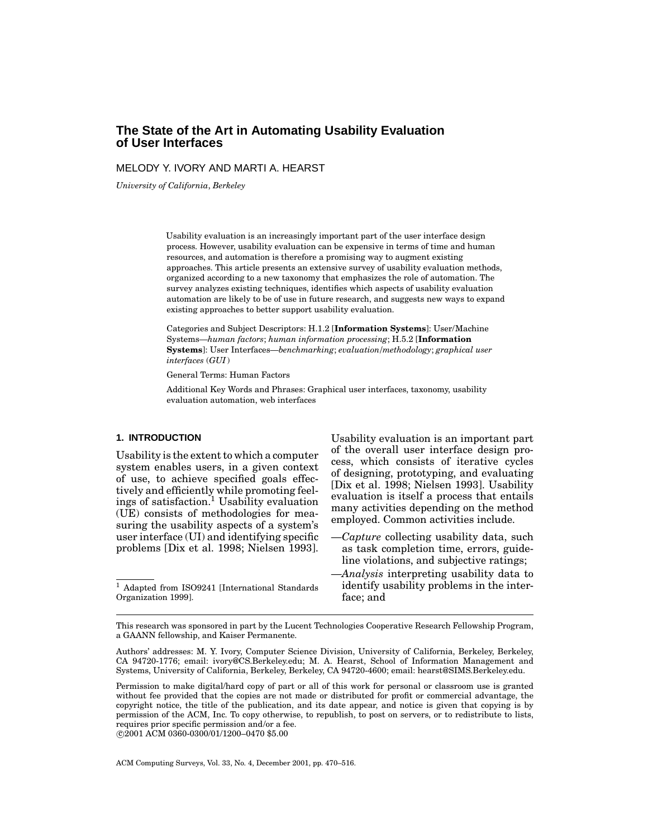# **The State of the Art in Automating Usability Evaluation of User Interfaces**

MELODY Y. IVORY AND MARTI A. HEARST

*University of California*, *Berkeley*

Usability evaluation is an increasingly important part of the user interface design process. However, usability evaluation can be expensive in terms of time and human resources, and automation is therefore a promising way to augment existing approaches. This article presents an extensive survey of usability evaluation methods, organized according to a new taxonomy that emphasizes the role of automation. The survey analyzes existing techniques, identifies which aspects of usability evaluation automation are likely to be of use in future research, and suggests new ways to expand existing approaches to better support usability evaluation.

Categories and Subject Descriptors: H.1.2 [**Information Systems**]: User/Machine Systems—*human factors*; *human information processing*; H.5.2 [**Information Systems**]: User Interfaces—*benchmarking*; *evaluation/methodology*; *graphical user interfaces* (*GUI* )

General Terms: Human Factors

Additional Key Words and Phrases: Graphical user interfaces, taxonomy, usability evaluation automation, web interfaces

# **1. INTRODUCTION**

Organization 1999].

Usability is the extent to which a computer system enables users, in a given context of use, to achieve specified goals effectively and efficiently while promoting feelings of satisfaction.1 Usability evaluation (UE) consists of methodologies for measuring the usability aspects of a system's user interface (UI) and identifying specific problems [Dix et al. 1998; Nielsen 1993].

<sup>1</sup> Adapted from ISO9241 [International Standards

Usability evaluation is an important part of the overall user interface design process, which consists of iterative cycles of designing, prototyping, and evaluating [Dix et al. 1998; Nielsen 1993]. Usability evaluation is itself a process that entails many activities depending on the method employed. Common activities include.

- —*Capture* collecting usability data, such as task completion time, errors, guideline violations, and subjective ratings;
- —*Analysis* interpreting usability data to identify usability problems in the interface; and

This research was sponsored in part by the Lucent Technologies Cooperative Research Fellowship Program, a GAANN fellowship, and Kaiser Permanente.

Authors' addresses: M. Y. Ivory, Computer Science Division, University of California, Berkeley, Berkeley, CA 94720-1776; email: ivory@CS.Berkeley.edu; M. A. Hearst, School of Information Management and Systems, University of California, Berkeley, Berkeley, CA 94720-4600; email: hearst@SIMS.Berkeley.edu.

Permission to make digital/hard copy of part or all of this work for personal or classroom use is granted without fee provided that the copies are not made or distributed for profit or commercial advantage, the copyright notice, the title of the publication, and its date appear, and notice is given that copying is by permission of the ACM, Inc. To copy otherwise, to republish, to post on servers, or to redistribute to lists, requires prior specific permission and/or a fee.

<sup>°</sup>c 2001 ACM 0360-0300/01/1200–0470 \$5.00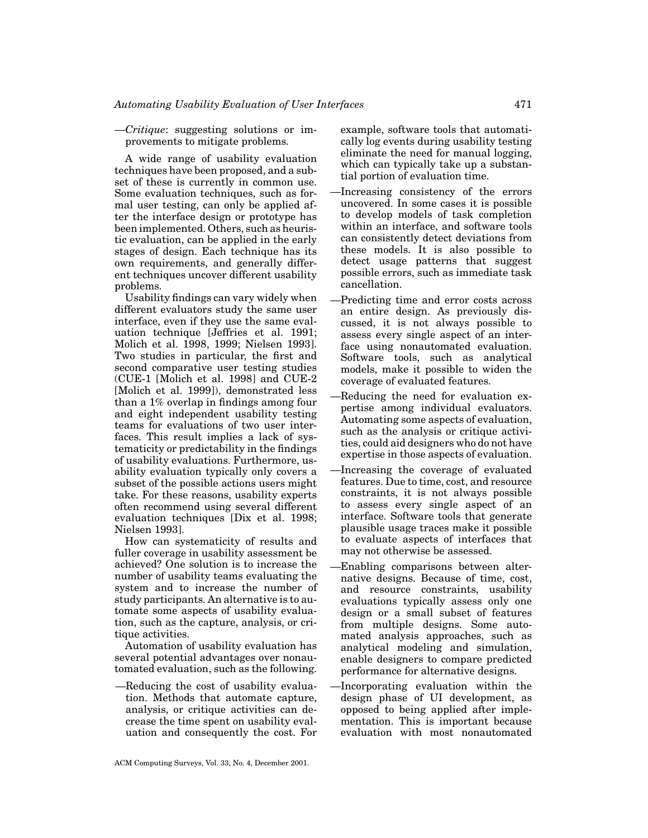—*Critique*: suggesting solutions or improvements to mitigate problems.

A wide range of usability evaluation techniques have been proposed, and a subset of these is currently in common use. Some evaluation techniques, such as formal user testing, can only be applied after the interface design or prototype has been implemented. Others, such as heuristic evaluation, can be applied in the early stages of design. Each technique has its own requirements, and generally different techniques uncover different usability problems.

Usability findings can vary widely when different evaluators study the same user interface, even if they use the same evaluation technique [Jeffries et al. 1991; Molich et al. 1998, 1999; Nielsen 1993]. Two studies in particular, the first and second comparative user testing studies (CUE-1 [Molich et al. 1998] and CUE-2 [Molich et al. 1999]), demonstrated less than a 1% overlap in findings among four and eight independent usability testing teams for evaluations of two user interfaces. This result implies a lack of systematicity or predictability in the findings of usability evaluations. Furthermore, usability evaluation typically only covers a subset of the possible actions users might take. For these reasons, usability experts often recommend using several different evaluation techniques [Dix et al. 1998; Nielsen 1993].

How can systematicity of results and fuller coverage in usability assessment be achieved? One solution is to increase the number of usability teams evaluating the system and to increase the number of study participants. An alternative is to automate some aspects of usability evaluation, such as the capture, analysis, or critique activities.

Automation of usability evaluation has several potential advantages over nonautomated evaluation, such as the following.

—Reducing the cost of usability evaluation. Methods that automate capture, analysis, or critique activities can decrease the time spent on usability evaluation and consequently the cost. For example, software tools that automatically log events during usability testing eliminate the need for manual logging, which can typically take up a substantial portion of evaluation time.

- —Increasing consistency of the errors uncovered. In some cases it is possible to develop models of task completion within an interface, and software tools can consistently detect deviations from these models. It is also possible to detect usage patterns that suggest possible errors, such as immediate task cancellation.
- —Predicting time and error costs across an entire design. As previously discussed, it is not always possible to assess every single aspect of an interface using nonautomated evaluation. Software tools, such as analytical models, make it possible to widen the coverage of evaluated features.
- —Reducing the need for evaluation expertise among individual evaluators. Automating some aspects of evaluation, such as the analysis or critique activities, could aid designers who do not have expertise in those aspects of evaluation.
- —Increasing the coverage of evaluated features. Due to time, cost, and resource constraints, it is not always possible to assess every single aspect of an interface. Software tools that generate plausible usage traces make it possible to evaluate aspects of interfaces that may not otherwise be assessed.
- —Enabling comparisons between alternative designs. Because of time, cost, and resource constraints, usability evaluations typically assess only one design or a small subset of features from multiple designs. Some automated analysis approaches, such as analytical modeling and simulation, enable designers to compare predicted performance for alternative designs.
- —Incorporating evaluation within the design phase of UI development, as opposed to being applied after implementation. This is important because evaluation with most nonautomated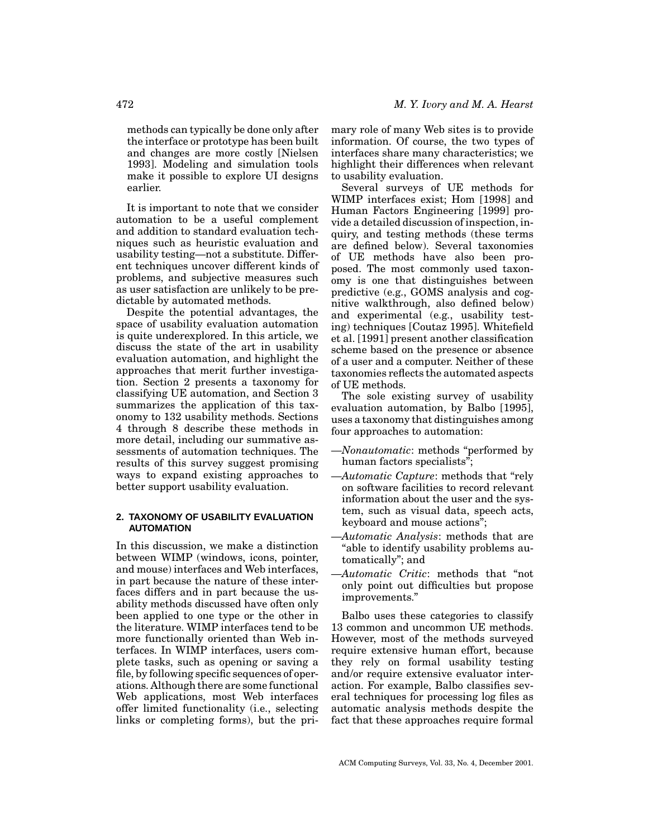methods can typically be done only after the interface or prototype has been built and changes are more costly [Nielsen 1993]. Modeling and simulation tools make it possible to explore UI designs earlier.

It is important to note that we consider automation to be a useful complement and addition to standard evaluation techniques such as heuristic evaluation and usability testing—not a substitute. Different techniques uncover different kinds of problems, and subjective measures such as user satisfaction are unlikely to be predictable by automated methods.

Despite the potential advantages, the space of usability evaluation automation is quite underexplored. In this article, we discuss the state of the art in usability evaluation automation, and highlight the approaches that merit further investigation. Section 2 presents a taxonomy for classifying UE automation, and Section 3 summarizes the application of this taxonomy to 132 usability methods. Sections 4 through 8 describe these methods in more detail, including our summative assessments of automation techniques. The results of this survey suggest promising ways to expand existing approaches to better support usability evaluation.

#### **2. TAXONOMY OF USABILITY EVALUATION AUTOMATION**

In this discussion, we make a distinction between WIMP (windows, icons, pointer, and mouse) interfaces and Web interfaces, in part because the nature of these interfaces differs and in part because the usability methods discussed have often only been applied to one type or the other in the literature. WIMP interfaces tend to be more functionally oriented than Web interfaces. In WIMP interfaces, users complete tasks, such as opening or saving a file, by following specific sequences of operations. Although there are some functional Web applications, most Web interfaces offer limited functionality (i.e., selecting links or completing forms), but the primary role of many Web sites is to provide information. Of course, the two types of interfaces share many characteristics; we highlight their differences when relevant to usability evaluation.

Several surveys of UE methods for WIMP interfaces exist; Hom [1998] and Human Factors Engineering [1999] provide a detailed discussion of inspection, inquiry, and testing methods (these terms are defined below). Several taxonomies of UE methods have also been proposed. The most commonly used taxonomy is one that distinguishes between predictive (e.g., GOMS analysis and cognitive walkthrough, also defined below) and experimental (e.g., usability testing) techniques [Coutaz 1995]. Whitefield et al. [1991] present another classification scheme based on the presence or absence of a user and a computer. Neither of these taxonomies reflects the automated aspects of UE methods.

The sole existing survey of usability evaluation automation, by Balbo [1995], uses a taxonomy that distinguishes among four approaches to automation:

- —*Nonautomatic*: methods "performed by human factors specialists";
- —*Automatic Capture*: methods that "rely on software facilities to record relevant information about the user and the system, such as visual data, speech acts, keyboard and mouse actions";
- —*Automatic Analysis*: methods that are "able to identify usability problems automatically"; and
- —*Automatic Critic*: methods that "not only point out difficulties but propose improvements."

Balbo uses these categories to classify 13 common and uncommon UE methods. However, most of the methods surveyed require extensive human effort, because they rely on formal usability testing and/or require extensive evaluator interaction. For example, Balbo classifies several techniques for processing log files as automatic analysis methods despite the fact that these approaches require formal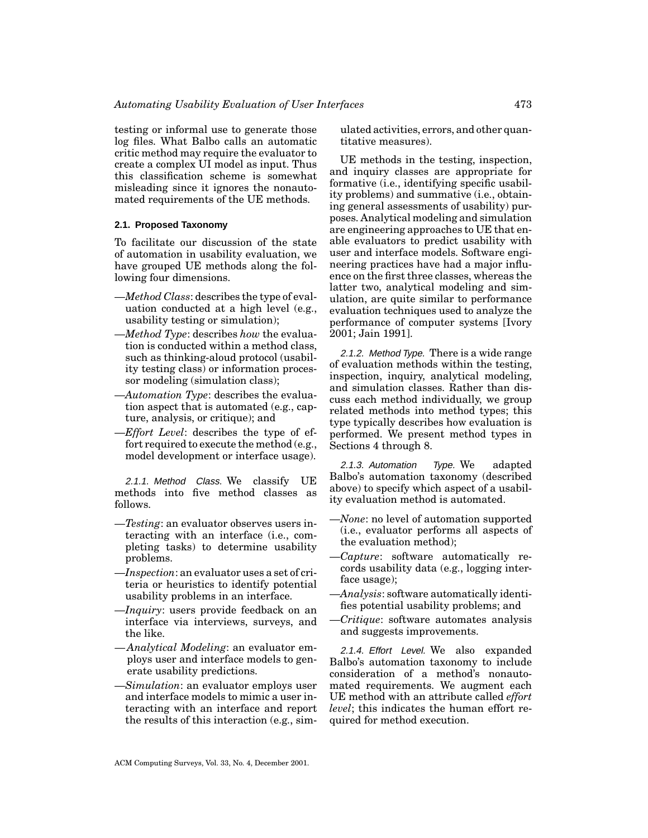testing or informal use to generate those log files. What Balbo calls an automatic critic method may require the evaluator to create a complex UI model as input. Thus this classification scheme is somewhat misleading since it ignores the nonautomated requirements of the UE methods.

### **2.1. Proposed Taxonomy**

To facilitate our discussion of the state of automation in usability evaluation, we have grouped UE methods along the following four dimensions.

- —*Method Class*: describes the type of evaluation conducted at a high level (e.g., usability testing or simulation);
- —*Method Type*: describes *how* the evaluation is conducted within a method class, such as thinking-aloud protocol (usability testing class) or information processor modeling (simulation class);
- —*Automation Type*: describes the evaluation aspect that is automated (e.g., capture, analysis, or critique); and
- —*Effort Level*: describes the type of effort required to execute the method (e.g., model development or interface usage).

2.1.1. Method Class. We classify UE methods into five method classes as follows.

- —*Testing*: an evaluator observes users interacting with an interface (i.e., completing tasks) to determine usability problems.
- —*Inspection*: an evaluator uses a set of criteria or heuristics to identify potential usability problems in an interface.
- —*Inquiry*: users provide feedback on an interface via interviews, surveys, and the like.
- *Analytical Modeling*: an evaluator employs user and interface models to generate usability predictions.
- —*Simulation*: an evaluator employs user and interface models to mimic a user interacting with an interface and report the results of this interaction (e.g., sim-

ulated activities, errors, and other quantitative measures).

UE methods in the testing, inspection, and inquiry classes are appropriate for formative (i.e., identifying specific usability problems) and summative (i.e., obtaining general assessments of usability) purposes. Analytical modeling and simulation are engineering approaches to UE that enable evaluators to predict usability with user and interface models. Software engineering practices have had a major influence on the first three classes, whereas the latter two, analytical modeling and simulation, are quite similar to performance evaluation techniques used to analyze the performance of computer systems [Ivory 2001; Jain 1991].

2.1.2. Method Type. There is a wide range of evaluation methods within the testing, inspection, inquiry, analytical modeling, and simulation classes. Rather than discuss each method individually, we group related methods into method types; this type typically describes how evaluation is performed. We present method types in Sections 4 through 8.

2.1.3. Automation Type. We adapted Balbo's automation taxonomy (described above) to specify which aspect of a usability evaluation method is automated.

- —*None*: no level of automation supported (i.e., evaluator performs all aspects of the evaluation method);
- —*Capture*: software automatically records usability data (e.g., logging interface usage);
- —*Analysis*: software automatically identifies potential usability problems; and
- —*Critique*: software automates analysis and suggests improvements.

2.1.4. Effort Level. We also expanded Balbo's automation taxonomy to include consideration of a method's nonautomated requirements. We augment each UE method with an attribute called *effort level*; this indicates the human effort required for method execution.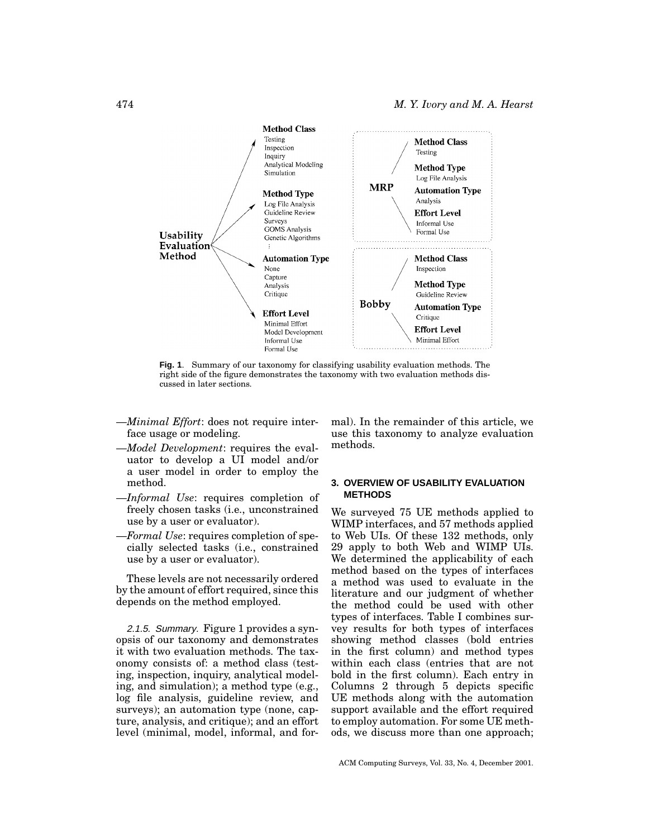

**Fig. 1**. Summary of our taxonomy for classifying usability evaluation methods. The right side of the figure demonstrates the taxonomy with two evaluation methods discussed in later sections.

- —*Minimal Effort*: does not require interface usage or modeling.
- —*Model Development*: requires the evaluator to develop a UI model and/or a user model in order to employ the method.
- —*Informal Use*: requires completion of freely chosen tasks (i.e., unconstrained use by a user or evaluator).
- —*Formal Use*: requires completion of specially selected tasks (i.e., constrained use by a user or evaluator).

These levels are not necessarily ordered by the amount of effort required, since this depends on the method employed.

2.1.5. Summary. Figure 1 provides a synopsis of our taxonomy and demonstrates it with two evaluation methods. The taxonomy consists of: a method class (testing, inspection, inquiry, analytical modeling, and simulation); a method type (e.g., log file analysis, guideline review, and surveys); an automation type (none, capture, analysis, and critique); and an effort level (minimal, model, informal, and formal). In the remainder of this article, we use this taxonomy to analyze evaluation methods.

# **3. OVERVIEW OF USABILITY EVALUATION METHODS**

We surveyed 75 UE methods applied to WIMP interfaces, and 57 methods applied to Web UIs. Of these 132 methods, only 29 apply to both Web and WIMP UIs. We determined the applicability of each method based on the types of interfaces a method was used to evaluate in the literature and our judgment of whether the method could be used with other types of interfaces. Table I combines survey results for both types of interfaces showing method classes (bold entries in the first column) and method types within each class (entries that are not bold in the first column). Each entry in Columns 2 through 5 depicts specific UE methods along with the automation support available and the effort required to employ automation. For some UE methods, we discuss more than one approach;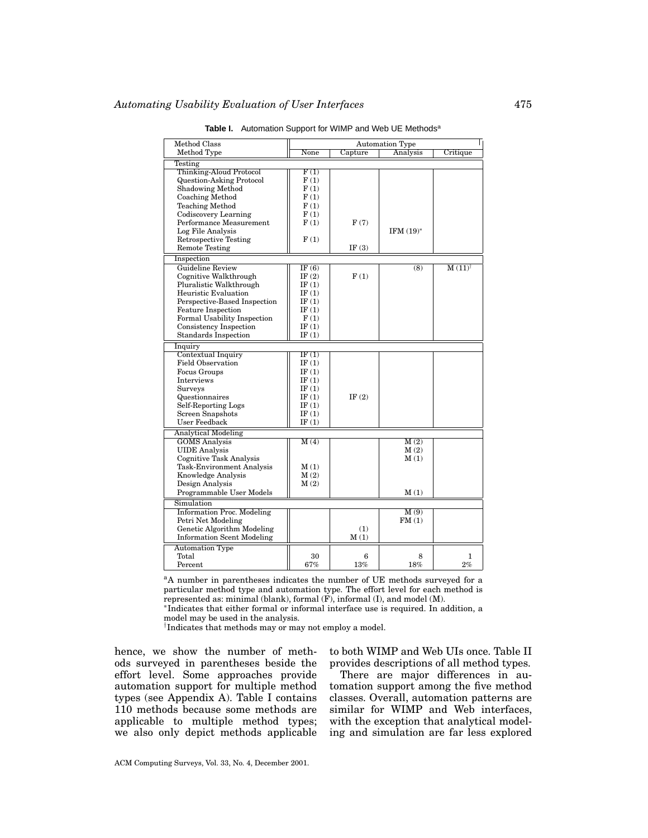| Method Class                      | <b>Automation Type</b> |          |           |                              |
|-----------------------------------|------------------------|----------|-----------|------------------------------|
| Method Type                       | None                   | Capture  | Analysis  | Critique                     |
| Testing                           |                        |          |           |                              |
| Thinking-Aloud Protocol           | F(1)                   |          |           |                              |
| <b>Question-Asking Protocol</b>   | F(1)                   |          |           |                              |
| <b>Shadowing Method</b>           | F(1)                   |          |           |                              |
| <b>Coaching Method</b>            | F(1)                   |          |           |                              |
| <b>Teaching Method</b>            | F(1)                   |          |           |                              |
| Codiscovery Learning              | F(1)                   |          |           |                              |
| Performance Measurement           | F(1)                   | F(7)     |           |                              |
| Log File Analysis                 |                        |          | IFM (19)* |                              |
| <b>Retrospective Testing</b>      | F(1)                   |          |           |                              |
| <b>Remote Testing</b>             |                        | IF $(3)$ |           |                              |
| Inspection                        |                        |          |           |                              |
| <b>Guideline Review</b>           | IF $(6)$               |          | (8)       | $\mathrm{M} \, (11)^\dagger$ |
| Cognitive Walkthrough             | IF $(2)$               | F(1)     |           |                              |
| Pluralistic Walkthrough           | IF $(1)$               |          |           |                              |
| Heuristic Evaluation              | IF(1)                  |          |           |                              |
| Perspective-Based Inspection      | IF(1)                  |          |           |                              |
| <b>Feature Inspection</b>         | IF $(1)$               |          |           |                              |
| Formal Usability Inspection       | F(1)                   |          |           |                              |
| Consistency Inspection            | IF(1)                  |          |           |                              |
| <b>Standards Inspection</b>       | IF $(1)$               |          |           |                              |
| Inquiry                           |                        |          |           |                              |
| Contextual Inquiry                | IF $(1)$               |          |           |                              |
| <b>Field Observation</b>          | IF $(1)$               |          |           |                              |
| Focus Groups                      | IF $(1)$               |          |           |                              |
| Interviews                        | IF $(1)$               |          |           |                              |
| Surveys                           | IF $(1)$               |          |           |                              |
| Questionnaires                    | IF $(1)$               | IF $(2)$ |           |                              |
| Self-Reporting Logs               | IF(1)                  |          |           |                              |
| Screen Snapshots                  | IF $(1)$               |          |           |                              |
| <b>User Feedback</b>              | IF(1)                  |          |           |                              |
| <b>Analytical Modeling</b>        |                        |          |           |                              |
| <b>GOMS</b> Analysis              | M(4)                   |          | M(2)      |                              |
| <b>UIDE</b> Analysis              |                        |          | M(2)      |                              |
| <b>Cognitive Task Analysis</b>    |                        |          | M(1)      |                              |
| Task-Environment Analysis         | M(1)                   |          |           |                              |
| Knowledge Analysis                | M(2)                   |          |           |                              |
| Design Analysis                   | M(2)                   |          |           |                              |
| Programmable User Models          |                        |          | M(1)      |                              |
| Simulation                        |                        |          |           |                              |
| <b>Information Proc. Modeling</b> |                        |          | M(9)      |                              |
| Petri Net Modeling                |                        |          | FM(1)     |                              |
| Genetic Algorithm Modeling        |                        | (1)      |           |                              |
| <b>Information Scent Modeling</b> |                        | M(1)     |           |                              |
| <b>Automation Type</b>            |                        |          |           |                              |
| Total                             | 30                     | 6        | 8         | 1                            |
| Percent                           | 67%                    | 13%      | 18%       | $2\%$                        |

Table I. Automation Support for WIMP and Web UE Methods<sup>a</sup>

aA number in parentheses indicates the number of UE methods surveyed for a particular method type and automation type. The effort level for each method is represented as: minimal (blank), formal  $(F)$ , informal  $(I)$ , and model  $(M)$ .

∗Indicates that either formal or informal interface use is required. In addition, a model may be used in the analysis.

†Indicates that methods may or may not employ a model.

hence, we show the number of methods surveyed in parentheses beside the effort level. Some approaches provide automation support for multiple method types (see Appendix A). Table I contains 110 methods because some methods are applicable to multiple method types; we also only depict methods applicable

to both WIMP and Web UIs once. Table II provides descriptions of all method types.

There are major differences in automation support among the five method classes. Overall, automation patterns are similar for WIMP and Web interfaces, with the exception that analytical modeling and simulation are far less explored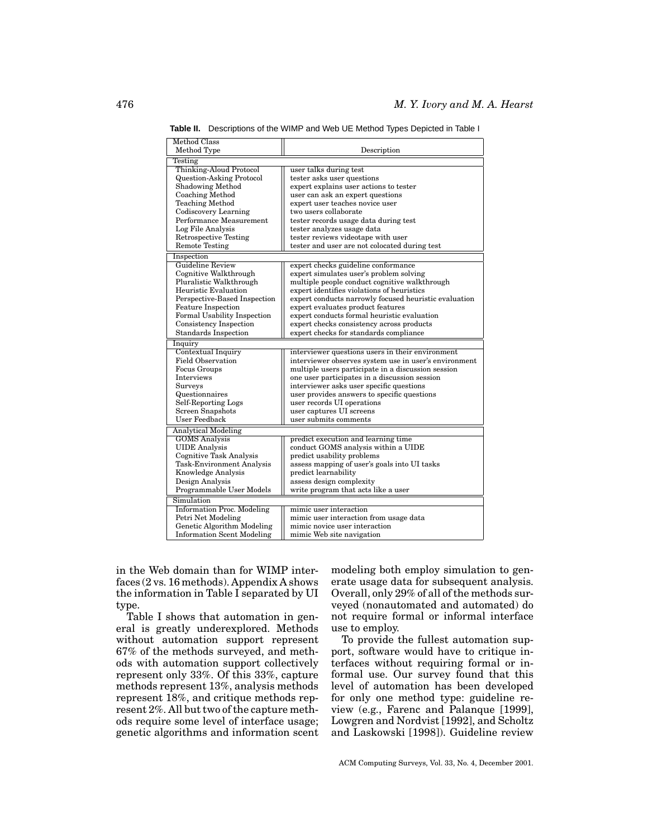**Table II.** Descriptions of the WIMP and Web UE Method Types Depicted in Table I

| <b>Method Class</b>                                             |                                                            |
|-----------------------------------------------------------------|------------------------------------------------------------|
| Method Type                                                     | Description                                                |
| Testing                                                         |                                                            |
| <b>Thinking-Aloud Protocol</b>                                  | user talks during test                                     |
| <b>Question-Asking Protocol</b>                                 | tester asks user questions                                 |
| <b>Shadowing Method</b>                                         | expert explains user actions to tester                     |
| Coaching Method                                                 | user can ask an expert questions                           |
| <b>Teaching Method</b>                                          | expert user teaches novice user                            |
| Codiscovery Learning                                            | two users collaborate                                      |
| Performance Measurement                                         | tester records usage data during test                      |
| Log File Analysis                                               | tester analyzes usage data                                 |
| <b>Retrospective Testing</b>                                    | tester reviews videotape with user                         |
| Remote Testing                                                  | tester and user are not colocated during test              |
| Inspection                                                      |                                                            |
| Guideline Review                                                | expert checks guideline conformance                        |
| Cognitive Walkthrough                                           | expert simulates user's problem solving                    |
| Pluralistic Walkthrough                                         | multiple people conduct cognitive walkthrough              |
| Heuristic Evaluation                                            | expert identifies violations of heuristics                 |
| Perspective-Based Inspection                                    | expert conducts narrowly focused heuristic evaluation      |
| <b>Feature Inspection</b>                                       | expert evaluates product features                          |
| Formal Usability Inspection                                     | expert conducts formal heuristic evaluation                |
| Consistency Inspection                                          | expert checks consistency across products                  |
| <b>Standards Inspection</b>                                     | expert checks for standards compliance                     |
| Inquiry                                                         |                                                            |
| Contextual Inquiry                                              | interviewer questions users in their environment           |
| <b>Field Observation</b>                                        | interviewer observes system use in user's environment      |
| <b>Focus Groups</b>                                             | multiple users participate in a discussion session         |
| Interviews                                                      | one user participates in a discussion session              |
| Surveys                                                         | interviewer asks user specific questions                   |
| Questionnaires                                                  | user provides answers to specific questions                |
| Self-Reporting Logs                                             | user records UI operations                                 |
| Screen Snapshots                                                | user captures UI screens                                   |
| <b>User Feedback</b>                                            | user submits comments                                      |
| <b>Analytical Modeling</b>                                      |                                                            |
| <b>GOMS</b> Analysis                                            | predict execution and learning time                        |
| <b>UIDE</b> Analysis                                            | conduct GOMS analysis within a UIDE                        |
| Cognitive Task Analysis                                         | predict usability problems                                 |
| Task-Environment Analysis                                       | assess mapping of user's goals into UI tasks               |
| <b>Knowledge Analysis</b>                                       | predict learnability                                       |
| Design Analysis                                                 | assess design complexity                                   |
| Programmable User Models                                        | write program that acts like a user                        |
|                                                                 |                                                            |
| Simulation                                                      |                                                            |
| <b>Information Proc. Modeling</b>                               | mimic user interaction                                     |
| Petri Net Modeling                                              |                                                            |
|                                                                 | mimic user interaction from usage data                     |
| Genetic Algorithm Modeling<br><b>Information Scent Modeling</b> | mimic novice user interaction<br>mimic Web site navigation |

in the Web domain than for WIMP interfaces (2 vs. 16 methods). Appendix A shows the information in Table I separated by UI type.

Table I shows that automation in general is greatly underexplored. Methods without automation support represent 67% of the methods surveyed, and methods with automation support collectively represent only 33%. Of this 33%, capture methods represent 13%, analysis methods represent 18%, and critique methods represent 2%. All but two of the capture methods require some level of interface usage; genetic algorithms and information scent modeling both employ simulation to generate usage data for subsequent analysis. Overall, only 29% of all of the methods surveyed (nonautomated and automated) do not require formal or informal interface use to employ.

To provide the fullest automation support, software would have to critique interfaces without requiring formal or informal use. Our survey found that this level of automation has been developed for only one method type: guideline review (e.g., Farenc and Palanque [1999], Lowgren and Nordvist [1992], and Scholtz and Laskowski [1998]). Guideline review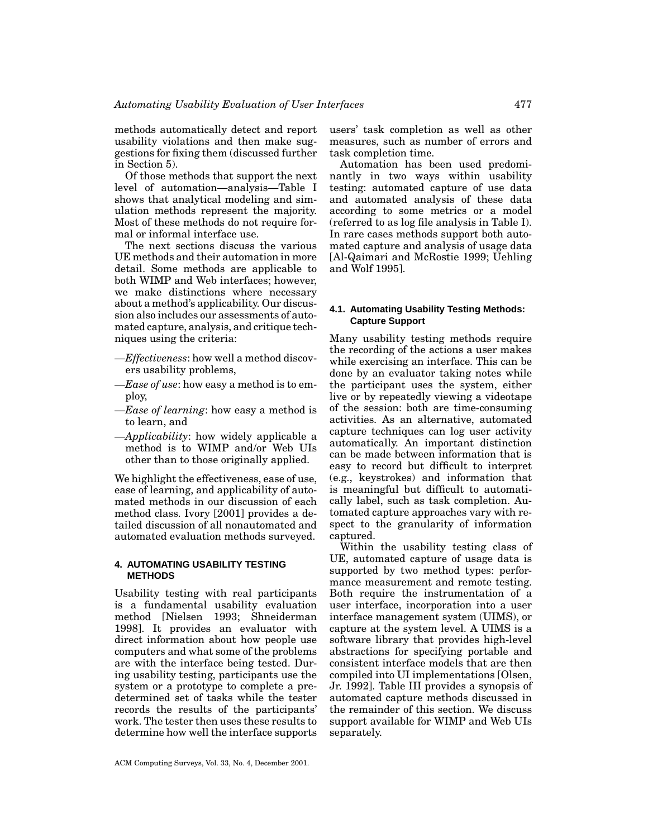methods automatically detect and report usability violations and then make suggestions for fixing them (discussed further in Section 5).

Of those methods that support the next level of automation—analysis—Table I shows that analytical modeling and simulation methods represent the majority. Most of these methods do not require formal or informal interface use.

The next sections discuss the various UE methods and their automation in more detail. Some methods are applicable to both WIMP and Web interfaces; however, we make distinctions where necessary about a method's applicability. Our discussion also includes our assessments of automated capture, analysis, and critique techniques using the criteria:

- —*Effectiveness*: how well a method discovers usability problems,
- —*Ease of use*: how easy a method is to employ,
- —*Ease of learning*: how easy a method is to learn, and
- —*Applicability*: how widely applicable a method is to WIMP and/or Web UIs other than to those originally applied.

We highlight the effectiveness, ease of use, ease of learning, and applicability of automated methods in our discussion of each method class. Ivory [2001] provides a detailed discussion of all nonautomated and automated evaluation methods surveyed.

### **4. AUTOMATING USABILITY TESTING METHODS**

Usability testing with real participants is a fundamental usability evaluation method [Nielsen 1993; Shneiderman 1998]. It provides an evaluator with direct information about how people use computers and what some of the problems are with the interface being tested. During usability testing, participants use the system or a prototype to complete a predetermined set of tasks while the tester records the results of the participants' work. The tester then uses these results to determine how well the interface supports users' task completion as well as other measures, such as number of errors and task completion time.

Automation has been used predominantly in two ways within usability testing: automated capture of use data and automated analysis of these data according to some metrics or a model (referred to as log file analysis in Table I). In rare cases methods support both automated capture and analysis of usage data [Al-Qaimari and McRostie 1999; Uehling and Wolf 1995].

### **4.1. Automating Usability Testing Methods: Capture Support**

Many usability testing methods require the recording of the actions a user makes while exercising an interface. This can be done by an evaluator taking notes while the participant uses the system, either live or by repeatedly viewing a videotape of the session: both are time-consuming activities. As an alternative, automated capture techniques can log user activity automatically. An important distinction can be made between information that is easy to record but difficult to interpret (e.g., keystrokes) and information that is meaningful but difficult to automatically label, such as task completion. Automated capture approaches vary with respect to the granularity of information captured.

Within the usability testing class of UE, automated capture of usage data is supported by two method types: performance measurement and remote testing. Both require the instrumentation of a user interface, incorporation into a user interface management system (UIMS), or capture at the system level. A UIMS is a software library that provides high-level abstractions for specifying portable and consistent interface models that are then compiled into UI implementations [Olsen, Jr. 1992]. Table III provides a synopsis of automated capture methods discussed in the remainder of this section. We discuss support available for WIMP and Web UIs separately.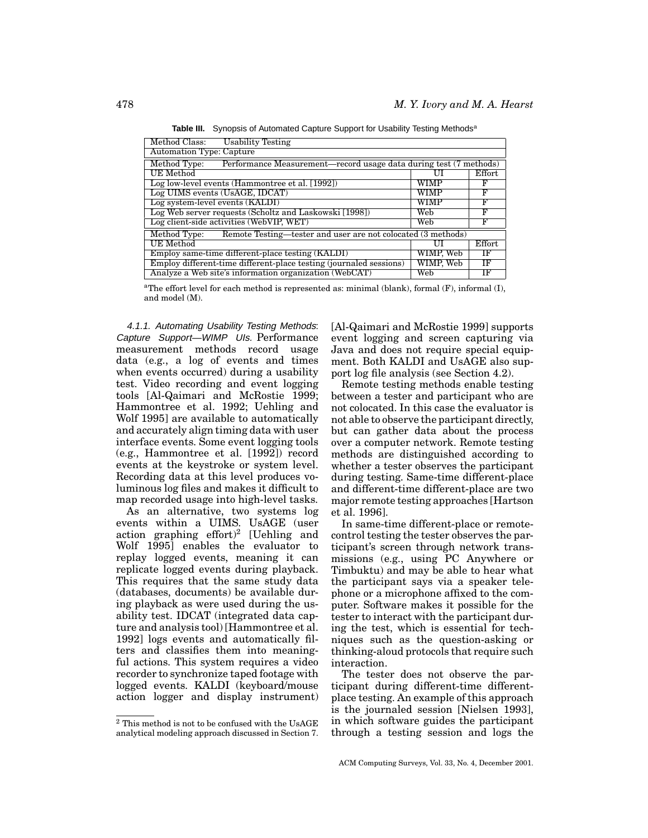**Table III.** Synopsis of Automated Capture Support for Usability Testing Methods<sup>a</sup>

| Method Class:<br>Usability Testing                                                |             |        |
|-----------------------------------------------------------------------------------|-------------|--------|
| <b>Automation Type: Capture</b>                                                   |             |        |
| Performance Measurement—record usage data during test (7 methods)<br>Method Type: |             |        |
| UE Method                                                                         |             | Effort |
| Log low-level events (Hammontree et al. [1992])                                   | <b>WIMP</b> | F      |
| Log UIMS events (UsAGE, IDCAT)                                                    | WIMP        | F      |
| Log system-level events (KALDI)<br>F<br><b>WIMP</b>                               |             |        |
| Log Web server requests (Scholtz and Laskowski [1998])                            | Web         | F      |
| Log client-side activities (WebVIP, WET)                                          | Web         | F      |
| Remote Testing—tester and user are not colocated (3 methods)<br>Method Type:      |             |        |
| UE Method                                                                         |             | Effort |
| Employ same-time different-place testing (KALDI)                                  | WIMP, Web   | ΙF     |
| Employ different-time different-place testing (journaled sessions)                | WIMP, Web   | ΙF     |
| Analyze a Web site's information organization (WebCAT)                            | Web         | ΙF     |

<sup>a</sup>The effort level for each method is represented as: minimal (blank), formal  $(F)$ , informal  $(I)$ , and model (M).

4.1.1. Automating Usability Testing Methods: Capture Support—WIMP UIs. Performance measurement methods record usage data (e.g., a log of events and times when events occurred) during a usability test. Video recording and event logging tools [Al-Qaimari and McRostie 1999; Hammontree et al. 1992; Uehling and Wolf 1995] are available to automatically and accurately align timing data with user interface events. Some event logging tools (e.g., Hammontree et al. [1992]) record events at the keystroke or system level. Recording data at this level produces voluminous log files and makes it difficult to map recorded usage into high-level tasks.

As an alternative, two systems log events within a UIMS. UsAGE (user action graphing effort)<sup>2</sup> [Uehling and Wolf 1995] enables the evaluator to replay logged events, meaning it can replicate logged events during playback. This requires that the same study data (databases, documents) be available during playback as were used during the usability test. IDCAT (integrated data capture and analysis tool) [Hammontree et al. 1992] logs events and automatically filters and classifies them into meaningful actions. This system requires a video recorder to synchronize taped footage with logged events. KALDI (keyboard/mouse action logger and display instrument)

 $^2$  This method is not to be confused with the  $\mathbf{UsAGE}$ analytical modeling approach discussed in Section 7.

[Al-Qaimari and McRostie 1999] supports event logging and screen capturing via Java and does not require special equipment. Both KALDI and UsAGE also support log file analysis (see Section 4.2).

Remote testing methods enable testing between a tester and participant who are not colocated. In this case the evaluator is not able to observe the participant directly, but can gather data about the process over a computer network. Remote testing methods are distinguished according to whether a tester observes the participant during testing. Same-time different-place and different-time different-place are two major remote testing approaches [Hartson et al. 1996].

In same-time different-place or remotecontrol testing the tester observes the participant's screen through network transmissions (e.g., using PC Anywhere or Timbuktu) and may be able to hear what the participant says via a speaker telephone or a microphone affixed to the computer. Software makes it possible for the tester to interact with the participant during the test, which is essential for techniques such as the question-asking or thinking-aloud protocols that require such interaction.

The tester does not observe the participant during different-time differentplace testing. An example of this approach is the journaled session [Nielsen 1993], in which software guides the participant through a testing session and logs the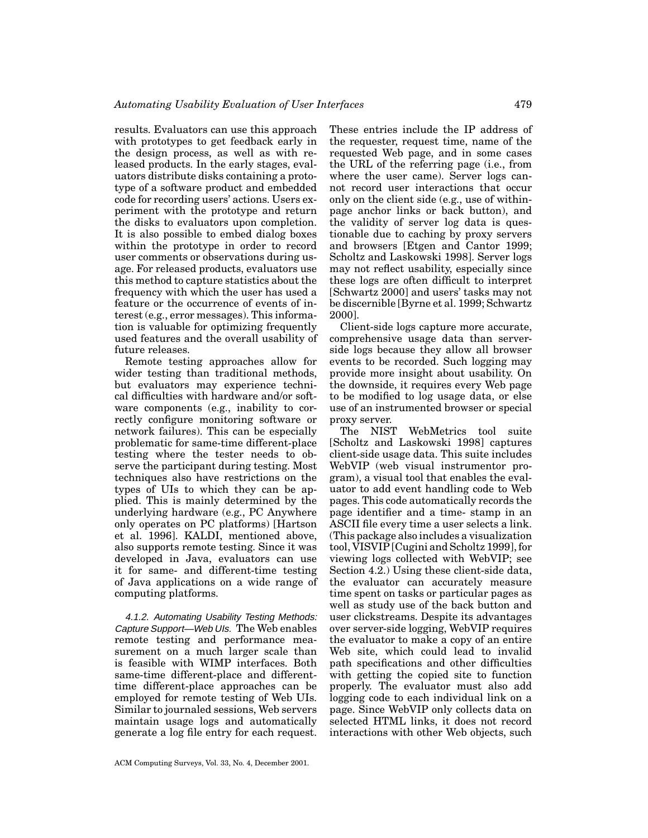results. Evaluators can use this approach with prototypes to get feedback early in the design process, as well as with released products. In the early stages, evaluators distribute disks containing a prototype of a software product and embedded code for recording users' actions. Users experiment with the prototype and return the disks to evaluators upon completion. It is also possible to embed dialog boxes within the prototype in order to record user comments or observations during usage. For released products, evaluators use this method to capture statistics about the frequency with which the user has used a feature or the occurrence of events of interest (e.g., error messages). This information is valuable for optimizing frequently used features and the overall usability of future releases.

Remote testing approaches allow for wider testing than traditional methods, but evaluators may experience technical difficulties with hardware and/or software components (e.g., inability to correctly configure monitoring software or network failures). This can be especially problematic for same-time different-place testing where the tester needs to observe the participant during testing. Most techniques also have restrictions on the types of UIs to which they can be applied. This is mainly determined by the underlying hardware (e.g., PC Anywhere only operates on PC platforms) [Hartson et al. 1996]. KALDI, mentioned above, also supports remote testing. Since it was developed in Java, evaluators can use it for same- and different-time testing of Java applications on a wide range of computing platforms.

4.1.2. Automating Usability Testing Methods: Capture Support—Web UIs. The Web enables remote testing and performance measurement on a much larger scale than is feasible with WIMP interfaces. Both same-time different-place and differenttime different-place approaches can be employed for remote testing of Web UIs. Similar to journaled sessions, Web servers maintain usage logs and automatically generate a log file entry for each request.

These entries include the IP address of the requester, request time, name of the requested Web page, and in some cases the URL of the referring page (i.e., from where the user came). Server logs cannot record user interactions that occur only on the client side (e.g., use of withinpage anchor links or back button), and the validity of server log data is questionable due to caching by proxy servers and browsers [Etgen and Cantor 1999; Scholtz and Laskowski 1998]. Server logs may not reflect usability, especially since these logs are often difficult to interpret [Schwartz 2000] and users' tasks may not be discernible [Byrne et al. 1999; Schwartz 2000].

Client-side logs capture more accurate, comprehensive usage data than serverside logs because they allow all browser events to be recorded. Such logging may provide more insight about usability. On the downside, it requires every Web page to be modified to log usage data, or else use of an instrumented browser or special proxy server.

The NIST WebMetrics tool suite [Scholtz and Laskowski 1998] captures client-side usage data. This suite includes WebVIP (web visual instrumentor program), a visual tool that enables the evaluator to add event handling code to Web pages. This code automatically records the page identifier and a time- stamp in an ASCII file every time a user selects a link. (This package also includes a visualization tool, VISVIP [Cugini and Scholtz 1999], for viewing logs collected with WebVIP; see Section 4.2.) Using these client-side data, the evaluator can accurately measure time spent on tasks or particular pages as well as study use of the back button and user clickstreams. Despite its advantages over server-side logging, WebVIP requires the evaluator to make a copy of an entire Web site, which could lead to invalid path specifications and other difficulties with getting the copied site to function properly. The evaluator must also add logging code to each individual link on a page. Since WebVIP only collects data on selected HTML links, it does not record interactions with other Web objects, such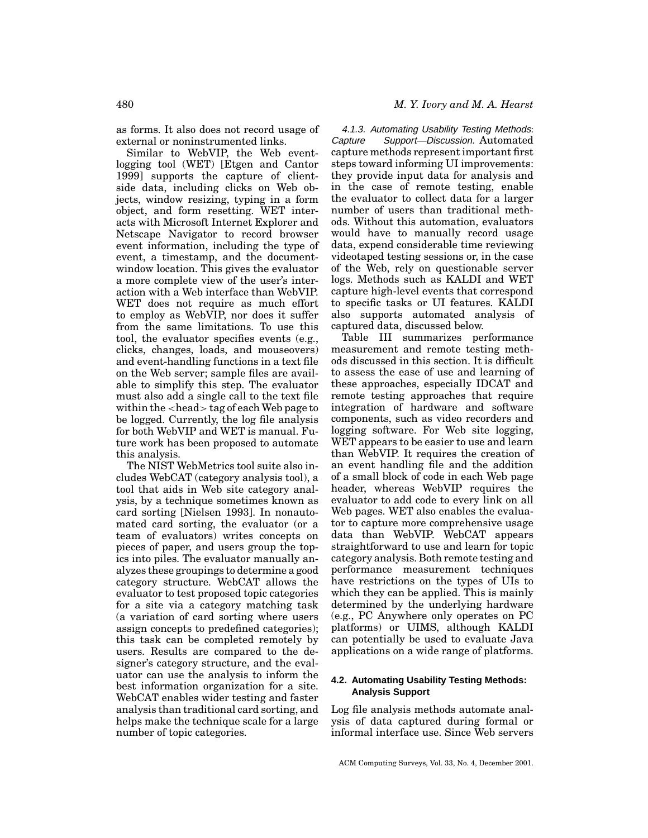as forms. It also does not record usage of external or noninstrumented links.

Similar to WebVIP, the Web eventlogging tool (WET) [Etgen and Cantor 1999] supports the capture of clientside data, including clicks on Web objects, window resizing, typing in a form object, and form resetting. WET interacts with Microsoft Internet Explorer and Netscape Navigator to record browser event information, including the type of event, a timestamp, and the documentwindow location. This gives the evaluator a more complete view of the user's interaction with a Web interface than WebVIP. WET does not require as much effort to employ as WebVIP, nor does it suffer from the same limitations. To use this tool, the evaluator specifies events (e.g., clicks, changes, loads, and mouseovers) and event-handling functions in a text file on the Web server; sample files are available to simplify this step. The evaluator must also add a single call to the text file within the <head> tag of each Web page to be logged. Currently, the log file analysis for both WebVIP and WET is manual. Future work has been proposed to automate this analysis.

The NIST WebMetrics tool suite also includes WebCAT (category analysis tool), a tool that aids in Web site category analysis, by a technique sometimes known as card sorting [Nielsen 1993]. In nonautomated card sorting, the evaluator (or a team of evaluators) writes concepts on pieces of paper, and users group the topics into piles. The evaluator manually analyzes these groupings to determine a good category structure. WebCAT allows the evaluator to test proposed topic categories for a site via a category matching task (a variation of card sorting where users assign concepts to predefined categories); this task can be completed remotely by users. Results are compared to the designer's category structure, and the evaluator can use the analysis to inform the best information organization for a site. WebCAT enables wider testing and faster analysis than traditional card sorting, and helps make the technique scale for a large number of topic categories.

4.1.3. Automating Usability Testing Methods: Capture Support—Discussion. Automated capture methods represent important first steps toward informing UI improvements: they provide input data for analysis and in the case of remote testing, enable the evaluator to collect data for a larger number of users than traditional methods. Without this automation, evaluators would have to manually record usage data, expend considerable time reviewing videotaped testing sessions or, in the case of the Web, rely on questionable server logs. Methods such as KALDI and WET capture high-level events that correspond to specific tasks or UI features. KALDI also supports automated analysis of captured data, discussed below.

Table III summarizes performance measurement and remote testing methods discussed in this section. It is difficult to assess the ease of use and learning of these approaches, especially IDCAT and remote testing approaches that require integration of hardware and software components, such as video recorders and logging software. For Web site logging, WET appears to be easier to use and learn than WebVIP. It requires the creation of an event handling file and the addition of a small block of code in each Web page header, whereas WebVIP requires the evaluator to add code to every link on all Web pages. WET also enables the evaluator to capture more comprehensive usage data than WebVIP. WebCAT appears straightforward to use and learn for topic category analysis. Both remote testing and performance measurement techniques have restrictions on the types of UIs to which they can be applied. This is mainly determined by the underlying hardware (e.g., PC Anywhere only operates on PC platforms) or UIMS, although KALDI can potentially be used to evaluate Java applications on a wide range of platforms.

# **4.2. Automating Usability Testing Methods: Analysis Support**

Log file analysis methods automate analysis of data captured during formal or informal interface use. Since Web servers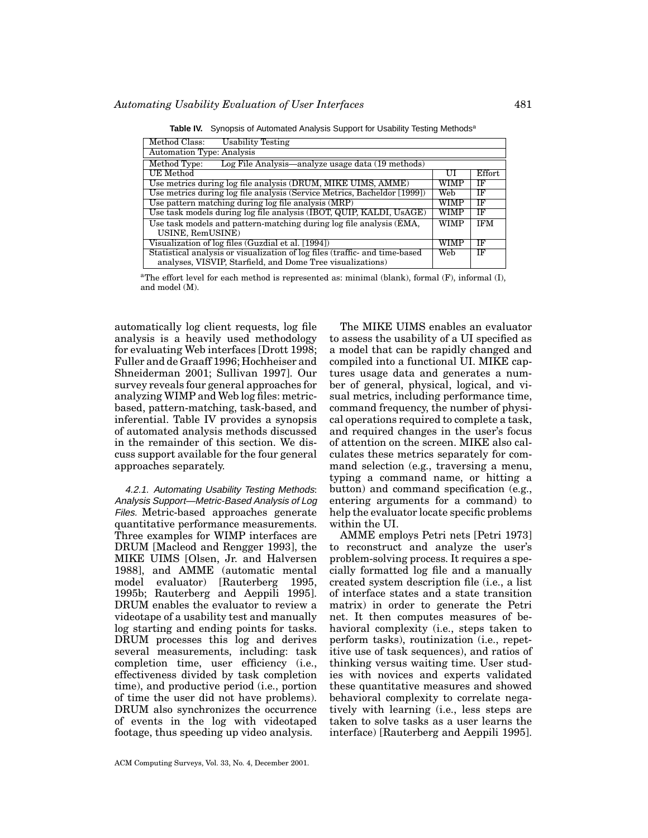**Table IV.** Synopsis of Automated Analysis Support for Usability Testing Methods<sup>a</sup>

| Method Class:<br><b>Usability Testing</b>                                                                                                  |               |  |  |
|--------------------------------------------------------------------------------------------------------------------------------------------|---------------|--|--|
|                                                                                                                                            |               |  |  |
|                                                                                                                                            |               |  |  |
| UП                                                                                                                                         | <b>Effort</b> |  |  |
| WIMP                                                                                                                                       | ΙF            |  |  |
| Web                                                                                                                                        | ΙF            |  |  |
| WIMP                                                                                                                                       | ΙF            |  |  |
| WIMP                                                                                                                                       | ΙF            |  |  |
| <b>WIMP</b>                                                                                                                                | <b>IFM</b>    |  |  |
|                                                                                                                                            | ΙF            |  |  |
|                                                                                                                                            | ΙF            |  |  |
| Statistical analysis or visualization of log files (traffic- and time-based)<br>analyses, VISVIP, Starfield, and Dome Tree visualizations) |               |  |  |
|                                                                                                                                            | WIMP<br>Web   |  |  |

aThe effort level for each method is represented as: minimal (blank), formal (F), informal (I), and model (M).

automatically log client requests, log file analysis is a heavily used methodology for evaluating Web interfaces [Drott 1998; Fuller and de Graaff 1996; Hochheiser and Shneiderman 2001; Sullivan 1997]. Our survey reveals four general approaches for analyzing WIMP and Web log files: metricbased, pattern-matching, task-based, and inferential. Table IV provides a synopsis of automated analysis methods discussed in the remainder of this section. We discuss support available for the four general approaches separately.

4.2.1. Automating Usability Testing Methods: Analysis Support—Metric-Based Analysis of Log Files. Metric-based approaches generate quantitative performance measurements. Three examples for WIMP interfaces are DRUM [Macleod and Rengger 1993], the MIKE UIMS [Olsen, Jr. and Halversen 1988], and AMME (automatic mental model evaluator) [Rauterberg 1995, 1995b; Rauterberg and Aeppili 1995]. DRUM enables the evaluator to review a videotape of a usability test and manually log starting and ending points for tasks. DRUM processes this log and derives several measurements, including: task completion time, user efficiency (i.e., effectiveness divided by task completion time), and productive period (i.e., portion of time the user did not have problems). DRUM also synchronizes the occurrence of events in the log with videotaped footage, thus speeding up video analysis.

to assess the usability of a UI specified as a model that can be rapidly changed and compiled into a functional UI. MIKE captures usage data and generates a number of general, physical, logical, and visual metrics, including performance time, command frequency, the number of physical operations required to complete a task, and required changes in the user's focus of attention on the screen. MIKE also calculates these metrics separately for command selection (e.g., traversing a menu, typing a command name, or hitting a button) and command specification (e.g., entering arguments for a command) to help the evaluator locate specific problems within the UI.

The MIKE UIMS enables an evaluator

AMME employs Petri nets [Petri 1973] to reconstruct and analyze the user's problem-solving process. It requires a specially formatted log file and a manually created system description file (i.e., a list of interface states and a state transition matrix) in order to generate the Petri net. It then computes measures of behavioral complexity (i.e., steps taken to perform tasks), routinization (i.e., repetitive use of task sequences), and ratios of thinking versus waiting time. User studies with novices and experts validated these quantitative measures and showed behavioral complexity to correlate negatively with learning (i.e., less steps are taken to solve tasks as a user learns the interface) [Rauterberg and Aeppili 1995].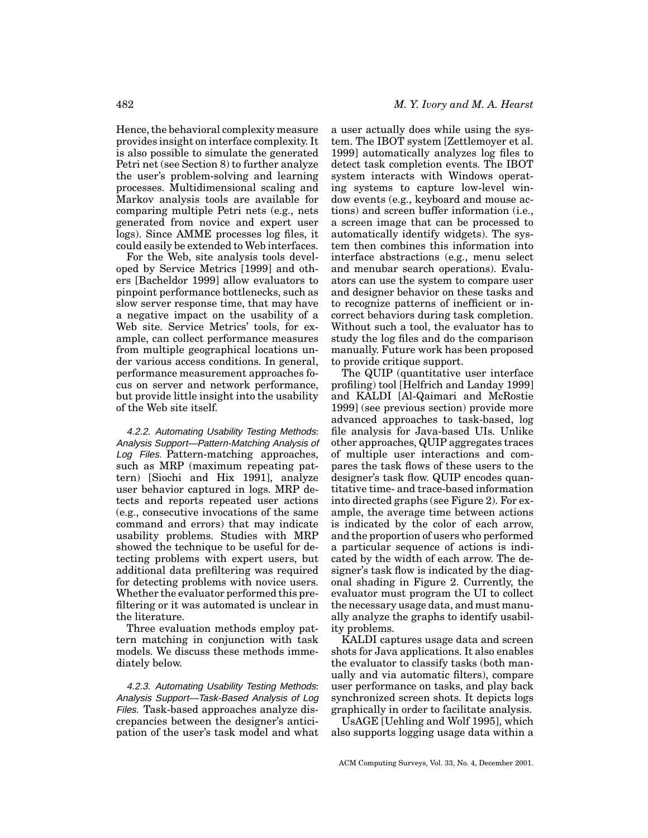Hence, the behavioral complexity measure provides insight on interface complexity. It is also possible to simulate the generated Petri net (see Section 8) to further analyze the user's problem-solving and learning processes. Multidimensional scaling and Markov analysis tools are available for comparing multiple Petri nets (e.g., nets generated from novice and expert user logs). Since AMME processes log files, it could easily be extended to Web interfaces.

For the Web, site analysis tools developed by Service Metrics [1999] and others [Bacheldor 1999] allow evaluators to pinpoint performance bottlenecks, such as slow server response time, that may have a negative impact on the usability of a Web site. Service Metrics' tools, for example, can collect performance measures from multiple geographical locations under various access conditions. In general, performance measurement approaches focus on server and network performance, but provide little insight into the usability of the Web site itself.

4.2.2. Automating Usability Testing Methods: Analysis Support—Pattern-Matching Analysis of Log Files. Pattern-matching approaches, such as MRP (maximum repeating pattern) [Siochi and Hix 1991], analyze user behavior captured in logs. MRP detects and reports repeated user actions (e.g., consecutive invocations of the same command and errors) that may indicate usability problems. Studies with MRP showed the technique to be useful for detecting problems with expert users, but additional data prefiltering was required for detecting problems with novice users. Whether the evaluator performed this prefiltering or it was automated is unclear in the literature.

Three evaluation methods employ pattern matching in conjunction with task models. We discuss these methods immediately below.

4.2.3. Automating Usability Testing Methods: Analysis Support—Task-Based Analysis of Log Files. Task-based approaches analyze discrepancies between the designer's anticipation of the user's task model and what a user actually does while using the system. The IBOT system [Zettlemoyer et al. 1999] automatically analyzes log files to detect task completion events. The IBOT system interacts with Windows operating systems to capture low-level window events (e.g., keyboard and mouse actions) and screen buffer information (i.e., a screen image that can be processed to automatically identify widgets). The system then combines this information into interface abstractions (e.g., menu select and menubar search operations). Evaluators can use the system to compare user and designer behavior on these tasks and to recognize patterns of inefficient or incorrect behaviors during task completion. Without such a tool, the evaluator has to study the log files and do the comparison manually. Future work has been proposed to provide critique support.

The QUIP (quantitative user interface profiling) tool [Helfrich and Landay 1999] and KALDI [Al-Qaimari and McRostie 1999] (see previous section) provide more advanced approaches to task-based, log file analysis for Java-based UIs. Unlike other approaches, QUIP aggregates traces of multiple user interactions and compares the task flows of these users to the designer's task flow. QUIP encodes quantitative time- and trace-based information into directed graphs (see Figure 2). For example, the average time between actions is indicated by the color of each arrow, and the proportion of users who performed a particular sequence of actions is indicated by the width of each arrow. The designer's task flow is indicated by the diagonal shading in Figure 2. Currently, the evaluator must program the UI to collect the necessary usage data, and must manually analyze the graphs to identify usability problems.

KALDI captures usage data and screen shots for Java applications. It also enables the evaluator to classify tasks (both manually and via automatic filters), compare user performance on tasks, and play back synchronized screen shots. It depicts logs graphically in order to facilitate analysis.

UsAGE [Uehling and Wolf 1995], which also supports logging usage data within a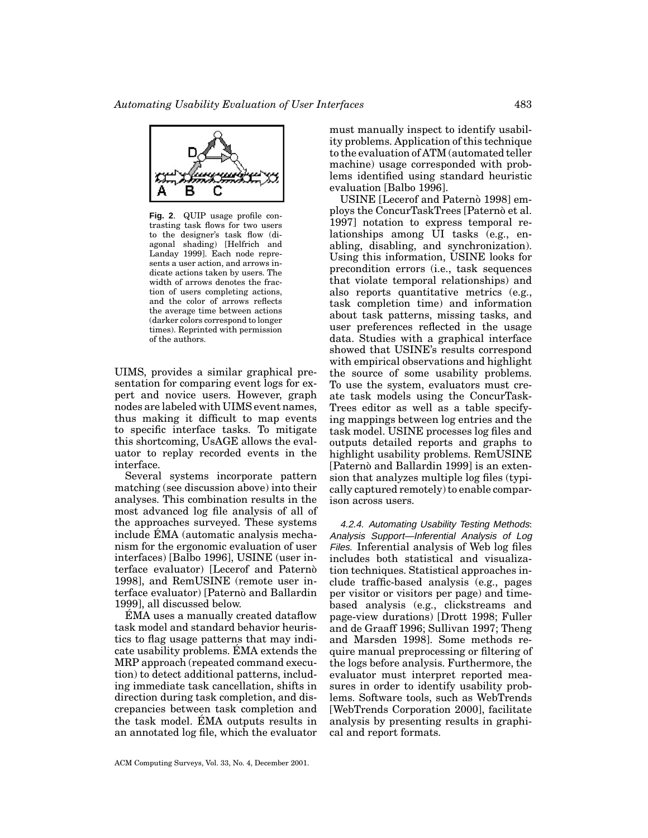

**Fig. 2**. QUIP usage profile contrasting task flows for two users to the designer's task flow (diagonal shading) [Helfrich and Landay 1999]. Each node represents a user action, and arrows indicate actions taken by users. The width of arrows denotes the fraction of users completing actions, and the color of arrows reflects the average time between actions (darker colors correspond to longer times). Reprinted with permission of the authors.

UIMS, provides a similar graphical presentation for comparing event logs for expert and novice users. However, graph nodes are labeled with UIMS event names, thus making it difficult to map events to specific interface tasks. To mitigate this shortcoming, UsAGE allows the evaluator to replay recorded events in the interface.

Several systems incorporate pattern matching (see discussion above) into their analyses. This combination results in the most advanced log file analysis of all of the approaches surveyed. These systems include EMA (automatic analysis mecha- ´ nism for the ergonomic evaluation of user interfaces) [Balbo 1996], USINE (user interface evaluator) [Lecerof and Paterno` 1998], and RemUSINE (remote user interface evaluator) [Paternò and Ballardin 1999], all discussed below.

EMA uses a manually created dataflow ´ task model and standard behavior heuristics to flag usage patterns that may indicate usability problems. EMA extends the ´ MRP approach (repeated command execution) to detect additional patterns, including immediate task cancellation, shifts in direction during task completion, and discrepancies between task completion and the task model. EMA outputs results in ´ an annotated log file, which the evaluator must manually inspect to identify usability problems. Application of this technique to the evaluation of ATM (automated teller machine) usage corresponded with problems identified using standard heuristic evaluation [Balbo 1996].

USINE [Lecerof and Paternò 1998] employs the ConcurTaskTrees [Paterno et al. 1997] notation to express temporal relationships among UI tasks (e.g., enabling, disabling, and synchronization). Using this information, USINE looks for precondition errors (i.e., task sequences that violate temporal relationships) and also reports quantitative metrics (e.g., task completion time) and information about task patterns, missing tasks, and user preferences reflected in the usage data. Studies with a graphical interface showed that USINE's results correspond with empirical observations and highlight the source of some usability problems. To use the system, evaluators must create task models using the ConcurTask-Trees editor as well as a table specifying mappings between log entries and the task model. USINE processes log files and outputs detailed reports and graphs to highlight usability problems. RemUSINE [Paternò and Ballardin 1999] is an extension that analyzes multiple log files (typically captured remotely) to enable comparison across users.

4.2.4. Automating Usability Testing Methods: Analysis Support—Inferential Analysis of Log Files. Inferential analysis of Web log files includes both statistical and visualization techniques. Statistical approaches include traffic-based analysis (e.g., pages per visitor or visitors per page) and timebased analysis (e.g., clickstreams and page-view durations) [Drott 1998; Fuller and de Graaff 1996; Sullivan 1997; Theng and Marsden 1998]. Some methods require manual preprocessing or filtering of the logs before analysis. Furthermore, the evaluator must interpret reported measures in order to identify usability problems. Software tools, such as WebTrends [WebTrends Corporation 2000], facilitate analysis by presenting results in graphical and report formats.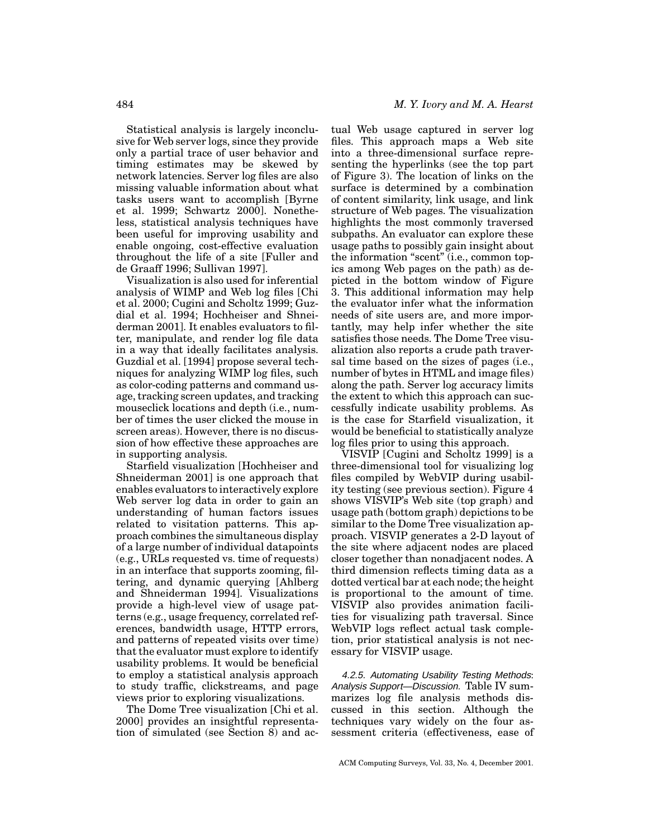Statistical analysis is largely inconclusive for Web server logs, since they provide only a partial trace of user behavior and timing estimates may be skewed by network latencies. Server log files are also missing valuable information about what tasks users want to accomplish [Byrne et al. 1999; Schwartz 2000]. Nonetheless, statistical analysis techniques have been useful for improving usability and enable ongoing, cost-effective evaluation throughout the life of a site [Fuller and de Graaff 1996; Sullivan 1997].

Visualization is also used for inferential analysis of WIMP and Web log files [Chi et al. 2000; Cugini and Scholtz 1999; Guzdial et al. 1994; Hochheiser and Shneiderman 2001]. It enables evaluators to filter, manipulate, and render log file data in a way that ideally facilitates analysis. Guzdial et al. [1994] propose several techniques for analyzing WIMP log files, such as color-coding patterns and command usage, tracking screen updates, and tracking mouseclick locations and depth (i.e., number of times the user clicked the mouse in screen areas). However, there is no discussion of how effective these approaches are in supporting analysis.

Starfield visualization [Hochheiser and Shneiderman 2001] is one approach that enables evaluators to interactively explore Web server log data in order to gain an understanding of human factors issues related to visitation patterns. This approach combines the simultaneous display of a large number of individual datapoints (e.g., URLs requested vs. time of requests) in an interface that supports zooming, filtering, and dynamic querying [Ahlberg and Shneiderman 1994]. Visualizations provide a high-level view of usage patterns (e.g., usage frequency, correlated references, bandwidth usage, HTTP errors, and patterns of repeated visits over time) that the evaluator must explore to identify usability problems. It would be beneficial to employ a statistical analysis approach to study traffic, clickstreams, and page views prior to exploring visualizations.

The Dome Tree visualization [Chi et al. 2000] provides an insightful representation of simulated (see Section 8) and actual Web usage captured in server log files. This approach maps a Web site into a three-dimensional surface representing the hyperlinks (see the top part of Figure 3). The location of links on the surface is determined by a combination of content similarity, link usage, and link structure of Web pages. The visualization highlights the most commonly traversed subpaths. An evaluator can explore these usage paths to possibly gain insight about the information "scent" (i.e., common topics among Web pages on the path) as depicted in the bottom window of Figure 3. This additional information may help the evaluator infer what the information needs of site users are, and more importantly, may help infer whether the site satisfies those needs. The Dome Tree visualization also reports a crude path traversal time based on the sizes of pages (i.e., number of bytes in HTML and image files) along the path. Server log accuracy limits the extent to which this approach can successfully indicate usability problems. As is the case for Starfield visualization, it would be beneficial to statistically analyze log files prior to using this approach.

VISVIP [Cugini and Scholtz 1999] is a three-dimensional tool for visualizing log files compiled by WebVIP during usability testing (see previous section). Figure 4 shows VISVIP's Web site (top graph) and usage path (bottom graph) depictions to be similar to the Dome Tree visualization approach. VISVIP generates a 2-D layout of the site where adjacent nodes are placed closer together than nonadjacent nodes. A third dimension reflects timing data as a dotted vertical bar at each node; the height is proportional to the amount of time. VISVIP also provides animation facilities for visualizing path traversal. Since WebVIP logs reflect actual task completion, prior statistical analysis is not necessary for VISVIP usage.

4.2.5. Automating Usability Testing Methods: Analysis Support—Discussion. Table IV summarizes log file analysis methods discussed in this section. Although the techniques vary widely on the four assessment criteria (effectiveness, ease of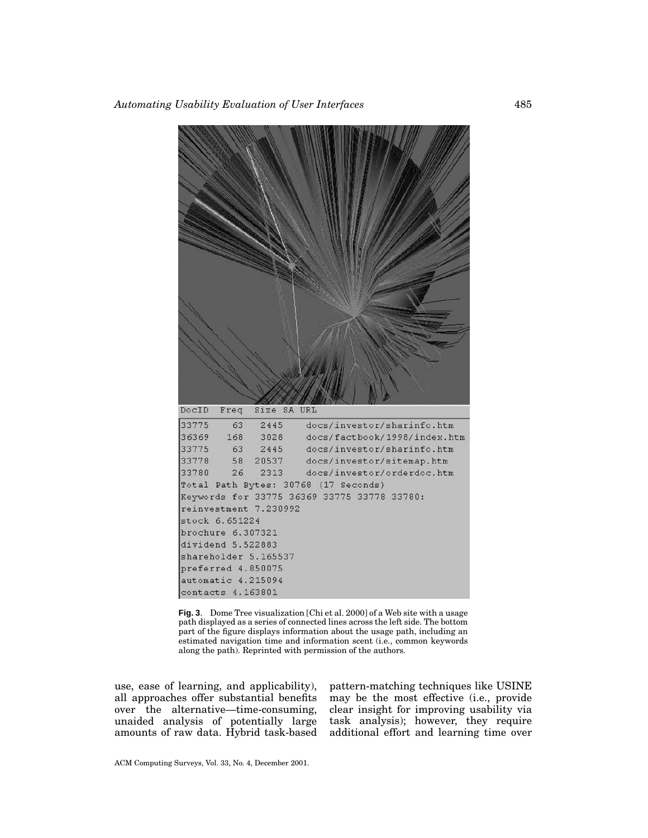

**Fig. 3**. Dome Tree visualization [Chi et al. 2000] of a Web site with a usage path displayed as a series of connected lines across the left side. The bottom part of the figure displays information about the usage path, including an estimated navigation time and information scent (i.e., common keywords along the path). Reprinted with permission of the authors.

use, ease of learning, and applicability), all approaches offer substantial benefits over the alternative—time-consuming, unaided analysis of potentially large amounts of raw data. Hybrid task-based

pattern-matching techniques like USINE may be the most effective (i.e., provide clear insight for improving usability via task analysis); however, they require additional effort and learning time over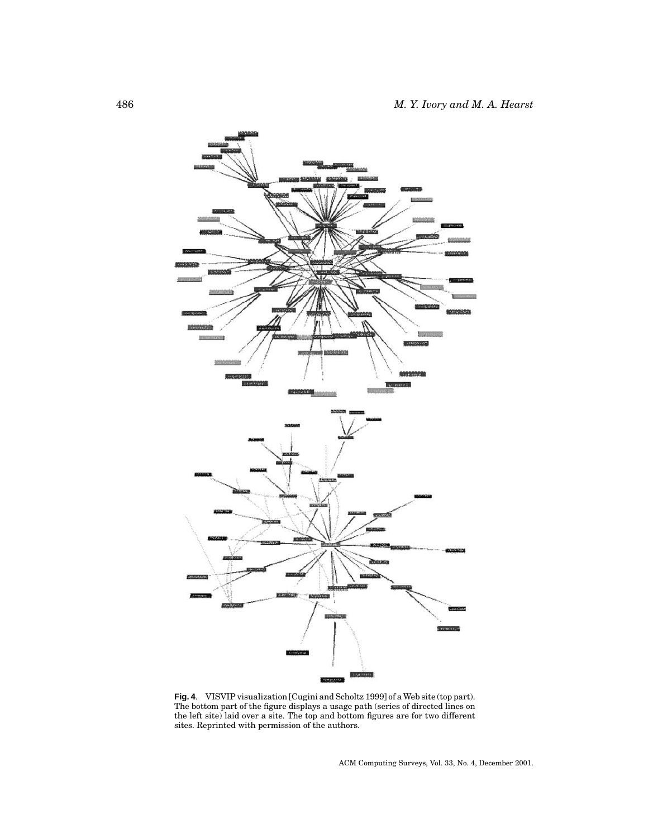

**Fig. 4**. VISVIP visualization [Cugini and Scholtz 1999] of a Web site (top part). The bottom part of the figure displays a usage path (series of directed lines on the left site) laid over a site. The top and bottom figures are for two different sites. Reprinted with permission of the authors.

ACM Computing Surveys, Vol. 33, No. 4, December 2001.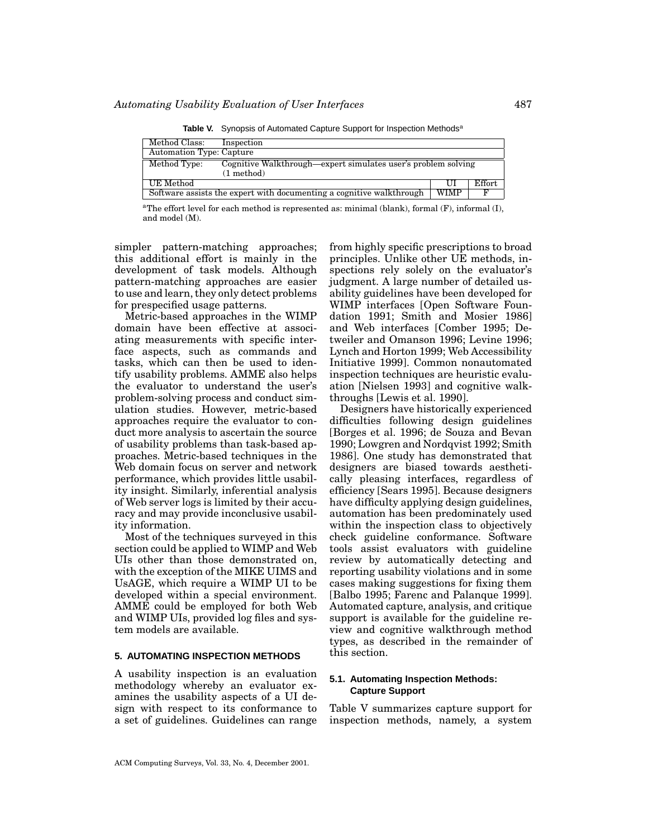Table V. Synopsis of Automated Capture Support for Inspection Methods<sup>a</sup>

| <b>Automation Type: Capture</b><br>Method Type:<br>Cognitive Walkthrough—expert simulates user's problem solving |             |               |
|------------------------------------------------------------------------------------------------------------------|-------------|---------------|
|                                                                                                                  |             |               |
| $(1 \text{ method})$                                                                                             |             |               |
| UE Method                                                                                                        | UП          | <b>Effort</b> |
| Software assists the expert with documenting a cognitive walkthrough                                             | <b>WIMP</b> | F             |

aThe effort level for each method is represented as: minimal (blank), formal (F), informal (I), and model (M).

simpler pattern-matching approaches; this additional effort is mainly in the development of task models. Although pattern-matching approaches are easier to use and learn, they only detect problems for prespecified usage patterns.

Metric-based approaches in the WIMP domain have been effective at associating measurements with specific interface aspects, such as commands and tasks, which can then be used to identify usability problems. AMME also helps the evaluator to understand the user's problem-solving process and conduct simulation studies. However, metric-based approaches require the evaluator to conduct more analysis to ascertain the source of usability problems than task-based approaches. Metric-based techniques in the Web domain focus on server and network performance, which provides little usability insight. Similarly, inferential analysis of Web server logs is limited by their accuracy and may provide inconclusive usability information.

Most of the techniques surveyed in this section could be applied to WIMP and Web UIs other than those demonstrated on, with the exception of the MIKE UIMS and UsAGE, which require a WIMP UI to be developed within a special environment. AMME could be employed for both Web and WIMP UIs, provided log files and system models are available.

### **5. AUTOMATING INSPECTION METHODS**

A usability inspection is an evaluation methodology whereby an evaluator examines the usability aspects of a UI design with respect to its conformance to a set of guidelines. Guidelines can range

from highly specific prescriptions to broad principles. Unlike other UE methods, inspections rely solely on the evaluator's judgment. A large number of detailed usability guidelines have been developed for WIMP interfaces [Open Software Foundation 1991; Smith and Mosier 1986] and Web interfaces [Comber 1995; Detweiler and Omanson 1996; Levine 1996; Lynch and Horton 1999; Web Accessibility Initiative 1999]. Common nonautomated inspection techniques are heuristic evaluation [Nielsen 1993] and cognitive walkthroughs [Lewis et al. 1990].

Designers have historically experienced difficulties following design guidelines [Borges et al. 1996; de Souza and Bevan 1990; Lowgren and Nordqvist 1992; Smith 1986]. One study has demonstrated that designers are biased towards aesthetically pleasing interfaces, regardless of efficiency [Sears 1995]. Because designers have difficulty applying design guidelines, automation has been predominately used within the inspection class to objectively check guideline conformance. Software tools assist evaluators with guideline review by automatically detecting and reporting usability violations and in some cases making suggestions for fixing them [Balbo 1995; Farenc and Palanque 1999]. Automated capture, analysis, and critique support is available for the guideline review and cognitive walkthrough method types, as described in the remainder of this section.

# **5.1. Automating Inspection Methods: Capture Support**

Table V summarizes capture support for inspection methods, namely, a system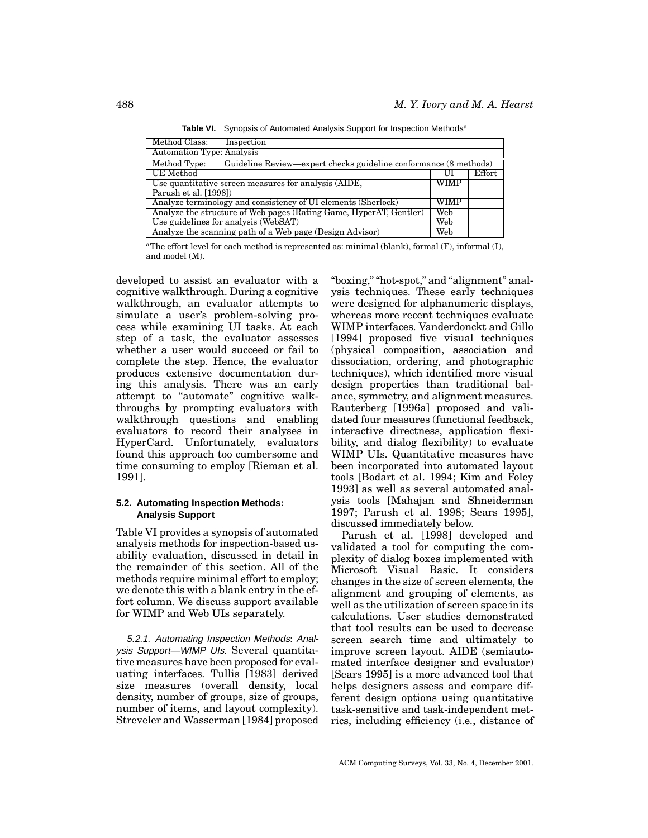**Table VI.** Synopsis of Automated Analysis Support for Inspection Methods<sup>a</sup>

| Method Class:<br>Inspection                                                      |      |        |
|----------------------------------------------------------------------------------|------|--------|
| <b>Automation Type: Analysis</b>                                                 |      |        |
| Guideline Review—expert checks guideline conformance (8 methods)<br>Method Type: |      |        |
| UE Method                                                                        | UI   | Effort |
| Use quantitative screen measures for analysis (AIDE,                             | WIMP |        |
| Parush et al. [1998])                                                            |      |        |
| Analyze terminology and consistency of UI elements (Sherlock)                    | WIMP |        |
| Analyze the structure of Web pages (Rating Game, HyperAT, Gentler)               | Web  |        |
| Use guidelines for analysis (WebSAT)                                             | Web  |        |
| Analyze the scanning path of a Web page (Design Advisor)                         | Web  |        |

<sup>a</sup>The effort level for each method is represented as: minimal (blank), formal  $(F)$ , informal  $(I)$ , and model (M).

developed to assist an evaluator with a cognitive walkthrough. During a cognitive walkthrough, an evaluator attempts to simulate a user's problem-solving process while examining UI tasks. At each step of a task, the evaluator assesses whether a user would succeed or fail to complete the step. Hence, the evaluator produces extensive documentation during this analysis. There was an early attempt to "automate" cognitive walkthroughs by prompting evaluators with walkthrough questions and enabling evaluators to record their analyses in HyperCard. Unfortunately, evaluators found this approach too cumbersome and time consuming to employ [Rieman et al. 1991].

# **5.2. Automating Inspection Methods: Analysis Support**

Table VI provides a synopsis of automated analysis methods for inspection-based usability evaluation, discussed in detail in the remainder of this section. All of the methods require minimal effort to employ; we denote this with a blank entry in the effort column. We discuss support available for WIMP and Web UIs separately.

5.2.1. Automating Inspection Methods: Analysis Support—WIMP UIs. Several quantitative measures have been proposed for evaluating interfaces. Tullis [1983] derived size measures (overall density, local density, number of groups, size of groups, number of items, and layout complexity). Streveler and Wasserman [1984] proposed "boxing," "hot-spot," and "alignment" analysis techniques. These early techniques were designed for alphanumeric displays, whereas more recent techniques evaluate WIMP interfaces. Vanderdonckt and Gillo [1994] proposed five visual techniques (physical composition, association and dissociation, ordering, and photographic techniques), which identified more visual design properties than traditional balance, symmetry, and alignment measures. Rauterberg [1996a] proposed and validated four measures (functional feedback, interactive directness, application flexibility, and dialog flexibility) to evaluate WIMP UIs. Quantitative measures have been incorporated into automated layout tools [Bodart et al. 1994; Kim and Foley 1993] as well as several automated analysis tools [Mahajan and Shneiderman 1997; Parush et al. 1998; Sears 1995], discussed immediately below.

Parush et al. [1998] developed and validated a tool for computing the complexity of dialog boxes implemented with Microsoft Visual Basic. It considers changes in the size of screen elements, the alignment and grouping of elements, as well as the utilization of screen space in its calculations. User studies demonstrated that tool results can be used to decrease screen search time and ultimately to improve screen layout. AIDE (semiautomated interface designer and evaluator) [Sears 1995] is a more advanced tool that helps designers assess and compare different design options using quantitative task-sensitive and task-independent metrics, including efficiency (i.e., distance of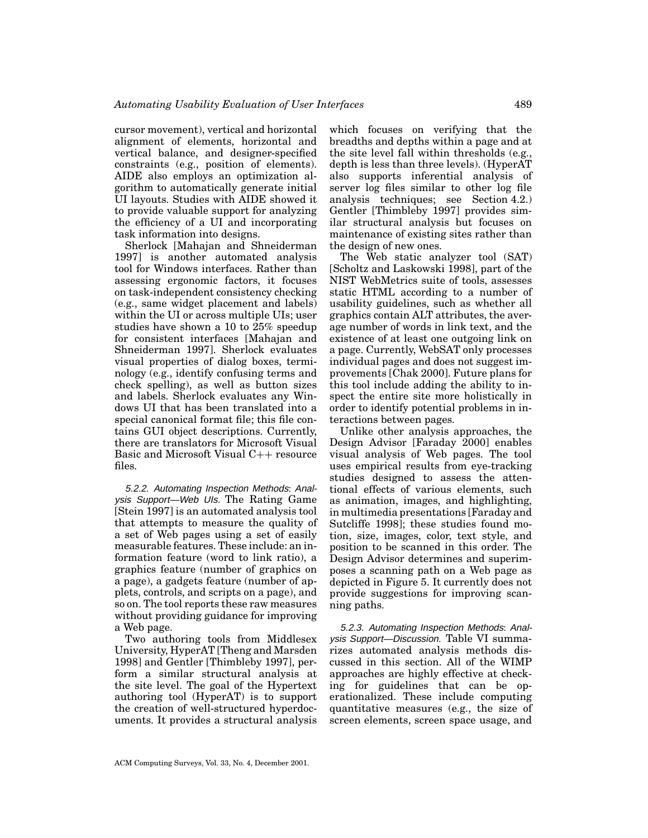cursor movement), vertical and horizontal alignment of elements, horizontal and vertical balance, and designer-specified constraints (e.g., position of elements). AIDE also employs an optimization algorithm to automatically generate initial UI layouts. Studies with AIDE showed it to provide valuable support for analyzing the efficiency of a UI and incorporating task information into designs.

Sherlock [Mahajan and Shneiderman 1997] is another automated analysis tool for Windows interfaces. Rather than assessing ergonomic factors, it focuses on task-independent consistency checking (e.g., same widget placement and labels) within the UI or across multiple UIs; user studies have shown a 10 to 25% speedup for consistent interfaces [Mahajan and Shneiderman 1997]. Sherlock evaluates visual properties of dialog boxes, terminology (e.g., identify confusing terms and check spelling), as well as button sizes and labels. Sherlock evaluates any Windows UI that has been translated into a special canonical format file; this file contains GUI object descriptions. Currently, there are translators for Microsoft Visual Basic and Microsoft Visual C++ resource files.

5.2.2. Automating Inspection Methods: Analysis Support—Web UIs. The Rating Game [Stein 1997] is an automated analysis tool that attempts to measure the quality of a set of Web pages using a set of easily measurable features. These include: an information feature (word to link ratio), a graphics feature (number of graphics on a page), a gadgets feature (number of applets, controls, and scripts on a page), and so on. The tool reports these raw measures without providing guidance for improving a Web page.

Two authoring tools from Middlesex University, HyperAT [Theng and Marsden 1998] and Gentler [Thimbleby 1997], perform a similar structural analysis at the site level. The goal of the Hypertext authoring tool (HyperAT) is to support the creation of well-structured hyperdocuments. It provides a structural analysis

which focuses on verifying that the breadths and depths within a page and at the site level fall within thresholds (e.g., depth is less than three levels). (HyperAT also supports inferential analysis of server log files similar to other log file analysis techniques; see Section 4.2.) Gentler [Thimbleby 1997] provides similar structural analysis but focuses on maintenance of existing sites rather than the design of new ones.

The Web static analyzer tool (SAT) [Scholtz and Laskowski 1998], part of the NIST WebMetrics suite of tools, assesses static HTML according to a number of usability guidelines, such as whether all graphics contain ALT attributes, the average number of words in link text, and the existence of at least one outgoing link on a page. Currently, WebSAT only processes individual pages and does not suggest improvements [Chak 2000]. Future plans for this tool include adding the ability to inspect the entire site more holistically in order to identify potential problems in interactions between pages.

Unlike other analysis approaches, the Design Advisor [Faraday 2000] enables visual analysis of Web pages. The tool uses empirical results from eye-tracking studies designed to assess the attentional effects of various elements, such as animation, images, and highlighting, in multimedia presentations [Faraday and Sutcliffe 1998]; these studies found motion, size, images, color, text style, and position to be scanned in this order. The Design Advisor determines and superimposes a scanning path on a Web page as depicted in Figure 5. It currently does not provide suggestions for improving scanning paths.

5.2.3. Automating Inspection Methods: Analysis Support—Discussion. Table VI summarizes automated analysis methods discussed in this section. All of the WIMP approaches are highly effective at checking for guidelines that can be operationalized. These include computing quantitative measures (e.g., the size of screen elements, screen space usage, and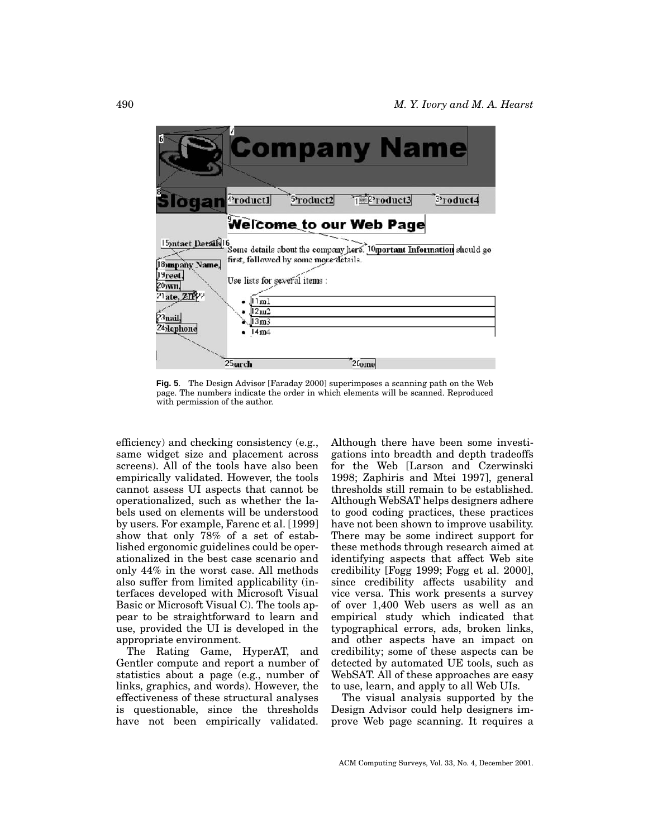

**Fig. 5**. The Design Advisor [Faraday 2000] superimposes a scanning path on the Web page. The numbers indicate the order in which elements will be scanned. Reproduced with permission of the author.

efficiency) and checking consistency (e.g., same widget size and placement across screens). All of the tools have also been empirically validated. However, the tools cannot assess UI aspects that cannot be operationalized, such as whether the labels used on elements will be understood by users. For example, Farenc et al. [1999] show that only 78% of a set of established ergonomic guidelines could be operationalized in the best case scenario and only 44% in the worst case. All methods also suffer from limited applicability (interfaces developed with Microsoft Visual Basic or Microsoft Visual C). The tools appear to be straightforward to learn and use, provided the UI is developed in the appropriate environment.

The Rating Game, HyperAT, and Gentler compute and report a number of statistics about a page (e.g., number of links, graphics, and words). However, the effectiveness of these structural analyses is questionable, since the thresholds have not been empirically validated. Although there have been some investigations into breadth and depth tradeoffs for the Web [Larson and Czerwinski 1998; Zaphiris and Mtei 1997], general thresholds still remain to be established. Although WebSAT helps designers adhere to good coding practices, these practices have not been shown to improve usability. There may be some indirect support for these methods through research aimed at identifying aspects that affect Web site credibility [Fogg 1999; Fogg et al. 2000], since credibility affects usability and vice versa. This work presents a survey of over 1,400 Web users as well as an empirical study which indicated that typographical errors, ads, broken links, and other aspects have an impact on credibility; some of these aspects can be detected by automated UE tools, such as WebSAT. All of these approaches are easy to use, learn, and apply to all Web UIs.

The visual analysis supported by the Design Advisor could help designers improve Web page scanning. It requires a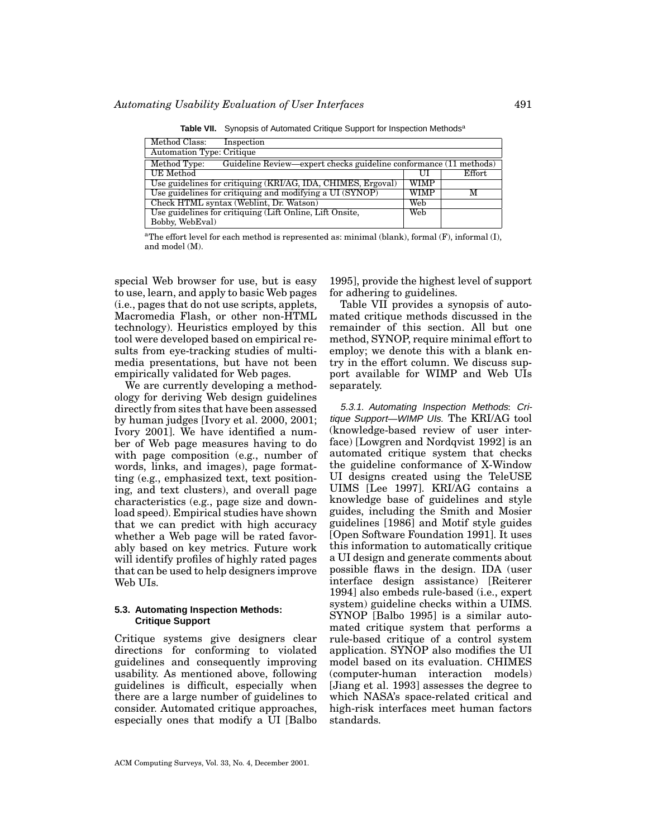**Table VII.** Synopsis of Automated Critique Support for Inspection Methods<sup>a</sup>

| Method Class:<br>Inspection                                                       |     |               |
|-----------------------------------------------------------------------------------|-----|---------------|
| <b>Automation Type: Critique</b>                                                  |     |               |
| Guideline Review—expert checks guideline conformance (11 methods)<br>Method Type: |     |               |
| UE Method                                                                         |     | <b>Effort</b> |
| Use guidelines for critiquing (KRI/AG, IDA, CHIMES, Ergoval)<br><b>WIMP</b>       |     |               |
| Use guidelines for critiquing and modifying a UI (SYNOP)<br><b>WIMP</b><br>M      |     |               |
| Check HTML syntax (Weblint, Dr. Watson)                                           | Web |               |
| Use guidelines for critiquing (Lift Online, Lift Onsite,                          | Web |               |
| Bobby, WebEval)                                                                   |     |               |

<sup>a</sup>The effort level for each method is represented as: minimal (blank), formal (F), informal (I), and model (M).

special Web browser for use, but is easy to use, learn, and apply to basic Web pages (i.e., pages that do not use scripts, applets, Macromedia Flash, or other non-HTML technology). Heuristics employed by this tool were developed based on empirical results from eye-tracking studies of multimedia presentations, but have not been empirically validated for Web pages.

We are currently developing a methodology for deriving Web design guidelines directly from sites that have been assessed by human judges [Ivory et al. 2000, 2001; Ivory 2001]. We have identified a number of Web page measures having to do with page composition (e.g., number of words, links, and images), page formatting (e.g., emphasized text, text positioning, and text clusters), and overall page characteristics (e.g., page size and download speed). Empirical studies have shown that we can predict with high accuracy whether a Web page will be rated favorably based on key metrics. Future work will identify profiles of highly rated pages that can be used to help designers improve Web UIs.

# **5.3. Automating Inspection Methods: Critique Support**

Critique systems give designers clear directions for conforming to violated guidelines and consequently improving usability. As mentioned above, following guidelines is difficult, especially when there are a large number of guidelines to consider. Automated critique approaches, especially ones that modify a UI [Balbo

1995], provide the highest level of support for adhering to guidelines.

Table VII provides a synopsis of automated critique methods discussed in the remainder of this section. All but one method, SYNOP, require minimal effort to employ; we denote this with a blank entry in the effort column. We discuss support available for WIMP and Web UIs separately.

5.3.1. Automating Inspection Methods: Critique Support—WIMP UIs. The KRI/AG tool (knowledge-based review of user interface) [Lowgren and Nordqvist 1992] is an automated critique system that checks the guideline conformance of X-Window UI designs created using the TeleUSE UIMS [Lee 1997]. KRI/AG contains a knowledge base of guidelines and style guides, including the Smith and Mosier guidelines [1986] and Motif style guides [Open Software Foundation 1991]. It uses this information to automatically critique a UI design and generate comments about possible flaws in the design. IDA (user interface design assistance) [Reiterer 1994] also embeds rule-based (i.e., expert system) guideline checks within a UIMS. SYNOP [Balbo 1995] is a similar automated critique system that performs a rule-based critique of a control system application. SYNOP also modifies the UI model based on its evaluation. CHIMES (computer-human interaction models) [Jiang et al. 1993] assesses the degree to which NASA's space-related critical and high-risk interfaces meet human factors standards.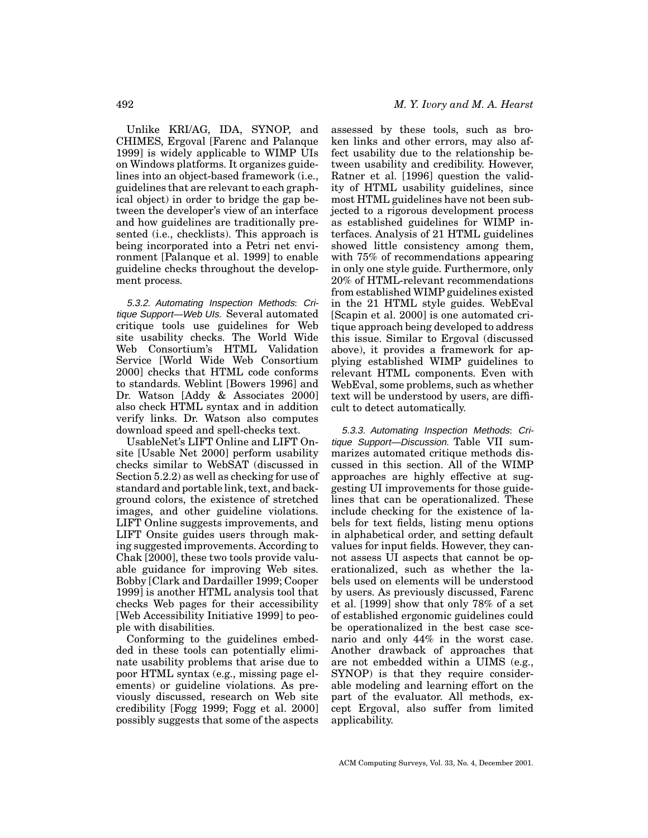Unlike KRI/AG, IDA, SYNOP, and CHIMES, Ergoval [Farenc and Palanque 1999] is widely applicable to WIMP UIs on Windows platforms. It organizes guidelines into an object-based framework (i.e., guidelines that are relevant to each graphical object) in order to bridge the gap between the developer's view of an interface and how guidelines are traditionally presented (i.e., checklists). This approach is being incorporated into a Petri net environment [Palanque et al. 1999] to enable guideline checks throughout the development process.

5.3.2. Automating Inspection Methods: Critique Support—Web UIs. Several automated critique tools use guidelines for Web site usability checks. The World Wide Web Consortium's HTML Validation Service [World Wide Web Consortium 2000] checks that HTML code conforms to standards. Weblint [Bowers 1996] and Dr. Watson [Addy & Associates 2000] also check HTML syntax and in addition verify links. Dr. Watson also computes download speed and spell-checks text.

UsableNet's LIFT Online and LIFT Onsite [Usable Net 2000] perform usability checks similar to WebSAT (discussed in Section 5.2.2) as well as checking for use of standard and portable link, text, and background colors, the existence of stretched images, and other guideline violations. LIFT Online suggests improvements, and LIFT Onsite guides users through making suggested improvements. According to Chak [2000], these two tools provide valuable guidance for improving Web sites. Bobby [Clark and Dardailler 1999; Cooper 1999] is another HTML analysis tool that checks Web pages for their accessibility [Web Accessibility Initiative 1999] to people with disabilities.

Conforming to the guidelines embedded in these tools can potentially eliminate usability problems that arise due to poor HTML syntax (e.g., missing page elements) or guideline violations. As previously discussed, research on Web site credibility [Fogg 1999; Fogg et al. 2000] possibly suggests that some of the aspects assessed by these tools, such as broken links and other errors, may also affect usability due to the relationship between usability and credibility. However, Ratner et al. [1996] question the validity of HTML usability guidelines, since most HTML guidelines have not been subjected to a rigorous development process as established guidelines for WIMP interfaces. Analysis of 21 HTML guidelines showed little consistency among them, with 75% of recommendations appearing in only one style guide. Furthermore, only 20% of HTML-relevant recommendations from established WIMP guidelines existed in the 21 HTML style guides. WebEval [Scapin et al. 2000] is one automated critique approach being developed to address this issue. Similar to Ergoval (discussed above), it provides a framework for applying established WIMP guidelines to relevant HTML components. Even with WebEval, some problems, such as whether text will be understood by users, are difficult to detect automatically.

5.3.3. Automating Inspection Methods: Critique Support—Discussion. Table VII summarizes automated critique methods discussed in this section. All of the WIMP approaches are highly effective at suggesting UI improvements for those guidelines that can be operationalized. These include checking for the existence of labels for text fields, listing menu options in alphabetical order, and setting default values for input fields. However, they cannot assess UI aspects that cannot be operationalized, such as whether the labels used on elements will be understood by users. As previously discussed, Farenc et al. [1999] show that only 78% of a set of established ergonomic guidelines could be operationalized in the best case scenario and only 44% in the worst case. Another drawback of approaches that are not embedded within a UIMS (e.g., SYNOP) is that they require considerable modeling and learning effort on the part of the evaluator. All methods, except Ergoval, also suffer from limited applicability.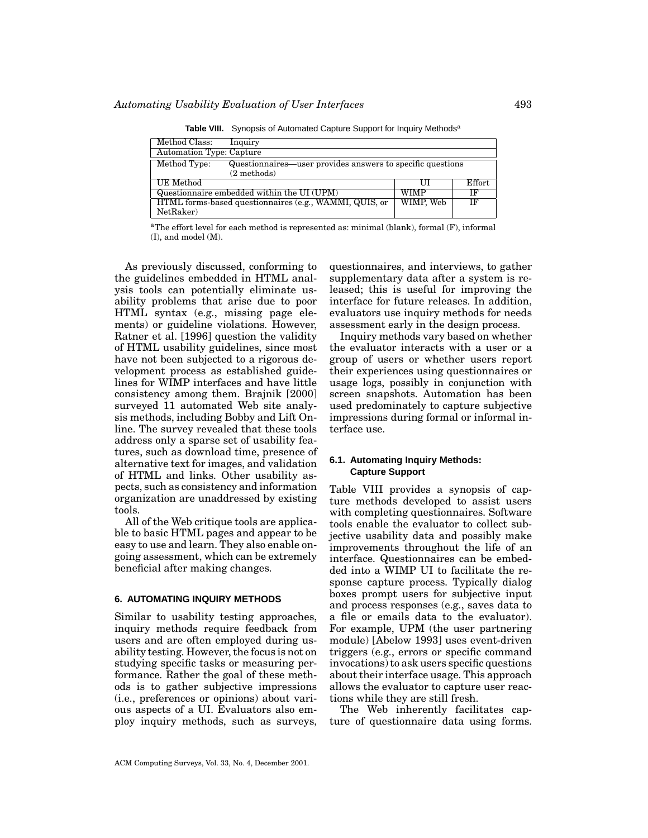Table VIII. Synopsis of Automated Capture Support for Inquiry Methods<sup>a</sup>

| Method Class:<br>Inquiry                                                                  |             |               |
|-------------------------------------------------------------------------------------------|-------------|---------------|
| <b>Automation Type: Capture</b>                                                           |             |               |
| Method Type:<br>Questionnaires—user provides answers to specific questions<br>(2 methods) |             |               |
| UE Method                                                                                 |             | <b>Effort</b> |
| Questionnaire embedded within the UI (UPM)                                                | <b>WIMP</b> | ΙF            |
| HTML forms-based questionnaires (e.g., WAMMI, QUIS, or                                    | WIMP, Web   | ΙF            |
| NetRaker)                                                                                 |             |               |

aThe effort level for each method is represented as: minimal (blank), formal (F), informal (I), and model (M).

As previously discussed, conforming to the guidelines embedded in HTML analysis tools can potentially eliminate usability problems that arise due to poor HTML syntax (e.g., missing page elements) or guideline violations. However, Ratner et al. [1996] question the validity of HTML usability guidelines, since most have not been subjected to a rigorous development process as established guidelines for WIMP interfaces and have little consistency among them. Brajnik [2000] surveyed 11 automated Web site analysis methods, including Bobby and Lift Online. The survey revealed that these tools address only a sparse set of usability features, such as download time, presence of alternative text for images, and validation of HTML and links. Other usability aspects, such as consistency and information organization are unaddressed by existing tools.

All of the Web critique tools are applicable to basic HTML pages and appear to be easy to use and learn. They also enable ongoing assessment, which can be extremely beneficial after making changes.

# **6. AUTOMATING INQUIRY METHODS**

Similar to usability testing approaches, inquiry methods require feedback from users and are often employed during usability testing. However, the focus is not on studying specific tasks or measuring performance. Rather the goal of these methods is to gather subjective impressions (i.e., preferences or opinions) about various aspects of a UI. Evaluators also employ inquiry methods, such as surveys,

questionnaires, and interviews, to gather supplementary data after a system is released; this is useful for improving the interface for future releases. In addition, evaluators use inquiry methods for needs assessment early in the design process.

Inquiry methods vary based on whether the evaluator interacts with a user or a group of users or whether users report their experiences using questionnaires or usage logs, possibly in conjunction with screen snapshots. Automation has been used predominately to capture subjective impressions during formal or informal interface use.

# **6.1. Automating Inquiry Methods: Capture Support**

Table VIII provides a synopsis of capture methods developed to assist users with completing questionnaires. Software tools enable the evaluator to collect subjective usability data and possibly make improvements throughout the life of an interface. Questionnaires can be embedded into a WIMP UI to facilitate the response capture process. Typically dialog boxes prompt users for subjective input and process responses (e.g., saves data to a file or emails data to the evaluator). For example, UPM (the user partnering module) [Abelow 1993] uses event-driven triggers (e.g., errors or specific command invocations) to ask users specific questions about their interface usage. This approach allows the evaluator to capture user reactions while they are still fresh.

The Web inherently facilitates capture of questionnaire data using forms.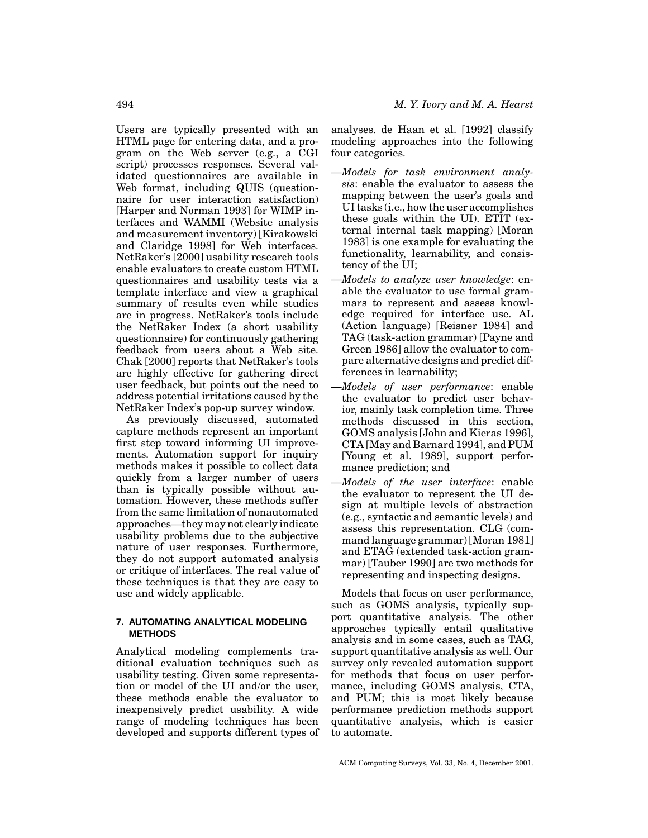Users are typically presented with an HTML page for entering data, and a program on the Web server (e.g., a CGI script) processes responses. Several validated questionnaires are available in Web format, including QUIS (questionnaire for user interaction satisfaction) [Harper and Norman 1993] for WIMP interfaces and WAMMI (Website analysis and measurement inventory) [Kirakowski and Claridge 1998] for Web interfaces. NetRaker's [2000] usability research tools enable evaluators to create custom HTML questionnaires and usability tests via a template interface and view a graphical summary of results even while studies are in progress. NetRaker's tools include the NetRaker Index (a short usability questionnaire) for continuously gathering feedback from users about a Web site. Chak [2000] reports that NetRaker's tools are highly effective for gathering direct user feedback, but points out the need to address potential irritations caused by the NetRaker Index's pop-up survey window.

As previously discussed, automated capture methods represent an important first step toward informing UI improvements. Automation support for inquiry methods makes it possible to collect data quickly from a larger number of users than is typically possible without automation. However, these methods suffer from the same limitation of nonautomated approaches—they may not clearly indicate usability problems due to the subjective nature of user responses. Furthermore, they do not support automated analysis or critique of interfaces. The real value of these techniques is that they are easy to use and widely applicable.

# **7. AUTOMATING ANALYTICAL MODELING METHODS**

Analytical modeling complements traditional evaluation techniques such as usability testing. Given some representation or model of the UI and/or the user, these methods enable the evaluator to inexpensively predict usability. A wide range of modeling techniques has been developed and supports different types of analyses. de Haan et al. [1992] classify modeling approaches into the following four categories.

- —*Models for task environment analysis*: enable the evaluator to assess the mapping between the user's goals and UI tasks (i.e., how the user accomplishes these goals within the UI). ETIT (external internal task mapping) [Moran 1983] is one example for evaluating the functionality, learnability, and consistency of the UI;
- —*Models to analyze user knowledge*: enable the evaluator to use formal grammars to represent and assess knowledge required for interface use. AL (Action language) [Reisner 1984] and TAG (task-action grammar) [Payne and Green 1986] allow the evaluator to compare alternative designs and predict differences in learnability;
- —*Models of user performance*: enable the evaluator to predict user behavior, mainly task completion time. Three methods discussed in this section, GOMS analysis [John and Kieras 1996], CTA [May and Barnard 1994], and PUM [Young et al. 1989], support performance prediction; and
- —*Models of the user interface*: enable the evaluator to represent the UI design at multiple levels of abstraction (e.g., syntactic and semantic levels) and assess this representation. CLG (command language grammar) [Moran 1981] and ETAG (extended task-action grammar) [Tauber 1990] are two methods for representing and inspecting designs.

Models that focus on user performance, such as GOMS analysis, typically support quantitative analysis. The other approaches typically entail qualitative analysis and in some cases, such as TAG, support quantitative analysis as well. Our survey only revealed automation support for methods that focus on user performance, including GOMS analysis, CTA, and PUM; this is most likely because performance prediction methods support quantitative analysis, which is easier to automate.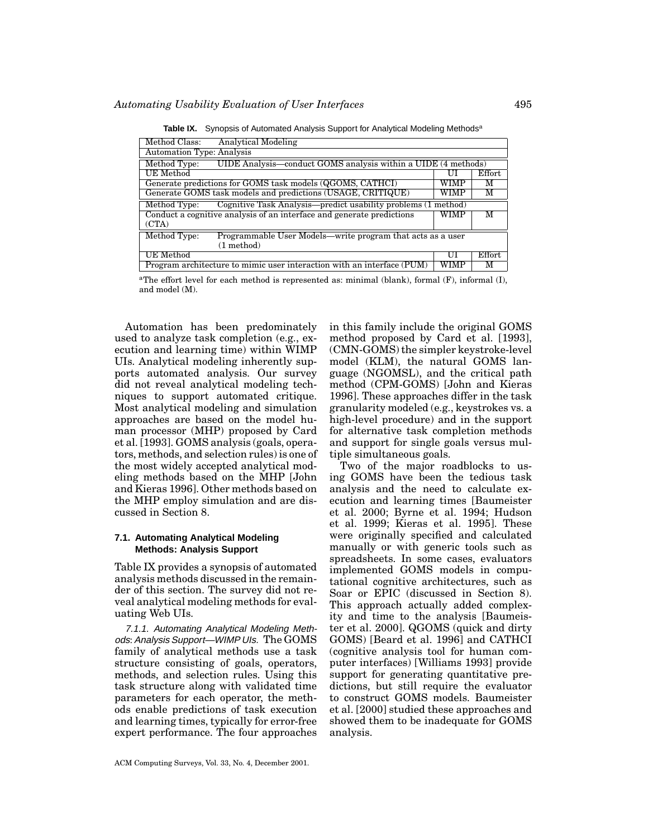**Table IX.** Synopsis of Automated Analysis Support for Analytical Modeling Methods<sup>a</sup>

| <b>Analytical Modeling</b><br>Method Class:                                   |      |               |  |
|-------------------------------------------------------------------------------|------|---------------|--|
| <b>Automation Type: Analysis</b>                                              |      |               |  |
| UIDE Analysis—conduct GOMS analysis within a UIDE (4 methods)<br>Method Type: |      |               |  |
| UE Method                                                                     | U    | <b>Effort</b> |  |
| Generate predictions for GOMS task models (QGOMS, CATHCI)                     | WIMP | M             |  |
| Generate GOMS task models and predictions (USAGE, CRITIQUE)                   | WIMP | м             |  |
| Cognitive Task Analysis—predict usability problems (1 method)<br>Method Type: |      |               |  |
| Conduct a cognitive analysis of an interface and generate predictions         | WIMP | м             |  |
| (CTA)                                                                         |      |               |  |
| Method Type:<br>Programmable User Models—write program that acts as a user    |      |               |  |
| $(1$ method $)$                                                               |      |               |  |
| UE Method                                                                     | U    | Effort        |  |
| Program architecture to mimic user interaction with an interface (PUM)        | WIMP | М             |  |

aThe effort level for each method is represented as: minimal (blank), formal (F), informal (I), and model (M).

Automation has been predominately used to analyze task completion (e.g., execution and learning time) within WIMP UIs. Analytical modeling inherently supports automated analysis. Our survey did not reveal analytical modeling techniques to support automated critique. Most analytical modeling and simulation approaches are based on the model human processor (MHP) proposed by Card et al. [1993]. GOMS analysis (goals, operators, methods, and selection rules) is one of the most widely accepted analytical modeling methods based on the MHP [John and Kieras 1996]. Other methods based on the MHP employ simulation and are discussed in Section 8.

#### **7.1. Automating Analytical Modeling Methods: Analysis Support**

Table IX provides a synopsis of automated analysis methods discussed in the remainder of this section. The survey did not reveal analytical modeling methods for evaluating Web UIs.

7.1.1. Automating Analytical Modeling Methods: Analysis Support—WIMP UIs. The GOMS family of analytical methods use a task structure consisting of goals, operators, methods, and selection rules. Using this task structure along with validated time parameters for each operator, the methods enable predictions of task execution and learning times, typically for error-free expert performance. The four approaches in this family include the original GOMS method proposed by Card et al. [1993], (CMN-GOMS) the simpler keystroke-level model (KLM), the natural GOMS language (NGOMSL), and the critical path method (CPM-GOMS) [John and Kieras 1996]. These approaches differ in the task granularity modeled (e.g., keystrokes vs. a high-level procedure) and in the support for alternative task completion methods and support for single goals versus multiple simultaneous goals.

Two of the major roadblocks to using GOMS have been the tedious task analysis and the need to calculate execution and learning times [Baumeister et al. 2000; Byrne et al. 1994; Hudson et al. 1999; Kieras et al. 1995]. These were originally specified and calculated manually or with generic tools such as spreadsheets. In some cases, evaluators implemented GOMS models in computational cognitive architectures, such as Soar or EPIC (discussed in Section 8). This approach actually added complexity and time to the analysis [Baumeister et al. 2000]. QGOMS (quick and dirty GOMS) [Beard et al. 1996] and CATHCI (cognitive analysis tool for human computer interfaces) [Williams 1993] provide support for generating quantitative predictions, but still require the evaluator to construct GOMS models. Baumeister et al. [2000] studied these approaches and showed them to be inadequate for GOMS analysis.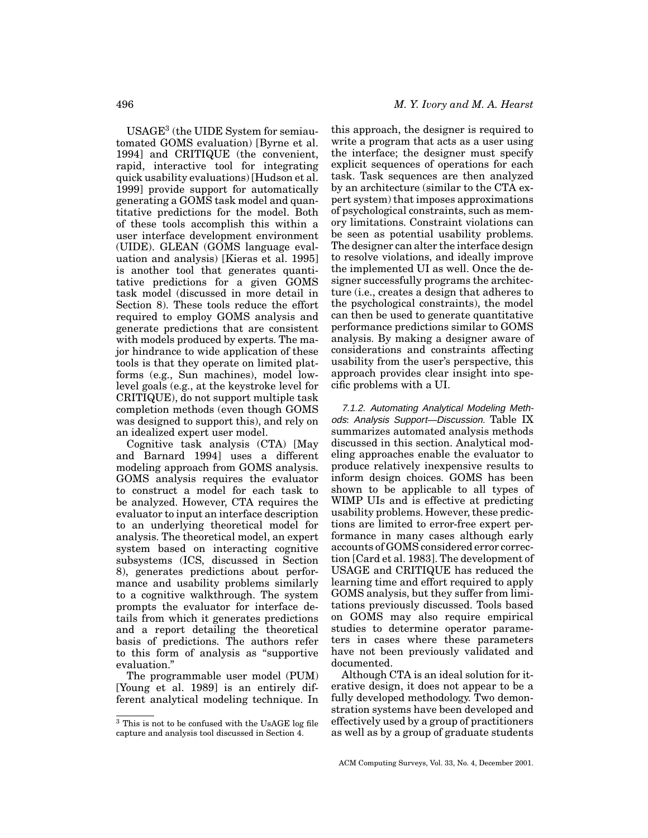$USAGE<sup>3</sup>$  (the UIDE System for semiautomated GOMS evaluation) [Byrne et al. 1994] and CRITIQUE (the convenient, rapid, interactive tool for integrating quick usability evaluations) [Hudson et al. 1999] provide support for automatically generating a GOMS task model and quantitative predictions for the model. Both of these tools accomplish this within a user interface development environment (UIDE). GLEAN (GOMS language evaluation and analysis) [Kieras et al. 1995] is another tool that generates quantitative predictions for a given GOMS task model (discussed in more detail in Section 8). These tools reduce the effort required to employ GOMS analysis and generate predictions that are consistent with models produced by experts. The major hindrance to wide application of these tools is that they operate on limited platforms (e.g., Sun machines), model lowlevel goals (e.g., at the keystroke level for CRITIQUE), do not support multiple task completion methods (even though GOMS was designed to support this), and rely on an idealized expert user model.

Cognitive task analysis (CTA) [May and Barnard 1994] uses a different modeling approach from GOMS analysis. GOMS analysis requires the evaluator to construct a model for each task to be analyzed. However, CTA requires the evaluator to input an interface description to an underlying theoretical model for analysis. The theoretical model, an expert system based on interacting cognitive subsystems (ICS, discussed in Section 8), generates predictions about performance and usability problems similarly to a cognitive walkthrough. The system prompts the evaluator for interface details from which it generates predictions and a report detailing the theoretical basis of predictions. The authors refer to this form of analysis as "supportive evaluation."

The programmable user model (PUM) [Young et al. 1989] is an entirely different analytical modeling technique. In this approach, the designer is required to write a program that acts as a user using the interface; the designer must specify explicit sequences of operations for each task. Task sequences are then analyzed by an architecture (similar to the CTA expert system) that imposes approximations of psychological constraints, such as memory limitations. Constraint violations can be seen as potential usability problems. The designer can alter the interface design to resolve violations, and ideally improve the implemented UI as well. Once the designer successfully programs the architecture (i.e., creates a design that adheres to the psychological constraints), the model can then be used to generate quantitative performance predictions similar to GOMS analysis. By making a designer aware of considerations and constraints affecting usability from the user's perspective, this approach provides clear insight into specific problems with a UI.

7.1.2. Automating Analytical Modeling Methods: Analysis Support—Discussion. Table IX summarizes automated analysis methods discussed in this section. Analytical modeling approaches enable the evaluator to produce relatively inexpensive results to inform design choices. GOMS has been shown to be applicable to all types of WIMP UIs and is effective at predicting usability problems. However, these predictions are limited to error-free expert performance in many cases although early accounts of GOMS considered error correction [Card et al. 1983]. The development of USAGE and CRITIQUE has reduced the learning time and effort required to apply GOMS analysis, but they suffer from limitations previously discussed. Tools based on GOMS may also require empirical studies to determine operator parameters in cases where these parameters have not been previously validated and documented.

Although CTA is an ideal solution for iterative design, it does not appear to be a fully developed methodology. Two demonstration systems have been developed and effectively used by a group of practitioners as well as by a group of graduate students

<sup>3</sup> This is not to be confused with the UsAGE log file capture and analysis tool discussed in Section 4.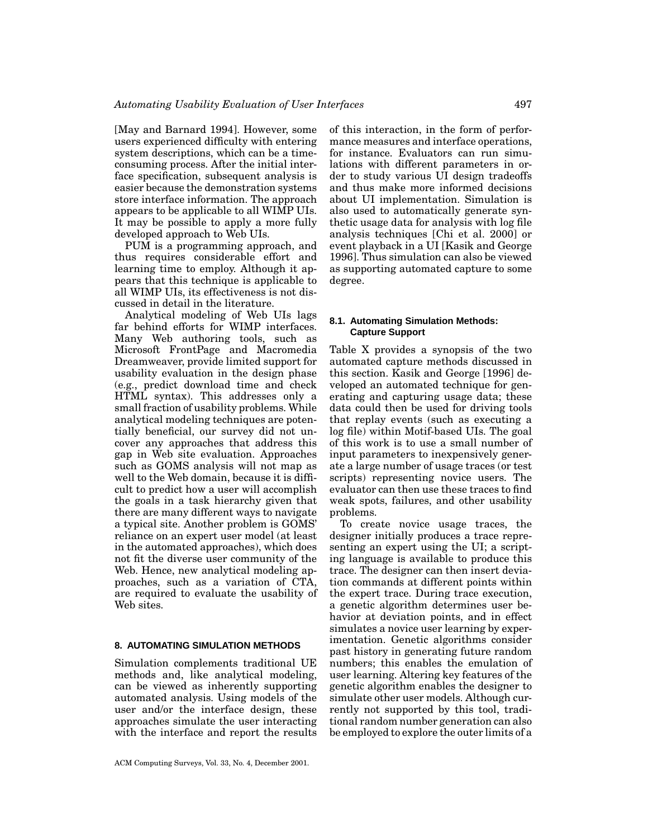[May and Barnard 1994]. However, some users experienced difficulty with entering system descriptions, which can be a timeconsuming process. After the initial interface specification, subsequent analysis is easier because the demonstration systems store interface information. The approach appears to be applicable to all WIMP UIs. It may be possible to apply a more fully developed approach to Web UIs.

PUM is a programming approach, and thus requires considerable effort and learning time to employ. Although it appears that this technique is applicable to all WIMP UIs, its effectiveness is not discussed in detail in the literature.

Analytical modeling of Web UIs lags far behind efforts for WIMP interfaces. Many Web authoring tools, such as Microsoft FrontPage and Macromedia Dreamweaver, provide limited support for usability evaluation in the design phase (e.g., predict download time and check HTML syntax). This addresses only a small fraction of usability problems. While analytical modeling techniques are potentially beneficial, our survey did not uncover any approaches that address this gap in Web site evaluation. Approaches such as GOMS analysis will not map as well to the Web domain, because it is difficult to predict how a user will accomplish the goals in a task hierarchy given that there are many different ways to navigate a typical site. Another problem is GOMS' reliance on an expert user model (at least in the automated approaches), which does not fit the diverse user community of the Web. Hence, new analytical modeling approaches, such as a variation of CTA, are required to evaluate the usability of Web sites.

# **8. AUTOMATING SIMULATION METHODS**

Simulation complements traditional UE methods and, like analytical modeling, can be viewed as inherently supporting automated analysis. Using models of the user and/or the interface design, these approaches simulate the user interacting with the interface and report the results

ACM Computing Surveys, Vol. 33, No. 4, December 2001.

of this interaction, in the form of performance measures and interface operations, for instance. Evaluators can run simulations with different parameters in order to study various UI design tradeoffs and thus make more informed decisions about UI implementation. Simulation is also used to automatically generate synthetic usage data for analysis with log file analysis techniques [Chi et al. 2000] or event playback in a UI [Kasik and George 1996]. Thus simulation can also be viewed as supporting automated capture to some degree.

# **8.1. Automating Simulation Methods: Capture Support**

Table X provides a synopsis of the two automated capture methods discussed in this section. Kasik and George [1996] developed an automated technique for generating and capturing usage data; these data could then be used for driving tools that replay events (such as executing a log file) within Motif-based UIs. The goal of this work is to use a small number of input parameters to inexpensively generate a large number of usage traces (or test scripts) representing novice users. The evaluator can then use these traces to find weak spots, failures, and other usability problems.

To create novice usage traces, the designer initially produces a trace representing an expert using the UI; a scripting language is available to produce this trace. The designer can then insert deviation commands at different points within the expert trace. During trace execution, a genetic algorithm determines user behavior at deviation points, and in effect simulates a novice user learning by experimentation. Genetic algorithms consider past history in generating future random numbers; this enables the emulation of user learning. Altering key features of the genetic algorithm enables the designer to simulate other user models. Although currently not supported by this tool, traditional random number generation can also be employed to explore the outer limits of a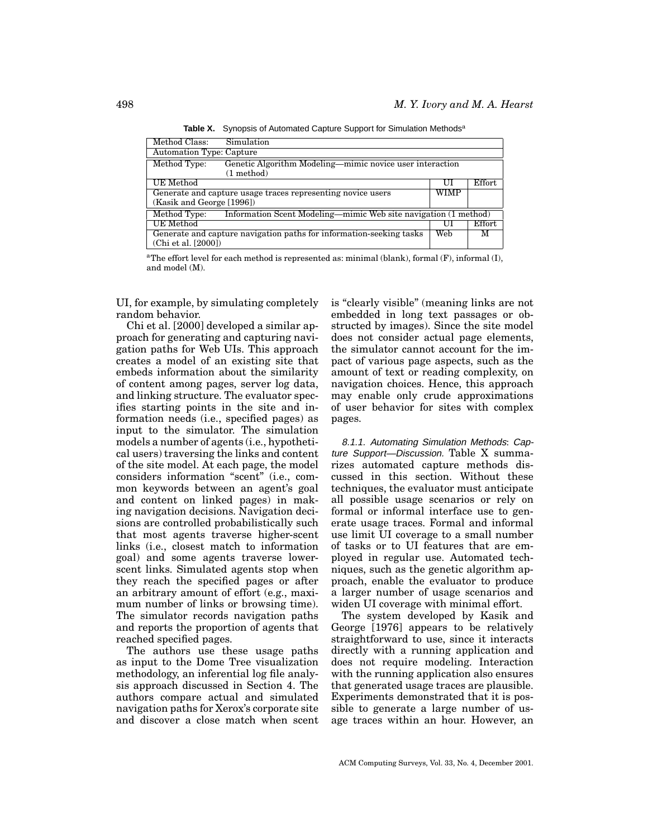**Table X.** Synopsis of Automated Capture Support for Simulation Methods<sup>a</sup>

| Method Class:<br>Simulation                                                                            |    |               |  |
|--------------------------------------------------------------------------------------------------------|----|---------------|--|
| <b>Automation Type: Capture</b>                                                                        |    |               |  |
| Genetic Algorithm Modeling—mimic novice user interaction<br>Method Type:<br>$(1 \text{ method})$       |    |               |  |
| UE Method                                                                                              | UL | <b>Effort</b> |  |
| Generate and capture usage traces representing novice users<br>WIMP<br>(Kasik and George [1996])       |    |               |  |
| Information Scent Modeling—mimic Web site navigation (1 method)<br>Method Type:                        |    |               |  |
| UE Method<br><b>Effort</b>                                                                             |    |               |  |
| Generate and capture navigation paths for information-seeking tasks<br>Web<br>м<br>(Chi et al. [2000]) |    |               |  |

<sup>a</sup>The effort level for each method is represented as: minimal (blank), formal  $(F)$ , informal  $(I)$ , and model (M).

UI, for example, by simulating completely random behavior.

Chi et al. [2000] developed a similar approach for generating and capturing navigation paths for Web UIs. This approach creates a model of an existing site that embeds information about the similarity of content among pages, server log data, and linking structure. The evaluator specifies starting points in the site and information needs (i.e., specified pages) as input to the simulator. The simulation models a number of agents (i.e., hypothetical users) traversing the links and content of the site model. At each page, the model considers information "scent" (i.e., common keywords between an agent's goal and content on linked pages) in making navigation decisions. Navigation decisions are controlled probabilistically such that most agents traverse higher-scent links (i.e., closest match to information goal) and some agents traverse lowerscent links. Simulated agents stop when they reach the specified pages or after an arbitrary amount of effort (e.g., maximum number of links or browsing time). The simulator records navigation paths and reports the proportion of agents that reached specified pages.

The authors use these usage paths as input to the Dome Tree visualization methodology, an inferential log file analysis approach discussed in Section 4. The authors compare actual and simulated navigation paths for Xerox's corporate site and discover a close match when scent is "clearly visible" (meaning links are not embedded in long text passages or obstructed by images). Since the site model does not consider actual page elements, the simulator cannot account for the impact of various page aspects, such as the amount of text or reading complexity, on navigation choices. Hence, this approach may enable only crude approximations of user behavior for sites with complex pages.

8.1.1. Automating Simulation Methods: Capture Support—Discussion. Table X summarizes automated capture methods discussed in this section. Without these techniques, the evaluator must anticipate all possible usage scenarios or rely on formal or informal interface use to generate usage traces. Formal and informal use limit UI coverage to a small number of tasks or to UI features that are employed in regular use. Automated techniques, such as the genetic algorithm approach, enable the evaluator to produce a larger number of usage scenarios and widen UI coverage with minimal effort.

The system developed by Kasik and George [1976] appears to be relatively straightforward to use, since it interacts directly with a running application and does not require modeling. Interaction with the running application also ensures that generated usage traces are plausible. Experiments demonstrated that it is possible to generate a large number of usage traces within an hour. However, an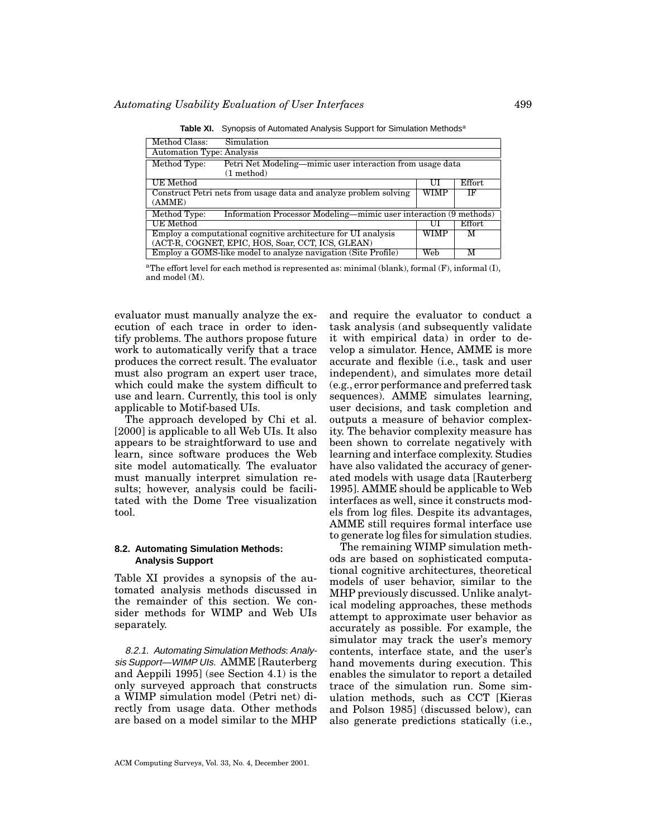**Table XI.** Synopsis of Automated Analysis Support for Simulation Methods<sup>a</sup>

| Simulation<br>Method Class:                                                       |    |               |  |  |
|-----------------------------------------------------------------------------------|----|---------------|--|--|
| <b>Automation Type: Analysis</b>                                                  |    |               |  |  |
| Petri Net Modeling—mimic user interaction from usage data<br>Method Type:         |    |               |  |  |
| $(1$ method $)$                                                                   |    |               |  |  |
| UE Method                                                                         | UI | <b>Effort</b> |  |  |
| Construct Petri nets from usage data and analyze problem solving<br>WIMP<br>ΙF    |    |               |  |  |
| (AMME)                                                                            |    |               |  |  |
| Information Processor Modeling—mimic user interaction (9 methods)<br>Method Type: |    |               |  |  |
| UE Method                                                                         |    | <b>Effort</b> |  |  |
| Employ a computational cognitive architecture for UI analysis<br>WIMP<br>M        |    |               |  |  |
| (ACT-R, COGNET, EPIC, HOS, Soar, CCT, ICS, GLEAN)                                 |    |               |  |  |
| Employ a GOMS-like model to analyze navigation (Site Profile)<br>Web<br>М         |    |               |  |  |

<sup>a</sup>The effort level for each method is represented as: minimal (blank), formal (F), informal (I), and model (M).

evaluator must manually analyze the execution of each trace in order to identify problems. The authors propose future work to automatically verify that a trace produces the correct result. The evaluator must also program an expert user trace, which could make the system difficult to use and learn. Currently, this tool is only applicable to Motif-based UIs.

The approach developed by Chi et al. [2000] is applicable to all Web UIs. It also appears to be straightforward to use and learn, since software produces the Web site model automatically. The evaluator must manually interpret simulation results; however, analysis could be facilitated with the Dome Tree visualization tool.

### **8.2. Automating Simulation Methods: Analysis Support**

Table XI provides a synopsis of the automated analysis methods discussed in the remainder of this section. We consider methods for WIMP and Web UIs separately.

8.2.1. Automating Simulation Methods: Analysis Support—WIMP UIs. AMME [Rauterberg and Aeppili 1995] (see Section 4.1) is the only surveyed approach that constructs a WIMP simulation model (Petri net) directly from usage data. Other methods are based on a model similar to the MHP

and require the evaluator to conduct a task analysis (and subsequently validate it with empirical data) in order to develop a simulator. Hence, AMME is more accurate and flexible (i.e., task and user independent), and simulates more detail (e.g., error performance and preferred task sequences). AMME simulates learning, user decisions, and task completion and outputs a measure of behavior complexity. The behavior complexity measure has been shown to correlate negatively with learning and interface complexity. Studies have also validated the accuracy of generated models with usage data [Rauterberg 1995]. AMME should be applicable to Web interfaces as well, since it constructs models from log files. Despite its advantages, AMME still requires formal interface use to generate log files for simulation studies.

The remaining WIMP simulation methods are based on sophisticated computational cognitive architectures, theoretical models of user behavior, similar to the MHP previously discussed. Unlike analytical modeling approaches, these methods attempt to approximate user behavior as accurately as possible. For example, the simulator may track the user's memory contents, interface state, and the user's hand movements during execution. This enables the simulator to report a detailed trace of the simulation run. Some simulation methods, such as CCT [Kieras and Polson 1985] (discussed below), can also generate predictions statically (i.e.,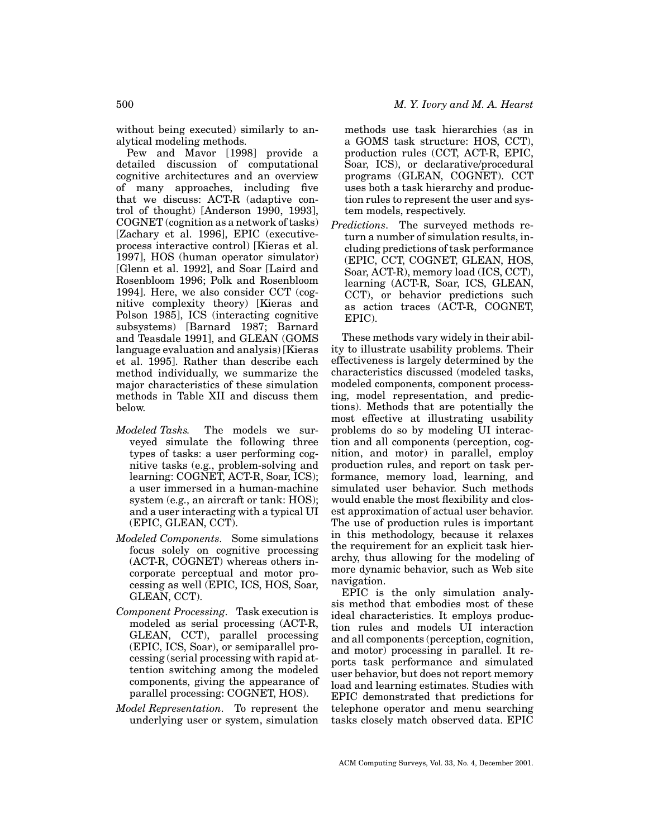without being executed) similarly to analytical modeling methods.

Pew and Mavor [1998] provide a detailed discussion of computational cognitive architectures and an overview of many approaches, including five that we discuss: ACT-R (adaptive control of thought) [Anderson 1990, 1993], COGNET (cognition as a network of tasks) [Zachary et al. 1996], EPIC (executiveprocess interactive control) [Kieras et al. 1997], HOS (human operator simulator) [Glenn et al. 1992], and Soar [Laird and Rosenbloom 1996; Polk and Rosenbloom 1994]. Here, we also consider CCT (cognitive complexity theory) [Kieras and Polson 1985], ICS (interacting cognitive subsystems) [Barnard 1987; Barnard and Teasdale 1991], and GLEAN (GOMS language evaluation and analysis) [Kieras et al. 1995]. Rather than describe each method individually, we summarize the major characteristics of these simulation methods in Table XII and discuss them below.

- *Modeled Tasks.* The models we surveyed simulate the following three types of tasks: a user performing cognitive tasks (e.g., problem-solving and learning: COGNET, ACT-R, Soar, ICS); a user immersed in a human-machine system (e.g., an aircraft or tank: HOS); and a user interacting with a typical UI (EPIC, GLEAN, CCT).
- *Modeled Components*. Some simulations focus solely on cognitive processing (ACT-R, COGNET) whereas others incorporate perceptual and motor processing as well (EPIC, ICS, HOS, Soar, GLEAN, CCT).
- *Component Processing*. Task execution is modeled as serial processing (ACT-R, GLEAN, CCT), parallel processing (EPIC, ICS, Soar), or semiparallel processing (serial processing with rapid attention switching among the modeled components, giving the appearance of parallel processing: COGNET, HOS).
- *Model Representation*. To represent the underlying user or system, simulation

methods use task hierarchies (as in a GOMS task structure: HOS, CCT), production rules (CCT, ACT-R, EPIC, Soar, ICS), or declarative/procedural programs (GLEAN, COGNET). CCT uses both a task hierarchy and production rules to represent the user and system models, respectively.

*Predictions*. The surveyed methods return a number of simulation results, including predictions of task performance (EPIC, CCT, COGNET, GLEAN, HOS, Soar, ACT-R), memory load (ICS, CCT), learning (ACT-R, Soar, ICS, GLEAN, CCT), or behavior predictions such as action traces (ACT-R, COGNET, EPIC).

These methods vary widely in their ability to illustrate usability problems. Their effectiveness is largely determined by the characteristics discussed (modeled tasks, modeled components, component processing, model representation, and predictions). Methods that are potentially the most effective at illustrating usability problems do so by modeling UI interaction and all components (perception, cognition, and motor) in parallel, employ production rules, and report on task performance, memory load, learning, and simulated user behavior. Such methods would enable the most flexibility and closest approximation of actual user behavior. The use of production rules is important in this methodology, because it relaxes the requirement for an explicit task hierarchy, thus allowing for the modeling of more dynamic behavior, such as Web site navigation.

EPIC is the only simulation analysis method that embodies most of these ideal characteristics. It employs production rules and models UI interaction and all components (perception, cognition, and motor) processing in parallel. It reports task performance and simulated user behavior, but does not report memory load and learning estimates. Studies with EPIC demonstrated that predictions for telephone operator and menu searching tasks closely match observed data. EPIC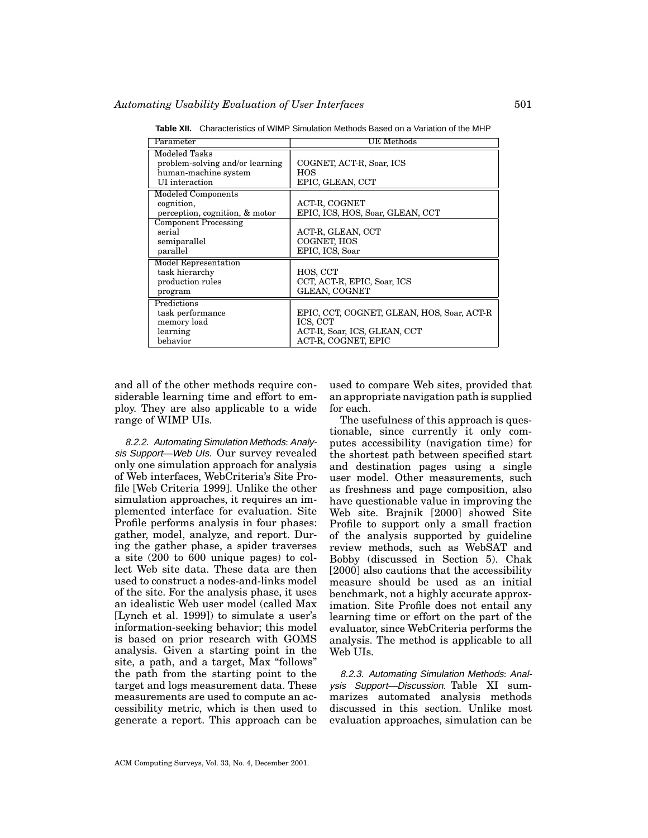| Parameter                       | $\rm{UE~Methods}$                          |
|---------------------------------|--------------------------------------------|
| Modeled Tasks                   |                                            |
| problem-solving and/or learning | COGNET, ACT-R, Soar, ICS                   |
| human-machine system            | <b>HOS</b>                                 |
| <b>UI</b> interaction           | EPIC, GLEAN, CCT                           |
| Modeled Components              |                                            |
| cognition,                      | ACT-R, COGNET                              |
| perception, cognition, & motor  | EPIC, ICS, HOS, Soar, GLEAN, CCT           |
| <b>Component Processing</b>     |                                            |
| serial                          | ACT-R, GLEAN, CCT                          |
| semiparallel                    | <b>COGNET, HOS</b>                         |
| parallel                        | EPIC, ICS, Soar                            |
| <b>Model Representation</b>     |                                            |
| task hierarchy                  | HOS, CCT                                   |
| production rules                | CCT, ACT-R, EPIC, Soar, ICS                |
| program                         | <b>GLEAN, COGNET</b>                       |
| Predictions                     |                                            |
| task performance                | EPIC, CCT, COGNET, GLEAN, HOS, Soar, ACT-R |
| memory load                     | ICS, CCT                                   |
| learning                        | ACT-R, Soar, ICS, GLEAN, CCT               |
| behavior                        | ACT-R, COGNET, EPIC                        |

**Table XII.** Characteristics of WIMP Simulation Methods Based on a Variation of the MHP

and all of the other methods require considerable learning time and effort to employ. They are also applicable to a wide range of WIMP UIs.

8.2.2. Automating Simulation Methods: Analysis Support—Web UIs. Our survey revealed only one simulation approach for analysis of Web interfaces, WebCriteria's Site Profile [Web Criteria 1999]. Unlike the other simulation approaches, it requires an implemented interface for evaluation. Site Profile performs analysis in four phases: gather, model, analyze, and report. During the gather phase, a spider traverses a site (200 to 600 unique pages) to collect Web site data. These data are then used to construct a nodes-and-links model of the site. For the analysis phase, it uses an idealistic Web user model (called Max [Lynch et al. 1999]) to simulate a user's information-seeking behavior; this model is based on prior research with GOMS analysis. Given a starting point in the site, a path, and a target, Max "follows" the path from the starting point to the target and logs measurement data. These measurements are used to compute an accessibility metric, which is then used to generate a report. This approach can be

used to compare Web sites, provided that an appropriate navigation path is supplied for each.

The usefulness of this approach is questionable, since currently it only computes accessibility (navigation time) for the shortest path between specified start and destination pages using a single user model. Other measurements, such as freshness and page composition, also have questionable value in improving the Web site. Brajnik [2000] showed Site Profile to support only a small fraction of the analysis supported by guideline review methods, such as WebSAT and Bobby (discussed in Section 5). Chak [2000] also cautions that the accessibility measure should be used as an initial benchmark, not a highly accurate approximation. Site Profile does not entail any learning time or effort on the part of the evaluator, since WebCriteria performs the analysis. The method is applicable to all Web UIs.

8.2.3. Automating Simulation Methods: Analysis Support—Discussion. Table XI summarizes automated analysis methods discussed in this section. Unlike most evaluation approaches, simulation can be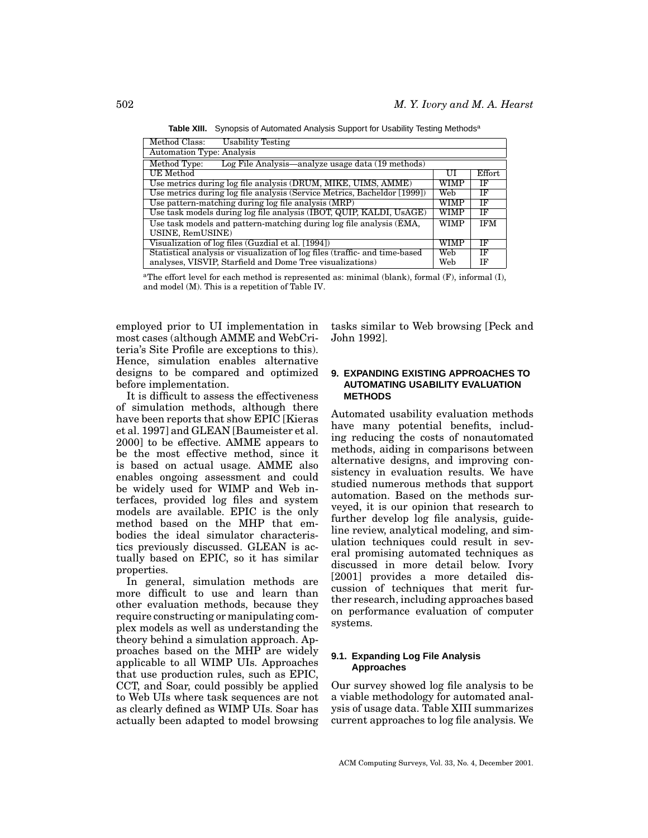**Table XIII.** Synopsis of Automated Analysis Support for Usability Testing Methods<sup>a</sup>

| Method Class:<br><b>Usability Testing</b>                                           |             |               |  |  |
|-------------------------------------------------------------------------------------|-------------|---------------|--|--|
| <b>Automation Type: Analysis</b>                                                    |             |               |  |  |
| Log File Analysis—analyze usage data (19 methods)<br>Method Type:                   |             |               |  |  |
| UE Method                                                                           | UП          | <b>Effort</b> |  |  |
| Use metrics during log file analysis (DRUM, MIKE, UIMS, AMME)                       | WIMP        | ΙF            |  |  |
| Use metrics during $log$ file analysis (Service Metrics, Bacheldor [1999])<br>Web   |             |               |  |  |
| Use pattern-matching during log file analysis (MRP)<br>WIMP                         |             |               |  |  |
| Use task models during log file analysis (IBOT, QUIP, KALDI, UsAGE)<br>WIMP         |             |               |  |  |
| Use task models and pattern-matching during log file analysis (EMA,                 | <b>WIMP</b> | <b>IFM</b>    |  |  |
| USINE, RemUSINE)                                                                    |             |               |  |  |
| Visualization of log files (Guzdial et al. [1994])<br>ΙF<br>WIMP                    |             |               |  |  |
| Statistical analysis or visualization of log files (traffic- and time-based)<br>Web |             |               |  |  |
| analyses, VISVIP, Starfield and Dome Tree visualizations)<br>Web                    |             |               |  |  |

<sup>&</sup>lt;sup>a</sup>The effort level for each method is represented as: minimal (blank), formal (F), informal  $(I)$ , and model (M). This is a repetition of Table IV.

employed prior to UI implementation in most cases (although AMME and WebCriteria's Site Profile are exceptions to this). Hence, simulation enables alternative designs to be compared and optimized before implementation.

It is difficult to assess the effectiveness of simulation methods, although there have been reports that show EPIC [Kieras et al. 1997] and GLEAN [Baumeister et al. 2000] to be effective. AMME appears to be the most effective method, since it is based on actual usage. AMME also enables ongoing assessment and could be widely used for WIMP and Web interfaces, provided log files and system models are available. EPIC is the only method based on the MHP that embodies the ideal simulator characteristics previously discussed. GLEAN is actually based on EPIC, so it has similar properties.

In general, simulation methods are more difficult to use and learn than other evaluation methods, because they require constructing or manipulating complex models as well as understanding the theory behind a simulation approach. Approaches based on the MHP are widely applicable to all WIMP UIs. Approaches that use production rules, such as EPIC, CCT, and Soar, could possibly be applied to Web UIs where task sequences are not as clearly defined as WIMP UIs. Soar has actually been adapted to model browsing

tasks similar to Web browsing [Peck and John 1992].

# **9. EXPANDING EXISTING APPROACHES TO AUTOMATING USABILITY EVALUATION METHODS**

Automated usability evaluation methods have many potential benefits, including reducing the costs of nonautomated methods, aiding in comparisons between alternative designs, and improving consistency in evaluation results. We have studied numerous methods that support automation. Based on the methods surveyed, it is our opinion that research to further develop log file analysis, guideline review, analytical modeling, and simulation techniques could result in several promising automated techniques as discussed in more detail below. Ivory [2001] provides a more detailed discussion of techniques that merit further research, including approaches based on performance evaluation of computer systems.

### **9.1. Expanding Log File Analysis Approaches**

Our survey showed log file analysis to be a viable methodology for automated analysis of usage data. Table XIII summarizes current approaches to log file analysis. We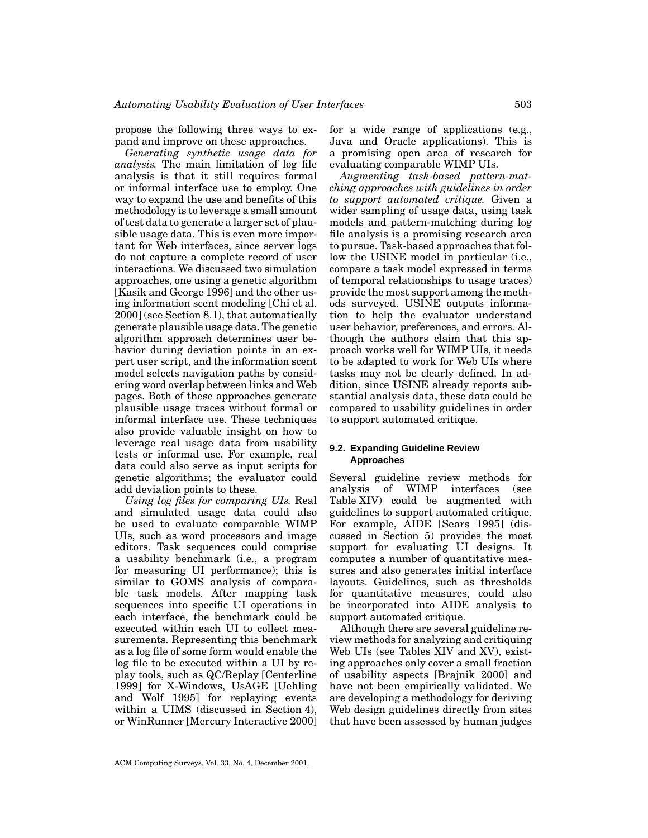propose the following three ways to expand and improve on these approaches.

*Generating synthetic usage data for analysis.* The main limitation of log file analysis is that it still requires formal or informal interface use to employ. One way to expand the use and benefits of this methodology is to leverage a small amount of test data to generate a larger set of plausible usage data. This is even more important for Web interfaces, since server logs do not capture a complete record of user interactions. We discussed two simulation approaches, one using a genetic algorithm [Kasik and George 1996] and the other using information scent modeling [Chi et al. 2000] (see Section 8.1), that automatically generate plausible usage data. The genetic algorithm approach determines user behavior during deviation points in an expert user script, and the information scent model selects navigation paths by considering word overlap between links and Web pages. Both of these approaches generate plausible usage traces without formal or informal interface use. These techniques also provide valuable insight on how to leverage real usage data from usability tests or informal use. For example, real data could also serve as input scripts for genetic algorithms; the evaluator could add deviation points to these.

*Using log files for comparing UIs.* Real and simulated usage data could also be used to evaluate comparable WIMP UIs, such as word processors and image editors. Task sequences could comprise a usability benchmark (i.e., a program for measuring UI performance); this is similar to GOMS analysis of comparable task models. After mapping task sequences into specific UI operations in each interface, the benchmark could be executed within each UI to collect measurements. Representing this benchmark as a log file of some form would enable the log file to be executed within a UI by replay tools, such as QC/Replay [Centerline 1999] for X-Windows, UsAGE [Uehling and Wolf 1995] for replaying events within a UIMS (discussed in Section 4), or WinRunner [Mercury Interactive 2000] for a wide range of applications (e.g., Java and Oracle applications). This is a promising open area of research for evaluating comparable WIMP UIs.

*Augmenting task-based pattern-matching approaches with guidelines in order to support automated critique.* Given a wider sampling of usage data, using task models and pattern-matching during log file analysis is a promising research area to pursue. Task-based approaches that follow the USINE model in particular (i.e., compare a task model expressed in terms of temporal relationships to usage traces) provide the most support among the methods surveyed. USINE outputs information to help the evaluator understand user behavior, preferences, and errors. Although the authors claim that this approach works well for WIMP UIs, it needs to be adapted to work for Web UIs where tasks may not be clearly defined. In addition, since USINE already reports substantial analysis data, these data could be compared to usability guidelines in order to support automated critique.

# **9.2. Expanding Guideline Review Approaches**

Several guideline review methods for analysis of WIMP interfaces (see Table XIV) could be augmented with guidelines to support automated critique. For example, AIDE [Sears 1995] (discussed in Section 5) provides the most support for evaluating UI designs. It computes a number of quantitative measures and also generates initial interface layouts. Guidelines, such as thresholds for quantitative measures, could also be incorporated into AIDE analysis to support automated critique.

Although there are several guideline review methods for analyzing and critiquing Web UIs (see Tables XIV and XV), existing approaches only cover a small fraction of usability aspects [Brajnik 2000] and have not been empirically validated. We are developing a methodology for deriving Web design guidelines directly from sites that have been assessed by human judges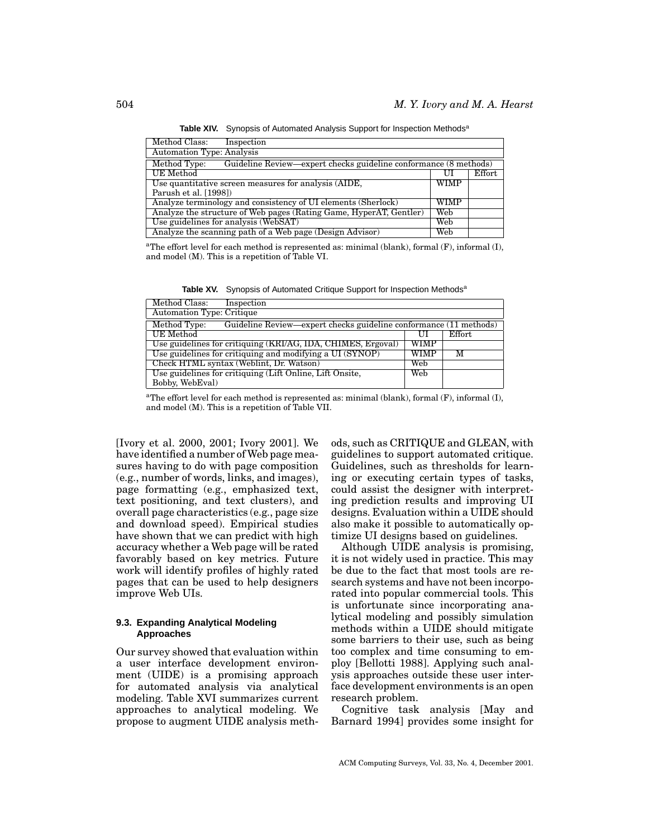**Table XIV.** Synopsis of Automated Analysis Support for Inspection Methods<sup>a</sup>

| Method Class:<br>Inspection                                                      |             |        |  |  |
|----------------------------------------------------------------------------------|-------------|--------|--|--|
| <b>Automation Type: Analysis</b>                                                 |             |        |  |  |
| Guideline Review—expert checks guideline conformance (8 methods)<br>Method Type: |             |        |  |  |
| UE Method                                                                        |             | Effort |  |  |
| Use quantitative screen measures for analysis (AIDE,                             | WIMP        |        |  |  |
| Parush et al. [1998])                                                            |             |        |  |  |
| Analyze terminology and consistency of UI elements (Sherlock)                    | <b>WIMP</b> |        |  |  |
| Analyze the structure of Web pages (Rating Game, HyperAT, Gentler)<br>Web        |             |        |  |  |
| Use guidelines for analysis (WebSAT)<br>Web                                      |             |        |  |  |
| Analyze the scanning path of a Web page (Design Advisor)<br>Web                  |             |        |  |  |

<sup>a</sup>The effort level for each method is represented as: minimal (blank), formal  $(F)$ , informal  $(I)$ , and model (M). This is a repetition of Table VI.

Table XV. Synopsis of Automated Critique Support for Inspection Methods<sup>a</sup>

| Method Class:<br>Inspection                                                       |             |               |  |
|-----------------------------------------------------------------------------------|-------------|---------------|--|
| <b>Automation Type: Critique</b>                                                  |             |               |  |
| Method Type:<br>Guideline Review—expert checks guideline conformance (11 methods) |             |               |  |
| UE Method                                                                         |             | <b>Effort</b> |  |
| Use guidelines for critiquing (KRI/AG, IDA, CHIMES, Ergoval)                      | WIMP        |               |  |
| Use guidelines for critiquing and modifying a UI (SYNOP)                          | <b>WIMP</b> | М             |  |
| Check HTML syntax (Weblint, Dr. Watson)                                           | Web         |               |  |
| Use guidelines for critiquing (Lift Online, Lift Onsite,                          | Web         |               |  |
| Bobby, WebEval)                                                                   |             |               |  |

<sup>a</sup>The effort level for each method is represented as: minimal (blank), formal  $(F)$ , informal  $(I)$ , and model (M). This is a repetition of Table VII.

[Ivory et al. 2000, 2001; Ivory 2001]. We have identified a number of Web page measures having to do with page composition (e.g., number of words, links, and images), page formatting (e.g., emphasized text, text positioning, and text clusters), and overall page characteristics (e.g., page size and download speed). Empirical studies have shown that we can predict with high accuracy whether a Web page will be rated favorably based on key metrics. Future work will identify profiles of highly rated pages that can be used to help designers improve Web UIs.

### **9.3. Expanding Analytical Modeling Approaches**

Our survey showed that evaluation within a user interface development environment (UIDE) is a promising approach for automated analysis via analytical modeling. Table XVI summarizes current approaches to analytical modeling. We propose to augment UIDE analysis methods, such as CRITIQUE and GLEAN, with guidelines to support automated critique. Guidelines, such as thresholds for learning or executing certain types of tasks, could assist the designer with interpreting prediction results and improving UI designs. Evaluation within a UIDE should also make it possible to automatically optimize UI designs based on guidelines.

Although UIDE analysis is promising, it is not widely used in practice. This may be due to the fact that most tools are research systems and have not been incorporated into popular commercial tools. This is unfortunate since incorporating analytical modeling and possibly simulation methods within a UIDE should mitigate some barriers to their use, such as being too complex and time consuming to employ [Bellotti 1988]. Applying such analysis approaches outside these user interface development environments is an open research problem.

Cognitive task analysis [May and Barnard 1994] provides some insight for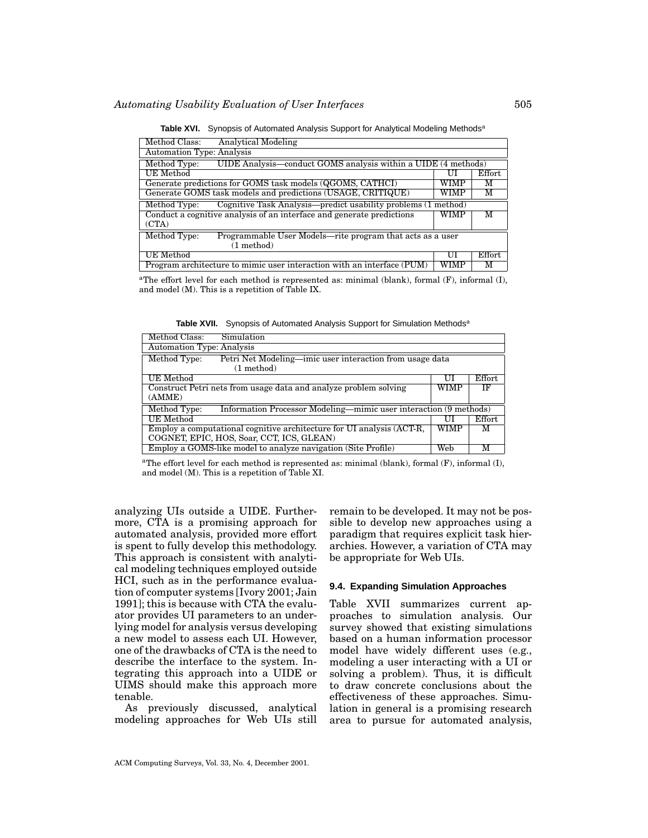**Table XVI.** Synopsis of Automated Analysis Support for Analytical Modeling Methods<sup>a</sup>

| Method Class:<br>Analytical Modeling                                          |      |               |  |
|-------------------------------------------------------------------------------|------|---------------|--|
| <b>Automation Type: Analysis</b>                                              |      |               |  |
| UIDE Analysis—conduct GOMS analysis within a UIDE (4 methods)<br>Method Type: |      |               |  |
| <b>UE</b> Method                                                              |      | <b>Effort</b> |  |
| Generate predictions for GOMS task models (QGOMS, CATHCI)                     | WIMP | M             |  |
| Generate GOMS task models and predictions (USAGE, CRITIQUE)                   | WIMP | М             |  |
| Cognitive Task Analysis—predict usability problems (1 method)<br>Method Type: |      |               |  |
| Conduct a cognitive analysis of an interface and generate predictions         | WIMP |               |  |
| (CTA)                                                                         |      |               |  |
| Method Type:<br>Programmable User Models—rite program that acts as a user     |      |               |  |
| $(1$ method $)$                                                               |      |               |  |
| $\rm{UE}$ Method                                                              | UІ   | <b>Effort</b> |  |
| Program architecture to mimic user interaction with an interface (PUM)        | WIMP |               |  |

aThe effort level for each method is represented as: minimal (blank), formal (F), informal (I), and model (M). This is a repetition of Table IX.

**Table XVII.** Synopsis of Automated Analysis Support for Simulation Methods<sup>a</sup>

| Method Class:<br>Simulation                                                               |      |               |  |  |
|-------------------------------------------------------------------------------------------|------|---------------|--|--|
| <b>Automation Type: Analysis</b>                                                          |      |               |  |  |
| Petri Net Modeling—imic user interaction from usage data<br>Method Type:                  |      |               |  |  |
| $(1$ method $)$                                                                           |      |               |  |  |
| UE Method                                                                                 | UL   | Effort        |  |  |
| Construct Petri nets from usage data and analyze problem solving                          | WIMP | ΙF            |  |  |
| (AMME)                                                                                    |      |               |  |  |
| Information Processor Modeling—mimic user interaction (9 methods)<br>Method Type:         |      |               |  |  |
| UE Method                                                                                 |      | <b>Effort</b> |  |  |
| Employ a computational cognitive architecture for UI analysis (ACT-R,<br><b>WIMP</b><br>М |      |               |  |  |
| COGNET, EPIC, HOS, Soar, CCT, ICS, GLEAN)                                                 |      |               |  |  |
| Employ a GOMS-like model to analyze navigation (Site Profile)<br>Web<br>M                 |      |               |  |  |

<sup>a</sup>The effort level for each method is represented as: minimal (blank), formal  $(F)$ , informal  $(I)$ , and model (M). This is a repetition of Table XI.

analyzing UIs outside a UIDE. Furthermore, CTA is a promising approach for automated analysis, provided more effort is spent to fully develop this methodology. This approach is consistent with analytical modeling techniques employed outside HCI, such as in the performance evaluation of computer systems [Ivory 2001; Jain 1991]; this is because with CTA the evaluator provides UI parameters to an underlying model for analysis versus developing a new model to assess each UI. However, one of the drawbacks of CTA is the need to describe the interface to the system. Integrating this approach into a UIDE or UIMS should make this approach more tenable.

As previously discussed, analytical modeling approaches for Web UIs still

remain to be developed. It may not be possible to develop new approaches using a paradigm that requires explicit task hierarchies. However, a variation of CTA may be appropriate for Web UIs.

# **9.4. Expanding Simulation Approaches**

Table XVII summarizes current approaches to simulation analysis. Our survey showed that existing simulations based on a human information processor model have widely different uses (e.g., modeling a user interacting with a UI or solving a problem). Thus, it is difficult to draw concrete conclusions about the effectiveness of these approaches. Simulation in general is a promising research area to pursue for automated analysis,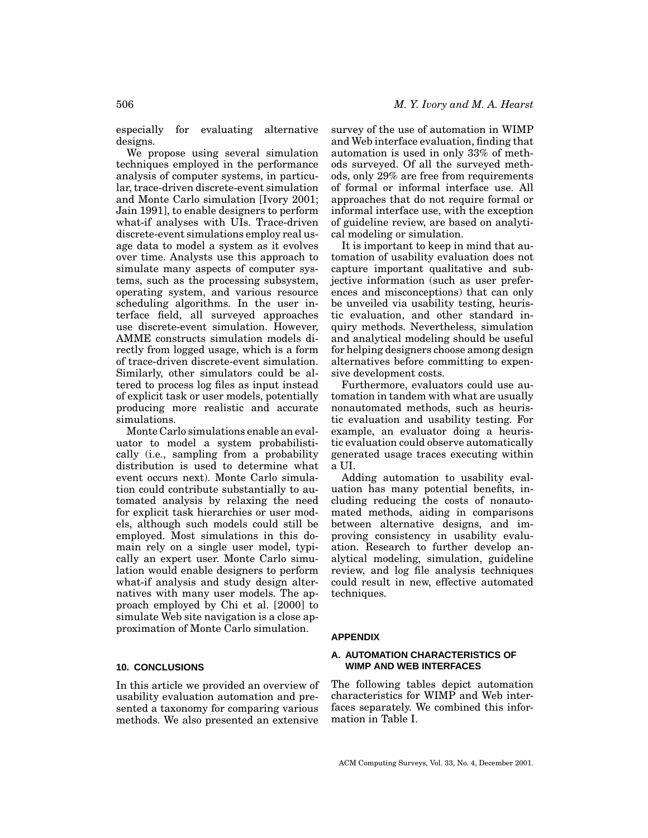especially for evaluating alternative designs.

We propose using several simulation techniques employed in the performance analysis of computer systems, in particular, trace-driven discrete-event simulation and Monte Carlo simulation [Ivory 2001; Jain 1991], to enable designers to perform what-if analyses with UIs. Trace-driven discrete-event simulations employ real usage data to model a system as it evolves over time. Analysts use this approach to simulate many aspects of computer systems, such as the processing subsystem, operating system, and various resource scheduling algorithms. In the user interface field, all surveyed approaches use discrete-event simulation. However, AMME constructs simulation models directly from logged usage, which is a form of trace-driven discrete-event simulation. Similarly, other simulators could be altered to process log files as input instead of explicit task or user models, potentially producing more realistic and accurate simulations.

Monte Carlo simulations enable an evaluator to model a system probabilistically (i.e., sampling from a probability distribution is used to determine what event occurs next). Monte Carlo simulation could contribute substantially to automated analysis by relaxing the need for explicit task hierarchies or user models, although such models could still be employed. Most simulations in this domain rely on a single user model, typically an expert user. Monte Carlo simulation would enable designers to perform what-if analysis and study design alternatives with many user models. The approach employed by Chi et al. [2000] to simulate Web site navigation is a close approximation of Monte Carlo simulation.

#### **10. CONCLUSIONS**

In this article we provided an overview of usability evaluation automation and presented a taxonomy for comparing various methods. We also presented an extensive survey of the use of automation in WIMP and Web interface evaluation, finding that automation is used in only 33% of methods surveyed. Of all the surveyed methods, only 29% are free from requirements of formal or informal interface use. All approaches that do not require formal or informal interface use, with the exception of guideline review, are based on analytical modeling or simulation.

It is important to keep in mind that automation of usability evaluation does not capture important qualitative and subjective information (such as user preferences and misconceptions) that can only be unveiled via usability testing, heuristic evaluation, and other standard inquiry methods. Nevertheless, simulation and analytical modeling should be useful for helping designers choose among design alternatives before committing to expensive development costs.

Furthermore, evaluators could use automation in tandem with what are usually nonautomated methods, such as heuristic evaluation and usability testing. For example, an evaluator doing a heuristic evaluation could observe automatically generated usage traces executing within a UI.

Adding automation to usability evaluation has many potential benefits, including reducing the costs of nonautomated methods, aiding in comparisons between alternative designs, and improving consistency in usability evaluation. Research to further develop analytical modeling, simulation, guideline review, and log file analysis techniques could result in new, effective automated techniques.

#### **APPENDIX**

# **A. AUTOMATION CHARACTERISTICS OF WIMP AND WEB INTERFACES**

The following tables depict automation characteristics for WIMP and Web interfaces separately. We combined this information in Table I.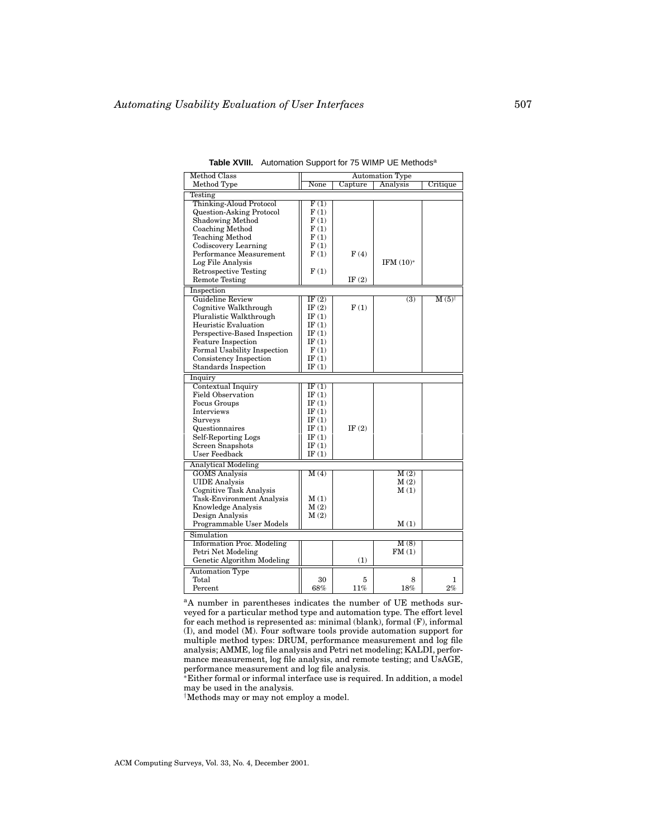| Method Class                      | <b>Automation Type</b> |          |              |                     |
|-----------------------------------|------------------------|----------|--------------|---------------------|
| Method Type                       | None                   | Capture  | Analysis     | Critique            |
| Testing                           |                        |          |              |                     |
| Thinking-Aloud Protocol           | F(1)                   |          |              |                     |
| <b>Question-Asking Protocol</b>   | F(1)                   |          |              |                     |
| <b>Shadowing Method</b>           | F(1)                   |          |              |                     |
|                                   | F(1)                   |          |              |                     |
| <b>Coaching Method</b>            |                        |          |              |                     |
| <b>Teaching Method</b>            | F(1)                   |          |              |                     |
| Codiscovery Learning              | F(1)                   |          |              |                     |
| Performance Measurement           | F(1)                   | F(4)     |              |                     |
| Log File Analysis                 |                        |          | IFM $(10)^*$ |                     |
| <b>Retrospective Testing</b>      | F(1)                   |          |              |                     |
| <b>Remote Testing</b>             |                        | IF $(2)$ |              |                     |
| Inspection                        |                        |          |              |                     |
| <b>Guideline Review</b>           | IF $(2)$               |          | (3)          | $M(5)$ <sup>†</sup> |
| Cognitive Walkthrough             | IF $(2)$               | F(1)     |              |                     |
| Pluralistic Walkthrough           | IF $(1)$               |          |              |                     |
| Heuristic Evaluation              | IF $(1)$               |          |              |                     |
|                                   |                        |          |              |                     |
| Perspective-Based Inspection      | IF(1)                  |          |              |                     |
| <b>Feature Inspection</b>         | IF $(1)$               |          |              |                     |
| Formal Usability Inspection       | F(1)                   |          |              |                     |
| Consistency Inspection            | IF $(1)$               |          |              |                     |
| <b>Standards Inspection</b>       | IF $(1)$               |          |              |                     |
| Inquiry                           |                        |          |              |                     |
| Contextual Inquiry                | IF $(1)$               |          |              |                     |
| <b>Field Observation</b>          | IF $(1)$               |          |              |                     |
| <b>Focus Groups</b>               | IF $(1)$               |          |              |                     |
| Interviews                        | IF $(1)$               |          |              |                     |
|                                   | IF $(1)$               |          |              |                     |
| Surveys                           |                        |          |              |                     |
| Questionnaires                    | IF $(1)$               | IF $(2)$ |              |                     |
| Self-Reporting Logs               | IF $(1)$               |          |              |                     |
| Screen Snapshots                  | IF $(1)$               |          |              |                     |
| User Feedback                     | IF $(1)$               |          |              |                     |
| <b>Analytical Modeling</b>        |                        |          |              |                     |
| <b>GOMS</b> Analysis              | M(4)                   |          | M(2)         |                     |
| <b>UIDE</b> Analysis              |                        |          | M(2)         |                     |
| <b>Cognitive Task Analysis</b>    |                        |          | M(1)         |                     |
| Task-Environment Analysis         | M(1)                   |          |              |                     |
| Knowledge Analysis                | M(2)                   |          |              |                     |
| Design Analysis                   | M(2)                   |          |              |                     |
| Programmable User Models          |                        |          | M(1)         |                     |
|                                   |                        |          |              |                     |
| Simulation                        |                        |          |              |                     |
| <b>Information Proc. Modeling</b> |                        |          | M(8)         |                     |
| Petri Net Modeling                |                        |          | FM(1)        |                     |
| Genetic Algorithm Modeling        |                        | (1)      |              |                     |
| <b>Automation Type</b>            |                        |          |              |                     |
| Total                             | 30                     | 5        | 8            | 1                   |
| Percent                           | 68%                    | $11\%$   | 18%          | 2%                  |
|                                   |                        |          |              |                     |

Table XVIII. Automation Support for 75 WIMP UE Methods<sup>a</sup>

aA number in parentheses indicates the number of UE methods surveyed for a particular method type and automation type. The effort level for each method is represented as: minimal (blank), formal (F), informal (I), and model (M). Four software tools provide automation support for multiple method types: DRUM, performance measurement and log file analysis; AMME, log file analysis and Petri net modeling; KALDI, performance measurement, log file analysis, and remote testing; and UsAGE, performance measurement and log file analysis.

∗Either formal or informal interface use is required. In addition, a model may be used in the analysis.

†Methods may or may not employ a model.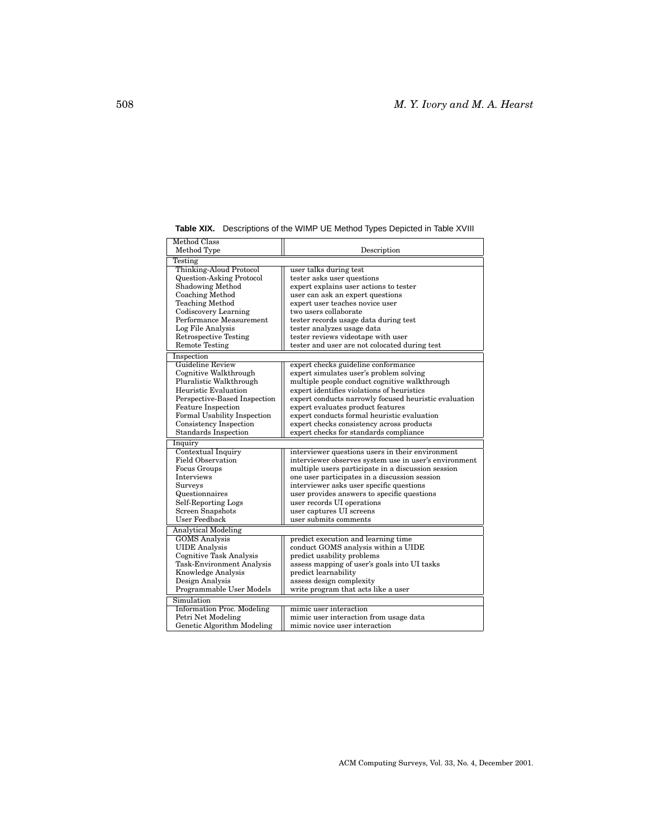**Table XIX.** Descriptions of the WIMP UE Method Types Depicted in Table XVIII

| Method Class                      |                                                       |  |  |  |
|-----------------------------------|-------------------------------------------------------|--|--|--|
| Method Type                       | Description                                           |  |  |  |
| Testing                           |                                                       |  |  |  |
| <b>Thinking-Aloud Protocol</b>    | user talks during test                                |  |  |  |
| <b>Question-Asking Protocol</b>   | tester asks user questions                            |  |  |  |
| <b>Shadowing Method</b>           | expert explains user actions to tester                |  |  |  |
| Coaching Method                   | user can ask an expert questions                      |  |  |  |
| <b>Teaching Method</b>            | expert user teaches novice user                       |  |  |  |
| Codiscovery Learning              | two users collaborate                                 |  |  |  |
| Performance Measurement           | tester records usage data during test                 |  |  |  |
| Log File Analysis                 | tester analyzes usage data                            |  |  |  |
| <b>Retrospective Testing</b>      | tester reviews videotape with user                    |  |  |  |
| Remote Testing                    | tester and user are not colocated during test         |  |  |  |
| Inspection                        |                                                       |  |  |  |
| Guideline Review                  | expert checks guideline conformance                   |  |  |  |
| Cognitive Walkthrough             | expert simulates user's problem solving               |  |  |  |
| Pluralistic Walkthrough           | multiple people conduct cognitive walkthrough         |  |  |  |
| Heuristic Evaluation              | expert identifies violations of heuristics            |  |  |  |
| Perspective-Based Inspection      | expert conducts narrowly focused heuristic evaluation |  |  |  |
| Feature Inspection                | expert evaluates product features                     |  |  |  |
| Formal Usability Inspection       | expert conducts formal heuristic evaluation           |  |  |  |
| Consistency Inspection            | expert checks consistency across products             |  |  |  |
| Standards Inspection              | expert checks for standards compliance                |  |  |  |
| Inquiry                           |                                                       |  |  |  |
| Contextual Inquiry                | interviewer questions users in their environment      |  |  |  |
| Field Observation                 | interviewer observes system use in user's environment |  |  |  |
| <b>Focus Groups</b>               | multiple users participate in a discussion session    |  |  |  |
| Interviews                        | one user participates in a discussion session         |  |  |  |
| Surveys                           | interviewer asks user specific questions              |  |  |  |
| Questionnaires                    | user provides answers to specific questions           |  |  |  |
| Self-Reporting Logs               | user records UI operations                            |  |  |  |
| Screen Snapshots                  | user captures UI screens                              |  |  |  |
| User Feedback                     | user submits comments                                 |  |  |  |
| <b>Analytical Modeling</b>        |                                                       |  |  |  |
| <b>GOMS</b> Analysis              | predict execution and learning time                   |  |  |  |
| <b>UIDE</b> Analysis              | conduct GOMS analysis within a UIDE                   |  |  |  |
| <b>Cognitive Task Analysis</b>    | predict usability problems                            |  |  |  |
| Task-Environment Analysis         | assess mapping of user's goals into UI tasks          |  |  |  |
| Knowledge Analysis                | predict learnability                                  |  |  |  |
| Design Analysis                   | assess design complexity                              |  |  |  |
| Programmable User Models          | write program that acts like a user                   |  |  |  |
| Simulation                        |                                                       |  |  |  |
| <b>Information Proc. Modeling</b> | mimic user interaction                                |  |  |  |
| Petri Net Modeling                | mimic user interaction from usage data                |  |  |  |
| Genetic Algorithm Modeling        | mimic novice user interaction                         |  |  |  |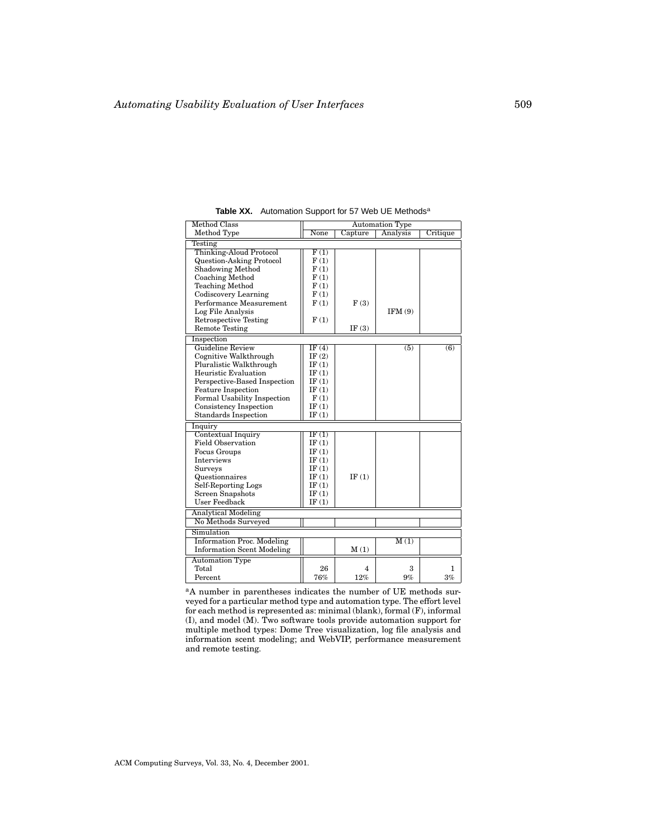| Method Class                      | <b>Automation Type</b> |          |          |          |
|-----------------------------------|------------------------|----------|----------|----------|
| Method Type                       | None                   | Capture  | Analysis | Critique |
| Testing                           |                        |          |          |          |
| <b>Thinking-Aloud Protocol</b>    | F(1)                   |          |          |          |
| <b>Question-Asking Protocol</b>   | F(1)                   |          |          |          |
| Shadowing Method                  | F(1)                   |          |          |          |
| <b>Coaching Method</b>            | F(1)                   |          |          |          |
| <b>Teaching Method</b>            | F(1)                   |          |          |          |
| Codiscovery Learning              | F(1)                   |          |          |          |
| Performance Measurement           | F(1)                   | F(3)     |          |          |
| Log File Analysis                 |                        |          | IFM(9)   |          |
| <b>Retrospective Testing</b>      | F(1)                   |          |          |          |
| <b>Remote Testing</b>             |                        | IF $(3)$ |          |          |
| Inspection                        |                        |          |          |          |
| <b>Guideline Review</b>           | IF(4)                  |          | (5)      | (6)      |
| Cognitive Walkthrough             | IF $(2)$               |          |          |          |
| Pluralistic Walkthrough           | IF(1)                  |          |          |          |
| Heuristic Evaluation              | IF $(1)$               |          |          |          |
| Perspective-Based Inspection      | IF(1)                  |          |          |          |
| <b>Feature Inspection</b>         | IF $(1)$               |          |          |          |
| Formal Usability Inspection       | F(1)                   |          |          |          |
| Consistency Inspection            | IF(1)                  |          |          |          |
| <b>Standards Inspection</b>       | IF $(1)$               |          |          |          |
| Inquiry                           |                        |          |          |          |
| Contextual Inquiry                | IF $(1)$               |          |          |          |
| <b>Field Observation</b>          | IF $(1)$               |          |          |          |
| <b>Focus Groups</b>               | IF(1)                  |          |          |          |
| Interviews                        | IF(1)                  |          |          |          |
| Surveys                           | IF $(1)$               |          |          |          |
| Questionnaires                    | IF $(1)$               | IF $(1)$ |          |          |
| Self-Reporting Logs               | IF(1)                  |          |          |          |
| Screen Snapshots                  | IF $(1)$               |          |          |          |
| <b>User Feedback</b>              | IF(1)                  |          |          |          |
| <b>Analytical Modeling</b>        |                        |          |          |          |
| No Methods Surveyed               |                        |          |          |          |
| Simulation                        |                        |          |          |          |
| <b>Information Proc. Modeling</b> |                        |          | M(1)     |          |
| <b>Information Scent Modeling</b> |                        | M(1)     |          |          |
| Automation Type                   |                        |          |          |          |
| Total                             | 26                     | 4        | 3        | 1        |
| Percent                           | 76%                    | 12%      | 9%       | 3%       |

Table XX. Automation Support for 57 Web UE Methods<sup>a</sup>

aA number in parentheses indicates the number of UE methods surveyed for a particular method type and automation type. The effort level for each method is represented as: minimal (blank), formal (F), informal (I), and model (M). Two software tools provide automation support for multiple method types: Dome Tree visualization, log file analysis and information scent modeling; and WebVIP, performance measurement and remote testing.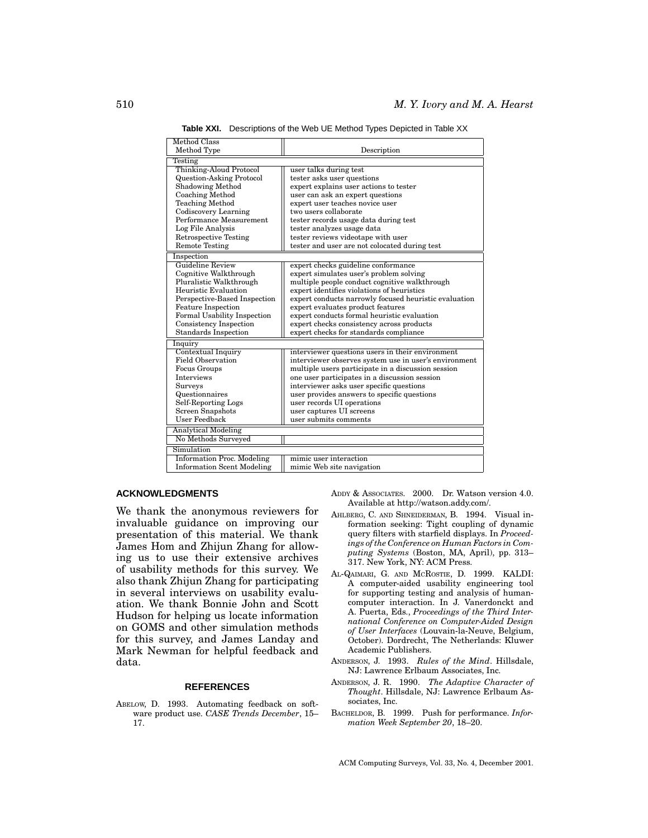**Table XXI.** Descriptions of the Web UE Method Types Depicted in Table XX

| Method Class                      |                                                       |
|-----------------------------------|-------------------------------------------------------|
| Method Type                       | Description                                           |
| Testing                           |                                                       |
| Thinking-Aloud Protocol           | user talks during test                                |
| <b>Question-Asking Protocol</b>   | tester asks user questions                            |
| <b>Shadowing Method</b>           | expert explains user actions to tester                |
| <b>Coaching Method</b>            | user can ask an expert questions                      |
| <b>Teaching Method</b>            | expert user teaches novice user                       |
| Codiscovery Learning              | two users collaborate                                 |
| Performance Measurement           | tester records usage data during test                 |
| Log File Analysis                 | tester analyzes usage data                            |
| <b>Retrospective Testing</b>      | tester reviews videotape with user                    |
| <b>Remote Testing</b>             | tester and user are not colocated during test         |
| Inspection                        |                                                       |
| Guideline Review                  | expert checks guideline conformance                   |
| Cognitive Walkthrough             | expert simulates user's problem solving               |
| Pluralistic Walkthrough           | multiple people conduct cognitive walkthrough         |
| Heuristic Evaluation              | expert identifies violations of heuristics            |
| Perspective-Based Inspection      | expert conducts narrowly focused heuristic evaluation |
| <b>Feature Inspection</b>         | expert evaluates product features                     |
| Formal Usability Inspection       | expert conducts formal heuristic evaluation           |
| Consistency Inspection            | expert checks consistency across products             |
| <b>Standards Inspection</b>       | expert checks for standards compliance                |
| Inquiry                           |                                                       |
| Contextual Inquiry                | interviewer questions users in their environment      |
| Field Observation                 | interviewer observes system use in user's environment |
| Focus Groups                      | multiple users participate in a discussion session    |
| <b>Interviews</b>                 | one user participates in a discussion session         |
| Surveys                           | interviewer asks user specific questions              |
| Questionnaires                    | user provides answers to specific questions           |
| Self-Reporting Logs               | user records UI operations                            |
| Screen Snapshots                  | user captures UI screens                              |
| User Feedback                     | user submits comments                                 |
| <b>Analytical Modeling</b>        |                                                       |
| No Methods Surveyed               |                                                       |
| Simulation                        |                                                       |
| <b>Information Proc. Modeling</b> | mimic user interaction                                |
| <b>Information Scent Modeling</b> | mimic Web site navigation                             |

#### **ACKNOWLEDGMENTS**

We thank the anonymous reviewers for invaluable guidance on improving our presentation of this material. We thank James Hom and Zhijun Zhang for allowing us to use their extensive archives of usability methods for this survey. We also thank Zhijun Zhang for participating in several interviews on usability evaluation. We thank Bonnie John and Scott Hudson for helping us locate information on GOMS and other simulation methods for this survey, and James Landay and Mark Newman for helpful feedback and data.

#### **REFERENCES**

ABELOW, D. 1993. Automating feedback on software product use. *CASE Trends December*, 15– 17.

- ADDY & ASSOCIATES. 2000. Dr. Watson version 4.0. Available at http://watson.addy.com/.
- AHLBERG, C. AND SHNEIDERMAN, B. 1994. Visual information seeking: Tight coupling of dynamic query filters with starfield displays. In *Proceedings of the Conference on Human Factors in Computing Systems* (Boston, MA, April), pp. 313– 317. New York, NY: ACM Press.
- AL-QAIMARI, G. AND MCROSTIE, D. 1999. KALDI: A computer-aided usability engineering tool for supporting testing and analysis of humancomputer interaction. In J. Vanerdonckt and A. Puerta, Eds., *Proceedings of the Third International Conference on Computer-Aided Design of User Interfaces* (Louvain-la-Neuve, Belgium, October). Dordrecht, The Netherlands: Kluwer Academic Publishers.
- ANDERSON, J. 1993. *Rules of the Mind*. Hillsdale, NJ: Lawrence Erlbaum Associates, Inc.
- ANDERSON, J. R. 1990. *The Adaptive Character of Thought*. Hillsdale, NJ: Lawrence Erlbaum Associates, Inc.
- BACHELDOR, B. 1999. Push for performance. *Information Week September 20*, 18–20.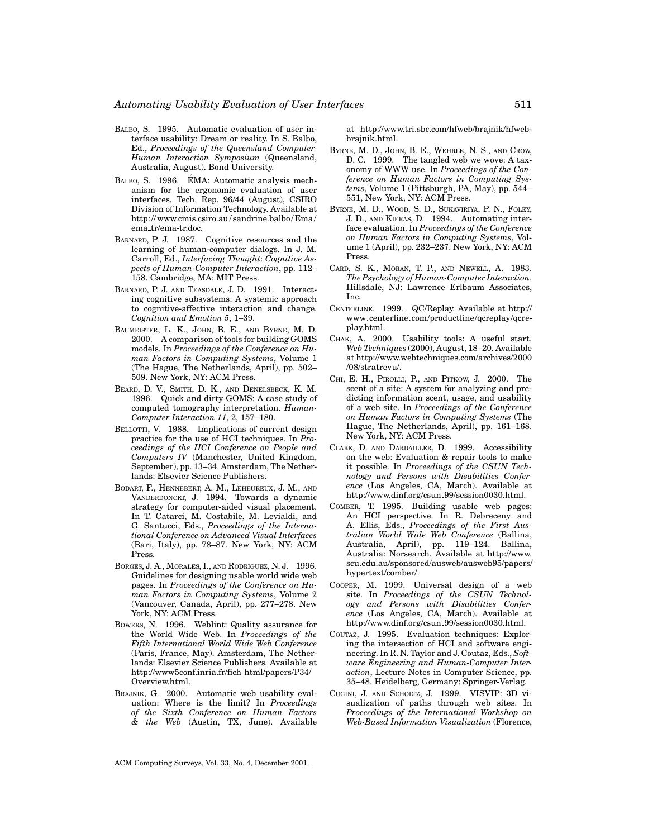- BALBO, S. 1995. Automatic evaluation of user interface usability: Dream or reality. In S. Balbo, Ed., *Proceedings of the Queensland Computer-Human Interaction Symposium* (Queensland, Australia, August). Bond University.
- BALBO, S. 1996. ÉMA: Automatic analysis mechanism for the ergonomic evaluation of user interfaces. Tech. Rep. 96/44 (August), CSIRO Division of Information Technology. Available at http://www.cmis.csiro.au/sandrine.balbo/Ema/ ema tr/ema-tr.doc.
- BARNARD, P. J. 1987. Cognitive resources and the learning of human-computer dialogs. In J. M. Carroll, Ed., *Interfacing Thought*: *Cognitive Aspects of Human-Computer Interaction*, pp. 112– 158. Cambridge, MA: MIT Press.
- BARNARD, P. J. AND TEASDALE, J. D. 1991. Interacting cognitive subsystems: A systemic approach to cognitive-affective interaction and change. *Cognition and Emotion 5*, 1–39.
- BAUMEISTER, L. K., JOHN, B. E., AND BYRNE, M. D. 2000. A comparison of tools for building GOMS models. In *Proceedings of the Conference on Human Factors in Computing Systems*, Volume 1 (The Hague, The Netherlands, April), pp. 502– 509. New York, NY: ACM Press.
- BEARD, D. V., SMITH, D. K., AND DENELSBECK, K. M. 1996. Quick and dirty GOMS: A case study of computed tomography interpretation. *Human-Computer Interaction 11*, 2, 157–180.
- BELLOTTI, V. 1988. Implications of current design practice for the use of HCI techniques. In *Proceedings of the HCI Conference on People and Computers IV* (Manchester, United Kingdom, September), pp. 13–34. Amsterdam, The Netherlands: Elsevier Science Publishers.
- BODART, F., HENNEBERT, A. M., LEHEUREUX, J. M., AND VANDERDONCKT, J. 1994. Towards a dynamic strategy for computer-aided visual placement. In T. Catarci, M. Costabile, M. Levialdi, and G. Santucci, Eds., *Proceedings of the International Conference on Advanced Visual Interfaces* (Bari, Italy), pp. 78–87. New York, NY: ACM Press.
- BORGES, J. A., MORALES, I., AND RODRIGUEZ, N. J. 1996. Guidelines for designing usable world wide web pages. In *Proceedings of the Conference on Human Factors in Computing Systems*, Volume 2 (Vancouver, Canada, April), pp. 277–278. New York, NY: ACM Press.
- BOWERS, N. 1996. Weblint: Quality assurance for the World Wide Web. In *Proceedings of the Fifth International World Wide Web Conference* (Paris, France, May). Amsterdam, The Netherlands: Elsevier Science Publishers. Available at http://www5conf.inria.fr/fich html/papers/P34/ Overview.html.
- BRAJNIK, G. 2000. Automatic web usability evaluation: Where is the limit? In *Proceedings of the Sixth Conference on Human Factors & the Web* (Austin, TX, June). Available

at http://www.tri.sbc.com/hfweb/brajnik/hfwebbrajnik.html.

- BYRNE, M. D., JOHN, B. E., WEHRLE, N. S., AND CROW, D. C. 1999. The tangled web we wove: A taxonomy of WWW use. In *Proceedings of the Conference on Human Factors in Computing Systems*, Volume 1 (Pittsburgh, PA, May), pp. 544– 551, New York, NY: ACM Press.
- BYRNE, M. D., WOOD, S. D., SUKAVIRIYA, P. N., FOLEY, J. D., AND KIERAS, D. 1994. Automating interface evaluation. In *Proceedings of the Conference on Human Factors in Computing Systems*, Volume 1 (April), pp. 232–237. New York, NY: ACM Press.
- CARD, S. K., MORAN, T. P., AND NEWELL, A. 1983. *The Psychology of Human-Computer Interaction*. Hillsdale, NJ: Lawrence Erlbaum Associates, Inc.
- CENTERLINE. 1999. QC/Replay. Available at http:// www.centerline.com/productline/qcreplay/qcreplay.html.
- CHAK, A. 2000. Usability tools: A useful start. *Web Techniques* (2000), August, 18–20. Available at http://www.webtechniques.com/archives/2000 /08/stratrevu/.
- CHI, E. H., PIROLLI, P., AND PITKOW, J. 2000. The scent of a site: A system for analyzing and predicting information scent, usage, and usability of a web site. In *Proceedings of the Conference on Human Factors in Computing Systems* (The Hague, The Netherlands, April), pp. 161–168. New York, NY: ACM Press.
- CLARK, D. AND DARDAILLER, D. 1999. Accessibility on the web: Evaluation & repair tools to make it possible. In *Proceedings of the CSUN Technology and Persons with Disabilities Conference* (Los Angeles, CA, March). Available at http://www.dinf.org/csun 99/session0030.html.
- COMBER, T. 1995. Building usable web pages: An HCI perspective. In R. Debreceny and A. Ellis, Eds., *Proceedings of the First Australian World Wide Web Conference* (Ballina, Australia, April), pp. 119–124. Ballina, Australia: Norsearch. Available at http://www. scu.edu.au/sponsored/ausweb/ausweb95/papers/ hypertext/comber/.
- COOPER, M. 1999. Universal design of a web site. In *Proceedings of the CSUN Technology and Persons with Disabilities Conference* (Los Angeles, CA, March). Available at http://www.dinf.org/csun 99/session0030.html.
- COUTAZ, J. 1995. Evaluation techniques: Exploring the intersection of HCI and software engineering. In R. N. Taylor and J. Coutaz, Eds., *Software Engineering and Human-Computer Interaction*, Lecture Notes in Computer Science, pp. 35–48. Heidelberg, Germany: Springer-Verlag.
- CUGINI, J. AND SCHOLTZ, J. 1999. VISVIP: 3D visualization of paths through web sites. In *Proceedings of the International Workshop on Web-Based Information Visualization* (Florence,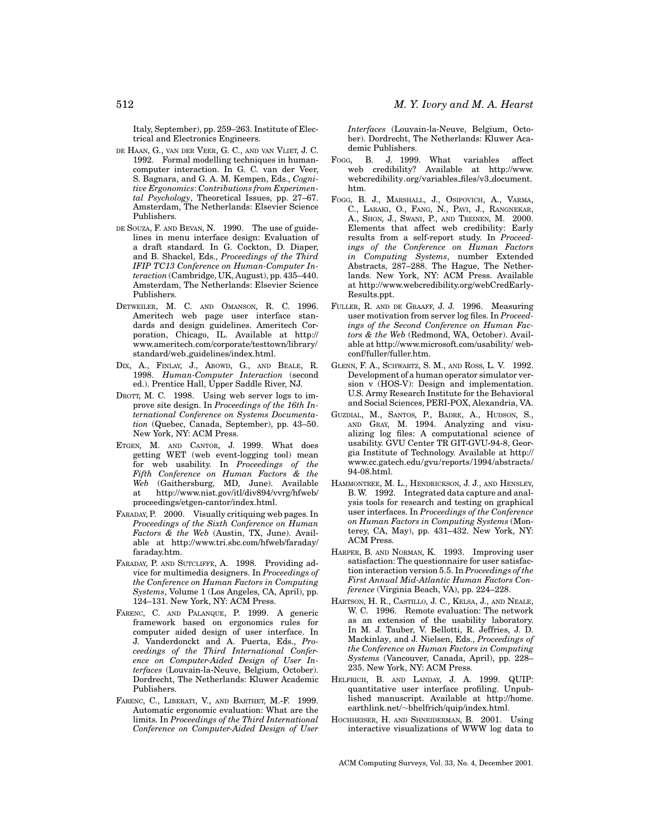Italy, September), pp. 259–263. Institute of Electrical and Electronics Engineers.

- DE HAAN, G., VAN DER VEER, G. C., AND VAN VLIET, J. C. 1992. Formal modelling techniques in humancomputer interaction. In G. C. van der Veer, S. Bagnara, and G. A. M. Kempen, Eds., *Cognitive Ergonomics*: *Contributions from Experimental Psychology*, Theoretical Issues, pp. 27–67. Amsterdam, The Netherlands: Elsevier Science Publishers.
- DE SOUZA, F. AND BEVAN, N. 1990. The use of guidelines in menu interface design: Evaluation of a draft standard. In G. Cockton, D. Diaper, and B. Shackel, Eds., *Proceedings of the Third IFIP TC13 Conference on Human-Computer Interaction* (Cambridge, UK, August), pp. 435–440. Amsterdam, The Netherlands: Elsevier Science Publishers.
- DETWEILER, M. C. AND OMANSON, R. C. 1996. Ameritech web page user interface standards and design guidelines. Ameritech Corporation, Chicago, IL. Available at http:// www.ameritech.com/corporate/testtown/library/ standard/web guidelines/index.html.
- DIX, A., FINLAY, J., ABOWD, G., AND BEALE, R. 1998. *Human-Computer Interaction* (second ed.). Prentice Hall, Upper Saddle River, NJ.
- DROTT, M. C. 1998. Using web server logs to improve site design. In *Proceedings of the 16th International Conference on Systems Documentation* (Quebec, Canada, September), pp. 43–50. New York, NY: ACM Press.
- ETGEN, M. AND CANTOR, J. 1999. What does getting WET (web event-logging tool) mean for web usability. In *Proceedings of the Fifth Conference on Human Factors & the Web* (Gaithersburg, MD, June). Available at http://www.nist.gov/itl/div894/vvrg/hfweb/ proceedings/etgen-cantor/index.html.
- FARADAY, P. 2000. Visually critiquing web pages. In *Proceedings of the Sixth Conference on Human Factors & the Web* (Austin, TX, June). Available at http://www.tri.sbc.com/hfweb/faraday/ faraday.htm.
- FARADAY, P. AND SUTCLIFFE, A. 1998. Providing advice for multimedia designers. In *Proceedings of the Conference on Human Factors in Computing Systems*, Volume 1 (Los Angeles, CA, April), pp. 124–131. New York, NY: ACM Press.
- FARENC, C. AND PALANQUE, P. 1999. A generic framework based on ergonomics rules for computer aided design of user interface. In J. Vanderdonckt and A. Puerta, Eds., *Proceedings of the Third International Conference on Computer-Aided Design of User Interfaces* (Louvain-la-Neuve, Belgium, October). Dordrecht, The Netherlands: Kluwer Academic Publishers.
- FARENC, C., LIBERATI, V., AND BARTHET, M.-F. 1999. Automatic ergonomic evaluation: What are the limits. In *Proceedings of the Third International Conference on Computer-Aided Design of User*

*Interfaces* (Louvain-la-Neuve, Belgium, October). Dordrecht, The Netherlands: Kluwer Academic Publishers.

- FOGG, B. J. 1999. What variables affect web credibility? Available at http://www. webcredibility.org/variables files/v3 document. htm.
- FOGG, B. J., MARSHALL, J., OSIPOVICH, A., VARMA, C., LARAKI, O., FANG, N., PAVI, J., RANGNEKAR, A., SHON, J., SWANI, P., AND TREINEN, M. 2000. Elements that affect web credibility: Early results from a self-report study. In *Proceedings of the Conference on Human Factors in Computing Systems*, number Extended Abstracts, 287–288. The Hague, The Netherlands. New York, NY: ACM Press. Available at http://www.webcredibility.org/webCredEarly-Results.ppt.
- FULLER, R. AND DE GRAAFF, J. J. 1996. Measuring user motivation from server log files. In *Proceedings of the Second Conference on Human Factors & the Web* (Redmond, WA, October). Available at http://www.microsoft.com/usability/ webconf/fuller/fuller.htm.
- GLENN, F. A., SCHWARTZ, S. M., AND ROSS, L. V. 1992. Development of a human operator simulator version v (HOS-V): Design and implementation. U.S. Army Research Institute for the Behavioral and Social Sciences, PERI-POX, Alexandria, VA.
- GUZDIAL, M., SANTOS, P., BADRE, A., HUDSON, S., AND GRAY, M. 1994. Analyzing and visualizing log files: A computational science of usability. GVU Center TR GIT-GVU-94-8, Georgia Institute of Technology. Available at http:// www.cc.gatech.edu/gvu/reports/1994/abstracts/ 94-08.html.
- HAMMONTREE, M. L., HENDRICKSON, J. J., AND HENSLEY, B. W. 1992. Integrated data capture and analysis tools for research and testing on graphical user interfaces. In *Proceedings of the Conference on Human Factors in Computing Systems* (Monterey, CA, May), pp. 431–432. New York, NY: ACM Press.
- HARPER, B. AND NORMAN, K. 1993. Improving user satisfaction: The questionnaire for user satisfaction interaction version 5.5. In *Proceedings of the First Annual Mid-Atlantic Human Factors Conference* (Virginia Beach, VA), pp. 224–228.
- HARTSON, H. R., CASTILLO, J. C., KELSA, J., AND NEALE, W. C. 1996. Remote evaluation: The network as an extension of the usability laboratory. In M. J. Tauber, V. Bellotti, R. Jeffries, J. D. Mackinlay, and J. Nielsen, Eds., *Proceedings of the Conference on Human Factors in Computing Systems* (Vancouver, Canada, April), pp. 228– 235. New York, NY: ACM Press.
- HELFRICH, B. AND LANDAY, J. A. 1999. QUIP: quantitative user interface profiling. Unpublished manuscript. Available at http://home. earthlink.net/∼bhelfrich/quip/index.html.
- HOCHHEISER, H. AND SHNEIDERMAN, B. 2001. Using interactive visualizations of WWW log data to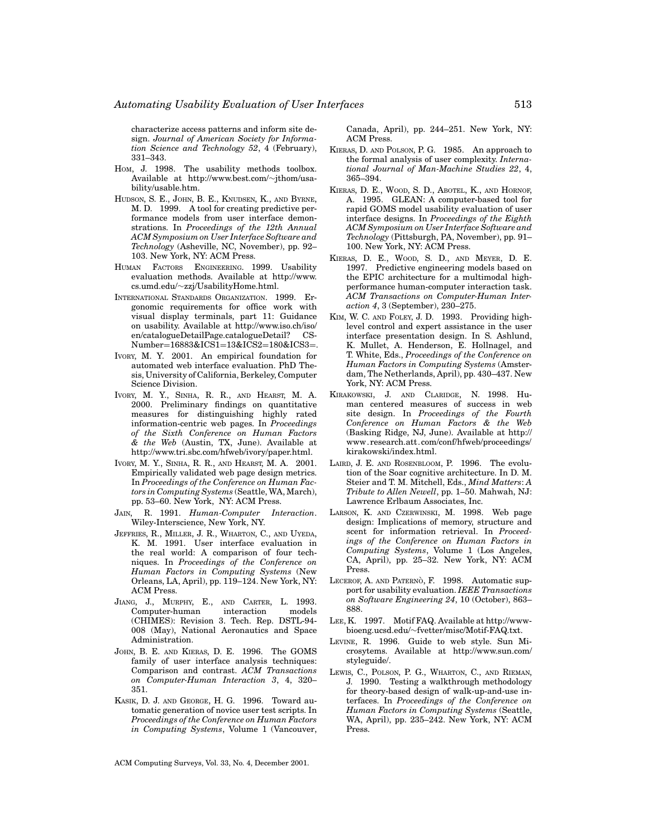characterize access patterns and inform site design. *Journal of American Society for Information Science and Technology 52*, 4 (February), 331–343.

- HOM, J. 1998. The usability methods toolbox. Available at http://www.best.com/∼jthom/usability/usable.htm.
- HUDSON, S. E., JOHN, B. E., KNUDSEN, K., AND BYRNE, M. D. 1999. A tool for creating predictive performance models from user interface demonstrations. In *Proceedings of the 12th Annual ACM Symposium on User Interface Software and Technology* (Asheville, NC, November), pp. 92– 103. New York, NY: ACM Press.
- HUMAN FACTORS ENGINEERING. 1999. Usability evaluation methods. Available at http://www. cs.umd.edu/∼zzj/UsabilityHome.html.
- INTERNATIONAL STANDARDS ORGANIZATION. 1999. Ergonomic requirements for office work with visual display terminals, part 11: Guidance on usability. Available at http://www.iso.ch/iso/ en/catalogueDetailPage.catalogueDetail? CS-Number=16883&ICS1=13&ICS2=180&ICS3=.
- IVORY, M. Y. 2001. An empirical foundation for automated web interface evaluation. PhD Thesis, University of California, Berkeley, Computer Science Division.
- IVORY, M. Y., SINHA, R. R., AND HEARST, M. A. 2000. Preliminary findings on quantitative measures for distinguishing highly rated information-centric web pages. In *Proceedings of the Sixth Conference on Human Factors & the Web* (Austin, TX, June). Available at http://www.tri.sbc.com/hfweb/ivory/paper.html.
- IVORY, M. Y., SINHA, R. R., AND HEARST, M. A. 2001. Empirically validated web page design metrics. In *Proceedings of the Conference on Human Factors in Computing Systems* (Seattle, WA, March), pp. 53–60. New York, NY: ACM Press.
- JAIN, R. 1991. *Human-Computer Interaction*. Wiley-Interscience, New York, NY.
- JEFFRIES, R., MILLER, J. R., WHARTON, C., AND UYEDA, K. M. 1991. User interface evaluation in the real world: A comparison of four techniques. In *Proceedings of the Conference on Human Factors in Computing Systems* (New Orleans, LA, April), pp. 119–124. New York, NY: ACM Press.
- JIANG, J., MURPHY, E., AND CARTER, L. 1993. Computer-human interaction models (CHIMES): Revision 3. Tech. Rep. DSTL-94- 008 (May), National Aeronautics and Space Administration.
- JOHN, B. E. AND KIERAS, D. E. 1996. The GOMS family of user interface analysis techniques: Comparison and contrast. *ACM Transactions on Computer-Human Interaction 3*, 4, 320– 351.
- KASIK, D. J. AND GEORGE, H. G. 1996. Toward automatic generation of novice user test scripts. In *Proceedings of the Conference on Human Factors in Computing Systems*, Volume 1 (Vancouver,

Canada, April), pp. 244–251. New York, NY: ACM Press.

- KIERAS, D. AND POLSON, P. G. 1985. An approach to the formal analysis of user complexity. *International Journal of Man-Machine Studies 22*, 4, 365–394.
- KIERAS, D. E., WOOD, S. D., ABOTEL, K., AND HORNOF, A. 1995. GLEAN: A computer-based tool for rapid GOMS model usability evaluation of user interface designs. In *Proceedings of the Eighth ACM Symposium on User Interface Software and Technology* (Pittsburgh, PA, November), pp. 91– 100. New York, NY: ACM Press.
- KIERAS, D. E., WOOD, S. D., AND MEYER, D. E. 1997. Predictive engineering models based on the EPIC architecture for a multimodal highperformance human-computer interaction task. *ACM Transactions on Computer-Human Interaction 4*, 3 (September), 230–275.
- KIM, W. C. AND FOLEY, J. D. 1993. Providing highlevel control and expert assistance in the user interface presentation design. In S. Ashlund, K. Mullet, A. Henderson, E. Hollnagel, and T. White, Eds., *Proceedings of the Conference on Human Factors in Computing Systems* (Amsterdam, The Netherlands, April), pp. 430–437. New York, NY: ACM Press.
- KIRAKOWSKI, J. AND CLARIDGE, N. 1998. Human centered measures of success in web site design. In *Proceedings of the Fourth Conference on Human Factors & the Web* (Basking Ridge, NJ, June). Available at http:// www.research.att.com/conf/hfweb/proceedings/ kirakowski/index.html.
- LAIRD, J. E. AND ROSENBLOOM, P. 1996. The evolution of the Soar cognitive architecture. In D. M. Steier and T. M. Mitchell, Eds., *Mind Matters*: *A Tribute to Allen Newell*, pp. 1–50. Mahwah, NJ: Lawrence Erlbaum Associates, Inc.
- LARSON, K. AND CZERWINSKI, M. 1998. Web page design: Implications of memory, structure and scent for information retrieval. In *Proceedings of the Conference on Human Factors in Computing Systems*, Volume 1 (Los Angeles, CA, April), pp. 25–32. New York, NY: ACM Press.
- LECEROF, A. AND PATERNÒ, F. 1998. Automatic support for usability evaluation. *IEEE Transactions on Software Engineering 24*, 10 (October), 863– 888.
- LEE, K. 1997. Motif FAQ. Available at http://wwwbioeng.ucsd.edu/∼fvetter/misc/Motif-FAQ.txt.
- LEVINE, R. 1996. Guide to web style. Sun Microsytems. Available at http://www.sun.com/ styleguide/.
- LEWIS, C., POLSON, P. G., WHARTON, C., AND RIEMAN, J. 1990. Testing a walkthrough methodology for theory-based design of walk-up-and-use interfaces. In *Proceedings of the Conference on Human Factors in Computing Systems* (Seattle, WA, April), pp. 235–242. New York, NY: ACM Press.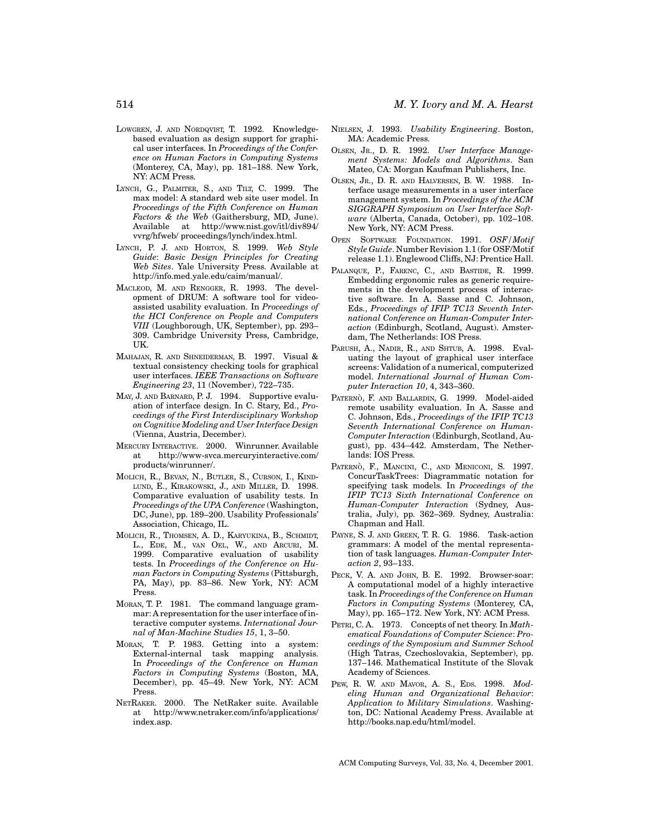- LOWGREN, J. AND NORDQVIST, T. 1992. Knowledgebased evaluation as design support for graphical user interfaces. In *Proceedings of the Conference on Human Factors in Computing Systems* (Monterey, CA, May), pp. 181–188. New York, NY: ACM Press.
- LYNCH, G., PALMITER, S., AND TILT, C. 1999. The max model: A standard web site user model. In *Proceedings of the Fifth Conference on Human Factors & the Web* (Gaithersburg, MD, June). Available at http://www.nist.gov/itl/div894/ vvrg/hfweb/ proceedings/lynch/index.html.
- LYNCH, P. J. AND HORTON, S. 1999. *Web Style Guide*: *Basic Design Principles for Creating Web Sites*. Yale University Press. Available at http://info.med.yale.edu/caim/manual/.
- MACLEOD, M. AND RENGGER, R. 1993. The development of DRUM: A software tool for videoassisted usability evaluation. In *Proceedings of the HCI Conference on People and Computers VIII* (Loughborough, UK, September), pp. 293– 309. Cambridge University Press, Cambridge, UK.
- MAHAJAN, R. AND SHNEIDERMAN, B. 1997. Visual & textual consistency checking tools for graphical user interfaces. *IEEE Transactions on Software Engineering 23*, 11 (November), 722–735.
- MAY, J. AND BARNARD, P. J. 1994. Supportive evaluation of interface design. In C. Stary, Ed., *Proceedings of the First Interdisciplinary Workshop on Cognitive Modeling and User Interface Design* (Vienna, Austria, December).
- MERCURY INTERACTIVE. 2000. Winrunner. Available at http://www-svca.mercuryinteractive.com/ products/winrunner/.
- MOLICH, R., BEVAN, N., BUTLER, S., CURSON, I., KIND-LUND, E., KIRAKOWSKI, J., AND MILLER, D. 1998. Comparative evaluation of usability tests. In *Proceedings of the UPA Conference* (Washington, DC, June), pp. 189–200. Usability Professionals' Association, Chicago, IL.
- MOLICH, R., THOMSEN, A. D., KARYUKINA, B., SCHMIDT, L., EDE, M., VAN OEL, W., AND ARCURI, M. 1999. Comparative evaluation of usability tests. In *Proceedings of the Conference on Human Factors in Computing Systems* (Pittsburgh, PA, May), pp. 83–86. New York, NY: ACM Press.
- MORAN, T. P. 1981. The command language grammar: A representation for the user interface of interactive computer systems. *International Journal of Man-Machine Studies 15*, 1, 3–50.
- MORAN, T. P. 1983. Getting into a system: External-internal task mapping analysis. In *Proceedings of the Conference on Human Factors in Computing Systems* (Boston, MA, December), pp. 45–49. New York, NY: ACM Press.
- NETRAKER. 2000. The NetRaker suite. Available at http://www.netraker.com/info/applications/ index.asp.
- NIELSEN, J. 1993. *Usability Engineering*. Boston, MA: Academic Press.
- OLSEN, JR., D. R. 1992. *User Interface Management Systems: Models and Algorithms*. San Mateo, CA: Morgan Kaufman Publishers, Inc.
- OLSEN, JR., D. R. AND HALVERSEN, B. W. 1988. Interface usage measurements in a user interface management system. In *Proceedings of the ACM SIGGRAPH Symposium on User Interface Software* (Alberta, Canada, October), pp. 102–108. New York, NY: ACM Press.
- OPEN SOFTWARE FOUNDATION. 1991. *OSF/Motif Style Guide*. Number Revision 1.1 (for OSF/Motif release 1.1). Englewood Cliffs, NJ: Prentice Hall.
- PALANQUE, P., FARENC, C., AND BASTIDE, R. 1999. Embedding ergonomic rules as generic requirements in the development process of interactive software. In A. Sasse and C. Johnson, Eds., *Proceedings of IFIP TC13 Seventh International Conference on Human-Computer Interaction* (Edinburgh, Scotland, August). Amsterdam, The Netherlands: IOS Press.
- PARUSH, A., NADIR, R., AND SHTUB, A. 1998. Evaluating the layout of graphical user interface screens: Validation of a numerical, computerized model. *International Journal of Human Computer Interaction 10*, 4, 343–360.
- PATERNÒ, F. AND BALLARDIN, G. 1999. Model-aided remote usability evaluation. In A. Sasse and C. Johnson, Eds., *Proceedings of the IFIP TC13 Seventh International Conference on Human-Computer Interaction* (Edinburgh, Scotland, August), pp. 434–442. Amsterdam, The Netherlands: IOS Press.
- PATERNÒ, F., MANCINI, C., AND MENICONI, S. 1997. ConcurTaskTrees: Diagrammatic notation for specifying task models. In *Proceedings of the IFIP TC13 Sixth International Conference on Human-Computer Interaction* (Sydney, Australia, July), pp. 362–369. Sydney, Australia: Chapman and Hall.
- PAYNE, S. J. AND GREEN, T. R. G. 1986. Task-action grammars: A model of the mental representation of task languages. *Human-Computer Interaction 2*, 93–133.
- PECK, V. A. AND JOHN, B. E. 1992. Browser-soar: A computational model of a highly interactive task. In *Proceedings of the Conference on Human Factors in Computing Systems* (Monterey, CA, May), pp. 165–172. New York, NY: ACM Press.
- PETRI, C. A. 1973. Concepts of net theory. In *Mathematical Foundations of Computer Science*: *Proceedings of the Symposium and Summer School* (High Tatras, Czechoslovakia, September), pp. 137–146. Mathematical Institute of the Slovak Academy of Sciences.
- PEW, R. W. AND MAVOR, A. S., EDS. 1998. *Modeling Human and Organizational Behavior*: *Application to Military Simulations*. Washington, DC: National Academy Press. Available at http://books.nap.edu/html/model.

ACM Computing Surveys, Vol. 33, No. 4, December 2001.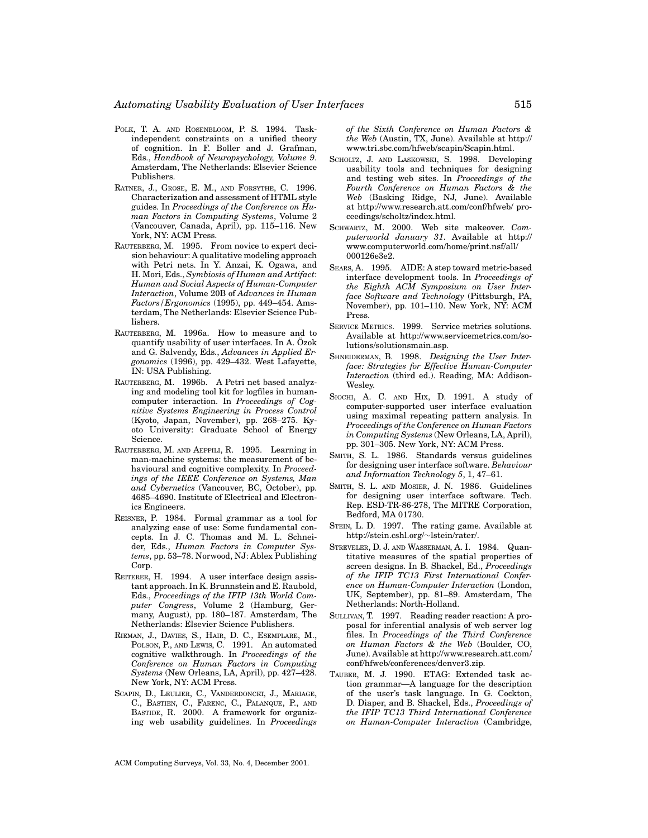- POLK, T. A. AND ROSENBLOOM, P. S. 1994. Taskindependent constraints on a unified theory of cognition. In F. Boller and J. Grafman, Eds., *Handbook of Neuropsychology, Volume 9*. Amsterdam, The Netherlands: Elsevier Science Publishers.
- RATNER, J., GROSE, E. M., AND FORSYTHE, C. 1996. Characterization and assessment of HTML style guides. In *Proceedings of the Conference on Human Factors in Computing Systems*, Volume 2 (Vancouver, Canada, April), pp. 115–116. New York, NY: ACM Press.
- RAUTERBERG, M. 1995. From novice to expert decision behaviour: A qualitative modeling approach with Petri nets. In Y. Anzai, K. Ogawa, and H. Mori, Eds., *Symbiosis of Human and Artifact*: *Human and Social Aspects of Human-Computer Interaction*, Volume 20B of *Advances in Human Factors/Ergonomics* (1995), pp. 449–454. Amsterdam, The Netherlands: Elsevier Science Publishers.
- RAUTERBERG, M. 1996a. How to measure and to quantify usability of user interfaces. In A. Ozok ¨ and G. Salvendy, Eds., *Advances in Applied Ergonomics* (1996), pp. 429–432. West Lafayette, IN: USA Publishing.
- RAUTERBERG, M. 1996b. A Petri net based analyzing and modeling tool kit for logfiles in humancomputer interaction. In *Proceedings of Cognitive Systems Engineering in Process Control* (Kyoto, Japan, November), pp. 268–275. Kyoto University: Graduate School of Energy Science.
- RAUTERBERG, M. AND AEPPILI, R. 1995. Learning in man-machine systems: the measurement of behavioural and cognitive complexity. In *Proceedings of the IEEE Conference on Systems, Man and Cybernetics* (Vancouver, BC, October), pp. 4685–4690. Institute of Electrical and Electronics Engineers.
- REISNER, P. 1984. Formal grammar as a tool for analyzing ease of use: Some fundamental concepts. In J. C. Thomas and M. L. Schneider, Eds., *Human Factors in Computer Systems*, pp. 53–78. Norwood, NJ: Ablex Publishing Corp.
- REITERER, H. 1994. A user interface design assistant approach. In K. Brunnstein and E. Raubold, Eds., *Proceedings of the IFIP 13th World Computer Congress*, Volume 2 (Hamburg, Germany, August), pp. 180–187. Amsterdam, The Netherlands: Elsevier Science Publishers.
- RIEMAN, J., DAVIES, S., HAIR, D. C., ESEMPLARE, M., POLSON, P., AND LEWIS, C. 1991. An automated cognitive walkthrough. In *Proceedings of the Conference on Human Factors in Computing Systems* (New Orleans, LA, April), pp. 427–428. New York, NY: ACM Press.
- SCAPIN, D., LEULIER, C., VANDERDONCKT, J., MARIAGE, C., BASTIEN, C., FARENC, C., PALANQUE, P., AND BASTIDE, R. 2000. A framework for organizing web usability guidelines. In *Proceedings*

*of the Sixth Conference on Human Factors & the Web* (Austin, TX, June). Available at http:// www.tri.sbc.com/hfweb/scapin/Scapin.html.

- SCHOLTZ, J. AND LASKOWSKI, S. 1998. Developing usability tools and techniques for designing and testing web sites. In *Proceedings of the Fourth Conference on Human Factors & the Web* (Basking Ridge, NJ, June). Available at http://www.research.att.com/conf/hfweb/ proceedings/scholtz/index.html.
- SCHWARTZ, M. 2000. Web site makeover. *Computerworld January 31*. Available at http:// www.computerworld.com/home/print.nsf/all/ 000126e3e2.
- SEARS, A. 1995. AIDE: A step toward metric-based interface development tools. In *Proceedings of the Eighth ACM Symposium on User Interface Software and Technology* (Pittsburgh, PA, November), pp. 101–110. New York, NY: ACM Press.
- SERVICE METRICS. 1999. Service metrics solutions. Available at http://www.servicemetrics.com/solutions/solutionsmain.asp.
- SHNEIDERMAN, B. 1998. *Designing the User Interface: Strategies for Effective Human-Computer Interaction* (third ed.). Reading, MA: Addison-Wesley.
- SIOCHI, A. C. AND HIX, D. 1991. A study of computer-supported user interface evaluation using maximal repeating pattern analysis. In *Proceedings of the Conference on Human Factors in Computing Systems* (New Orleans, LA, April), pp. 301–305. New York, NY: ACM Press.
- SMITH, S. L. 1986. Standards versus guidelines for designing user interface software. *Behaviour and Information Technology 5*, 1, 47–61.
- SMITH, S. L. AND MOSIER, J. N. 1986. Guidelines for designing user interface software. Tech. Rep. ESD-TR-86-278, The MITRE Corporation, Bedford, MA 01730.
- STEIN, L. D. 1997. The rating game. Available at http://stein.cshl.org/∼lstein/rater/.
- STREVELER, D. J. AND WASSERMAN, A. I. 1984. Quantitative measures of the spatial properties of screen designs. In B. Shackel, Ed., *Proceedings of the IFIP TC13 First International Conference on Human-Computer Interaction* (London, UK, September), pp. 81–89. Amsterdam, The Netherlands: North-Holland.
- SULLIVAN, T. 1997. Reading reader reaction: A proposal for inferential analysis of web server log files. In *Proceedings of the Third Conference on Human Factors & the Web* (Boulder, CO, June). Available at http://www.research.att.com/ conf/hfweb/conferences/denver3.zip.
- TAUBER, M. J. 1990. ETAG: Extended task action grammar—A language for the description of the user's task language. In G. Cockton, D. Diaper, and B. Shackel, Eds., *Proceedings of the IFIP TC13 Third International Conference on Human-Computer Interaction* (Cambridge,